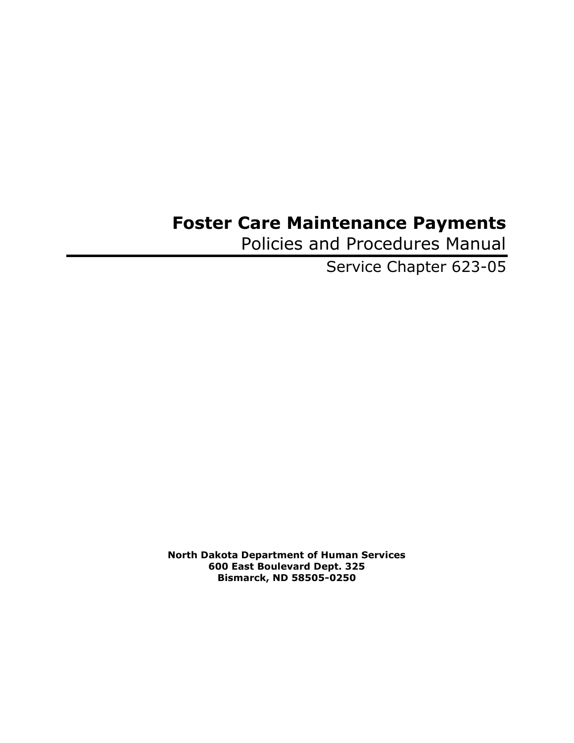## **Foster Care Maintenance Payments**

Policies and Procedures Manual

Service Chapter 623-05

**North Dakota Department of Human Services 600 East Boulevard Dept. 325 Bismarck, ND 58505-0250**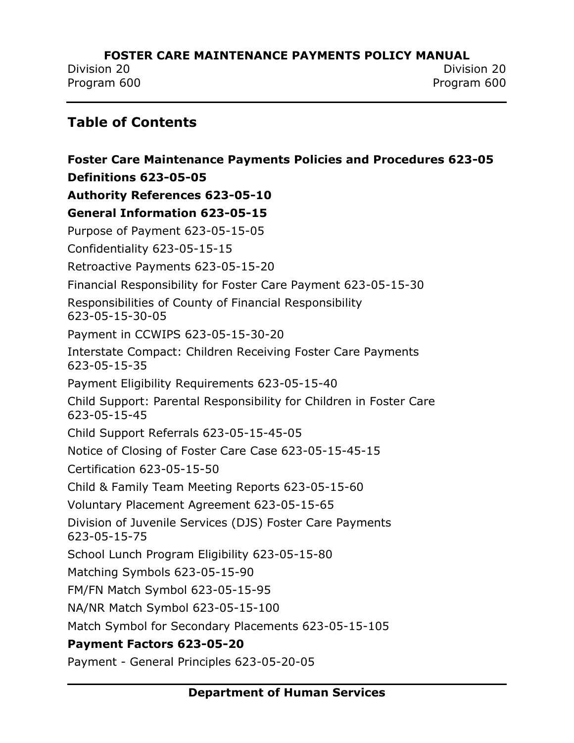Division 20 Division 20 Program 600 Program 600

## **Table of Contents**

**[Foster Care Maintenance Payments Policies and Procedures 623-05](#page-4-0) [Definitions 623-05-05](#page-5-0) [Authority References 623-05-10](#page-9-0) [General Information 623-05-15](#page-10-0)** [Purpose of Payment 623-05-15-05](#page-10-1) [Confidentiality 623-05-15-15](#page-11-0) [Retroactive Payments 623-05-15-20](#page-12-0) [Financial Responsibility for Foster Care Payment 623-05-15-30](#page-13-0) [Responsibilities of County of Financial Responsibility](#page-14-0)  [623-05-15-30-05](#page-14-0) [Payment in CCWIPS 623-05-15-30-20](#page-16-0) [Interstate Compact: Children Receiving Foster Care Payments](#page-17-0)  [623-05-15-35](#page-17-0) [Payment Eligibility Requirements 623-05-15-40](#page-18-0) [Child Support: Parental Responsibility for Children in Foster Care](#page-19-0)  [623-05-15-45](#page-19-0) [Child Support Referrals 623-05-15-45-05](#page-20-0) [Notice of Closing of Foster Care Case 623-05-15-45-15](#page-23-0) [Certification 623-05-15-50](#page-24-0) Child & [Family Team Meeting Reports 623-05-15-60](#page-25-0) [Voluntary Placement Agreement 623-05-15-65](#page-26-0) [Division of Juvenile Services \(DJS\) Foster Care Payments](#page-27-0)  [623-05-15-75](#page-27-0) [School Lunch Program Eligibility 623-05-15-80](#page-28-0) [Matching Symbols 623-05-15-90](#page-29-0) [FM/FN Match Symbol 623-05-15-95](#page-30-0) [NA/NR Match Symbol 623-05-15-100](#page-31-0) [Match Symbol for Secondary Placements 623-05-15-105](#page-32-0) **[Payment Factors 623-05-20](#page-33-0)**

Payment - [General Principles 623-05-20-05](#page-33-1)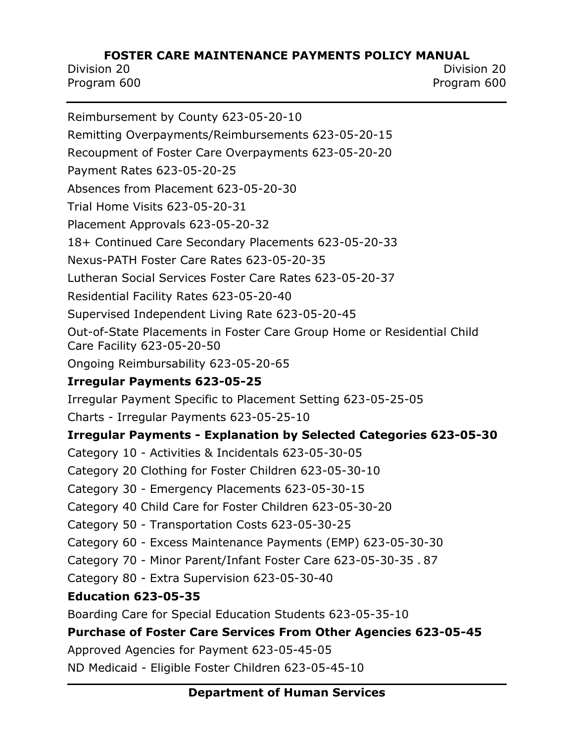Division 20 Division 20 Program 600 Program 600

[Reimbursement by County 623-05-20-10](#page-36-0) [Remitting Overpayments/Reimbursements 623-05-20-15](#page-37-0) [Recoupment of Foster Care Overpayments 623-05-20-20](#page-38-0) [Payment Rates 623-05-20-25](#page-40-0) [Absences from Placement 623-05-20-30](#page-41-0) [Trial Home Visits 623-05-20-31](#page-42-0) [Placement Approvals 623-05-20-32](#page-43-0) [18+ Continued Care Secondary Placements 623-05-20-33](#page-44-0) Nexus-PATH [Foster Care Rates 623-05-20-35](#page-45-0) [Lutheran Social Services Foster Care Rates 623-05-20-37](#page-49-0) [Residential Facility Rates 623-05-20-40](#page-53-0) [Supervised Independent Living Rate 623-05-20-45](#page-55-0) [Out-of-State Placements in Foster Care Group Home or Residential Child](#page-56-0)  [Care Facility 623-05-20-50](#page-56-0) [Ongoing Reimbursability 623-05-20-65](#page-57-0) **[Irregular Payments 623-05-25](#page-58-0)** [Irregular Payment Specific to Placement Setting 623-05-25-05](#page-60-0) Charts - [Irregular Payments 623-05-25-10](#page-62-0) **Irregular Payments - [Explanation by Selected Categories 623-05-30](#page-63-0)** Category 10 - Activities & [Incidentals 623-05-30-05](#page-63-1) [Category 20 Clothing for Foster Children 623-05-30-10](#page-67-0) Category 30 - [Emergency Placements 623-05-30-15](#page-70-0) [Category 40 Child Care for Foster Children 623-05-30-20](#page-72-0) Category 50 - [Transportation Costs 623-05-30-25](#page-78-0) Category 60 - [Excess Maintenance Payments \(EMP\) 623-05-30-30](#page-83-0) Category 70 - [Minor Parent/Infant Foster Care 623-05-30-35](#page-86-0) . 87 Category 80 - [Extra Supervision 623-05-30-40](#page-88-0) **[Education 623-05-35](#page-89-0)** [Boarding Care for Special Education Students 623-05-35-10](#page-90-0) **[Purchase of Foster Care Services](#page-91-0) From Other Agencies 623-05-45** [Approved Agencies for Payment 623-05-45-05](#page-91-1) ND Medicaid - [Eligible Foster Children 623-05-45-10](#page-93-0)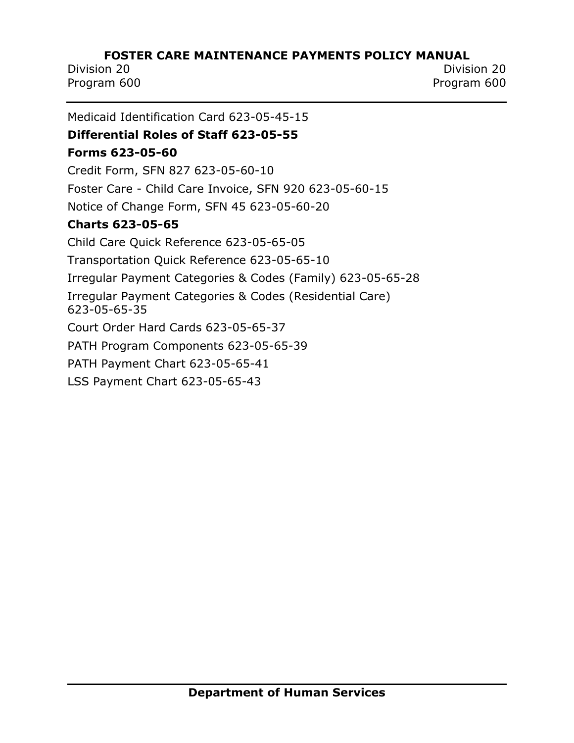Division 20 Division 20 Program 600 Program 600

[Medicaid Identification Card 623-05-45-15](#page-94-0) **[Differential Roles of Staff 623-05-55](#page-95-0) [Forms 623-05-60](#page-97-0)** [Credit Form, SFN 827 623-05-60-10](#page-97-1) Foster Care - [Child Care Invoice, SFN](#page-98-0) 920 623-05-60-15 [Notice of Change Form, SFN 45 623-05-60-20](#page-99-0) **[Charts 623-05-65](#page-100-0)** [Child Care Quick Reference 623-05-65-05](#page-100-1) [Transportation Quick Reference 623-05-65-10](#page-101-0) [Irregular Payment Categories & Codes \(Family\) 623-05-65-28](#page-102-0) [Irregular Payment Categories & Codes \(Residential Care\)](#page-103-0)  [623-05-65-35](#page-103-0) [Court Order Hard Cards 623-05-65-37](#page-104-0) [PATH Program Components 623-05-65-39](#page-105-0) [PATH Payment Chart 623-05-65-41](#page-106-0) [LSS Payment Chart 623-05-65-43](#page-107-0)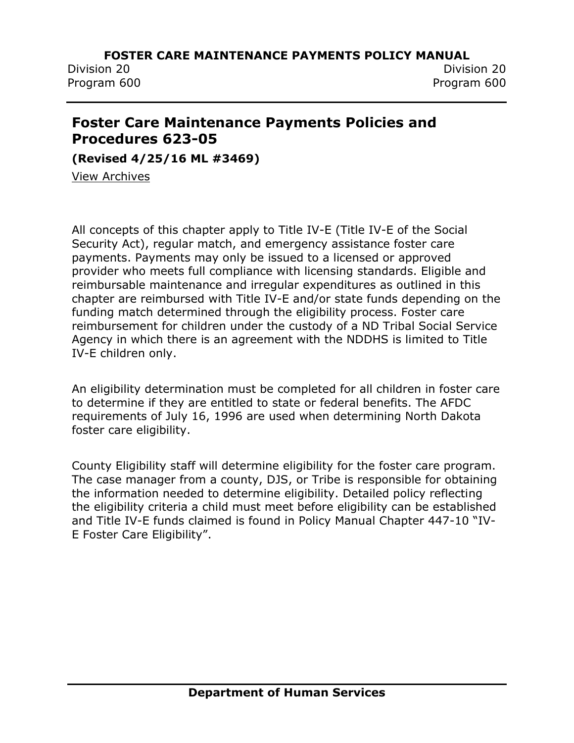Division 20 Division 20 Program 600 Program 600

## <span id="page-4-0"></span>**Foster Care Maintenance Payments Policies and Procedures 623-05**

**(Revised 4/25/16 ML #3469)**

[View Archives](../../../Content/Archived%20Documents/archives.htm#623_05)

All concepts of this chapter apply to Title IV-E (Title IV-E of the Social Security Act), regular match, and emergency assistance foster care payments. Payments may only be issued to a licensed or approved provider who meets full compliance with licensing standards. Eligible and reimbursable maintenance and irregular expenditures as outlined in this chapter are reimbursed with Title IV-E and/or state funds depending on the funding match determined through the eligibility process. Foster care reimbursement for children under the custody of a ND Tribal Social Service Agency in which there is an agreement with the NDDHS is limited to Title IV-E children only.

An eligibility determination must be completed for all children in foster care to determine if they are entitled to state or federal benefits. The AFDC requirements of July 16, 1996 are used when determining North Dakota foster care eligibility.

County Eligibility staff will determine eligibility for the foster care program. The case manager from a county, DJS, or Tribe is responsible for obtaining the information needed to determine eligibility. Detailed policy reflecting the eligibility criteria a child must meet before eligibility can be established and Title IV-E funds claimed is found in Policy Manual Chapter 447-10 "IV-E Foster Care Eligibility".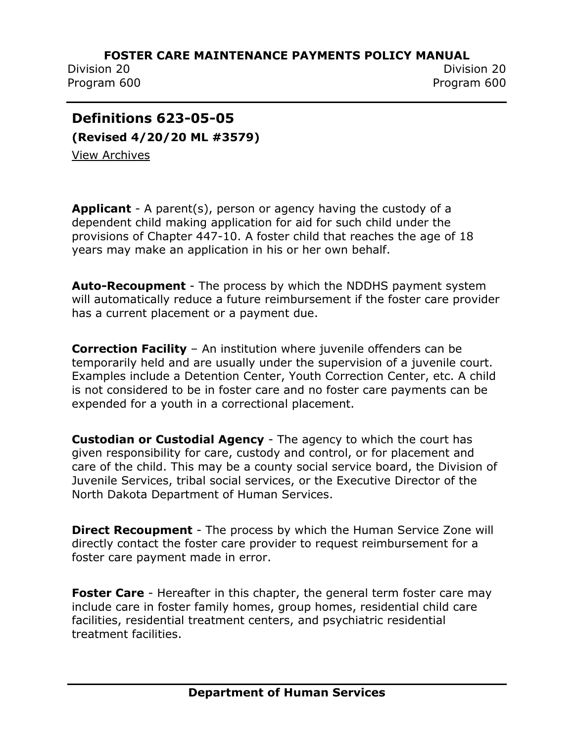Program 600 Program 600

Division 20 Division 20

## <span id="page-5-0"></span>**Definitions 623-05-05**

**(Revised 4/20/20 ML #3579)** [View Archives](../../../Content/Archived%20Documents/archives.htm#623_05)

**Applicant** - A parent(s), person or agency having the custody of a dependent child making application for aid for such child under the provisions of Chapter 447-10. A foster child that reaches the age of 18 years may make an application in his or her own behalf.

**Auto-Recoupment** - The process by which the NDDHS payment system will automatically reduce a future reimbursement if the foster care provider has a current placement or a payment due.

**Correction Facility** – An institution where juvenile offenders can be temporarily held and are usually under the supervision of a juvenile court. Examples include a Detention Center, Youth Correction Center, etc. A child is not considered to be in foster care and no foster care payments can be expended for a youth in a correctional placement.

**Custodian or Custodial Agency** - The agency to which the court has given responsibility for care, custody and control, or for placement and care of the child. This may be a county social service board, the Division of Juvenile Services, tribal social services, or the Executive Director of the North Dakota Department of Human Services.

**Direct Recoupment** - The process by which the Human Service Zone will directly contact the foster care provider to request reimbursement for a foster care payment made in error.

**Foster Care** - Hereafter in this chapter, the general term foster care may include care in foster family homes, group homes, residential child care facilities, residential treatment centers, and psychiatric residential treatment facilities.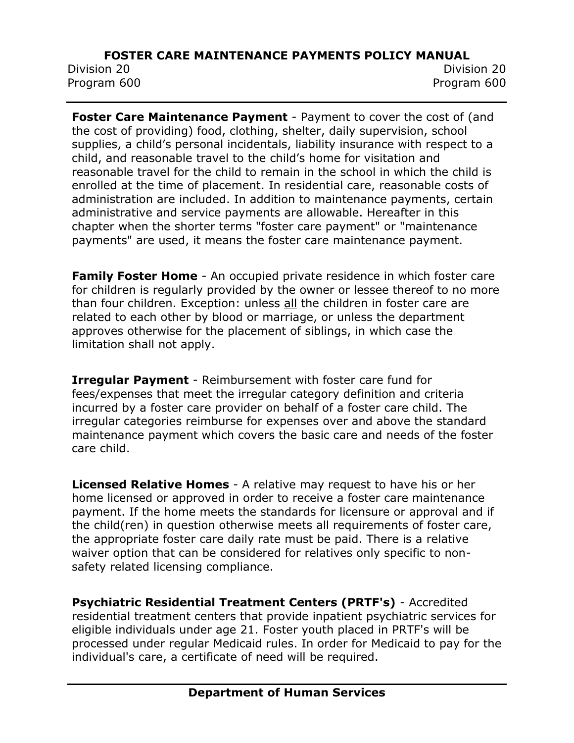Division 20 Division 20 Program 600 Program 600

**Foster Care Maintenance Payment** - Payment to cover the cost of (and the cost of providing) food, clothing, shelter, daily supervision, school supplies, a child's personal incidentals, liability insurance with respect to a child, and reasonable travel to the child's home for visitation and reasonable travel for the child to remain in the school in which the child is enrolled at the time of placement. In residential care, reasonable costs of administration are included. In addition to maintenance payments, certain administrative and service payments are allowable. Hereafter in this chapter when the shorter terms "foster care payment" or "maintenance payments" are used, it means the foster care maintenance payment.

**Family Foster Home** - An occupied private residence in which foster care for children is regularly provided by the owner or lessee thereof to no more than four children. Exception: unless all the children in foster care are related to each other by blood or marriage, or unless the department approves otherwise for the placement of siblings, in which case the limitation shall not apply.

**Irregular Payment** - Reimbursement with foster care fund for fees/expenses that meet the irregular category definition and criteria incurred by a foster care provider on behalf of a foster care child. The irregular categories reimburse for expenses over and above the standard maintenance payment which covers the basic care and needs of the foster care child.

**Licensed Relative Homes** - A relative may request to have his or her home licensed or approved in order to receive a foster care maintenance payment. If the home meets the standards for licensure or approval and if the child(ren) in question otherwise meets all requirements of foster care, the appropriate foster care daily rate must be paid. There is a relative waiver option that can be considered for relatives only specific to nonsafety related licensing compliance.

**Psychiatric Residential Treatment Centers (PRTF's)** - Accredited residential treatment centers that provide inpatient psychiatric services for eligible individuals under age 21. Foster youth placed in PRTF's will be processed under regular Medicaid rules. In order for Medicaid to pay for the individual's care, a certificate of need will be required.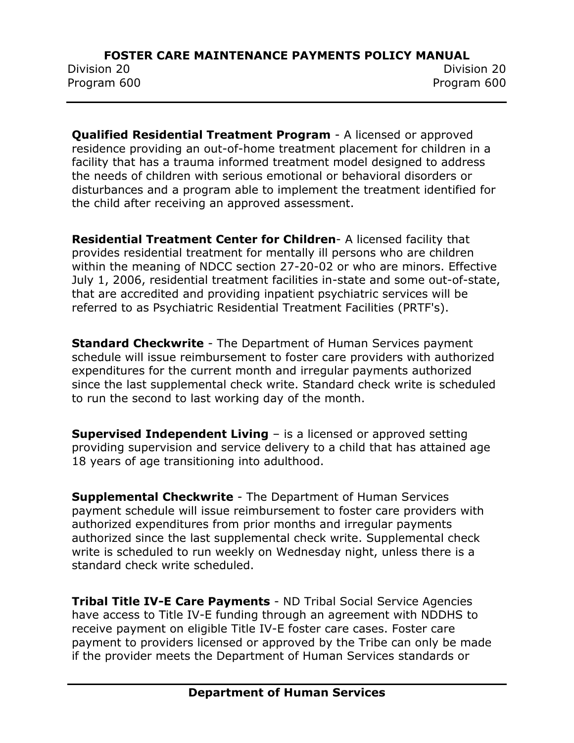Division 20 Division 20 Program 600 Program 600

**Qualified Residential Treatment Program** - A licensed or approved residence providing an out-of-home treatment placement for children in a facility that has a trauma informed treatment model designed to address the needs of children with serious emotional or behavioral disorders or disturbances and a program able to implement the treatment identified for the child after receiving an approved assessment.

**Residential Treatment Center for Children**- A licensed facility that provides residential treatment for mentally ill persons who are children within the meaning of NDCC section 27-20-02 or who are minors. Effective July 1, 2006, residential treatment facilities in-state and some out-of-state, that are accredited and providing inpatient psychiatric services will be referred to as Psychiatric Residential Treatment Facilities (PRTF's).

**Standard Checkwrite** - The Department of Human Services payment schedule will issue reimbursement to foster care providers with authorized expenditures for the current month and irregular payments authorized since the last supplemental check write. Standard check write is scheduled to run the second to last working day of the month.

**Supervised Independent Living – is a licensed or approved setting** providing supervision and service delivery to a child that has attained age 18 years of age transitioning into adulthood.

**Supplemental Checkwrite** - The Department of Human Services payment schedule will issue reimbursement to foster care providers with authorized expenditures from prior months and irregular payments authorized since the last supplemental check write. Supplemental check write is scheduled to run weekly on Wednesday night, unless there is a standard check write scheduled.

**Tribal Title IV-E Care Payments** - ND Tribal Social Service Agencies have access to Title IV-E funding through an agreement with NDDHS to receive payment on eligible Title IV-E foster care cases. Foster care payment to providers licensed or approved by the Tribe can only be made if the provider meets the Department of Human Services standards or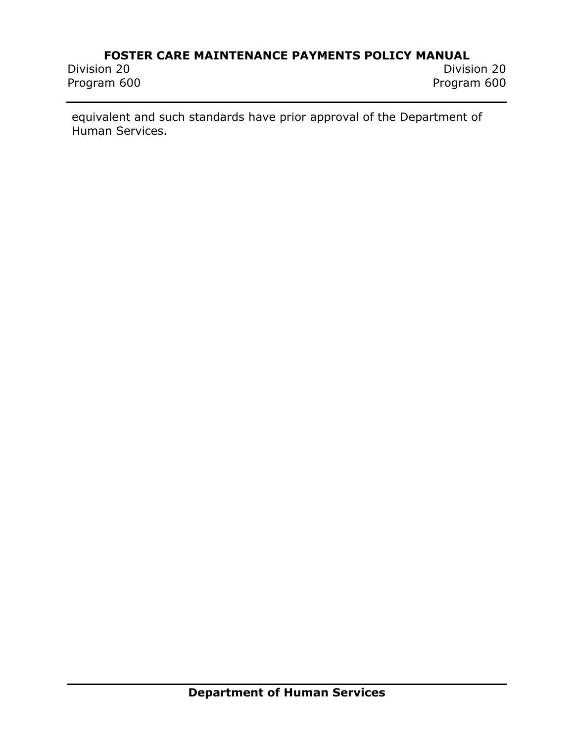# **FOSTER CARE MAINTENANCE PAYMENTS POLICY MANUAL**<br>Division 20

Program 600

Division 20 Division 20

equivalent and such standards have prior approval of the Department of Human Services.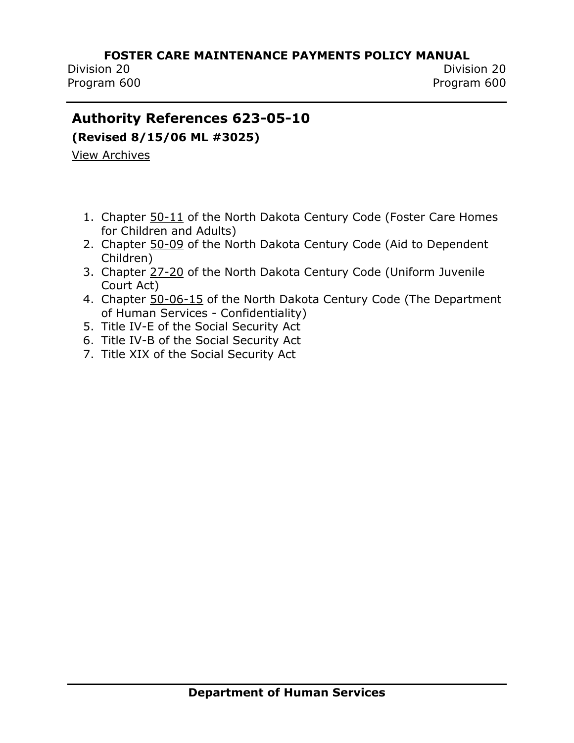Division 20 Division 20 Program 600 Program 600

## <span id="page-9-0"></span>**Authority References 623-05-10**

**(Revised 8/15/06 ML #3025)**

[View Archives](../../../Content/Archived%20Documents/archives.htm#623_05_10)

- 1. Chapter [50-11](http://www.legis.nd.gov/cencode/t50c11.pdf) of the North Dakota Century Code (Foster Care Homes for Children and Adults)
- 2. Chapter [50-09](http://www.legis.nd.gov/cencode/t50c09.pdf) of the North Dakota Century Code (Aid to Dependent Children)
- 3. Chapter [27-20](http://www.legis.nd.gov/cencode/t27c20.pdf) of the North Dakota Century Code (Uniform Juvenile Court Act)
- 4. Chapter [50-06-15](http://www.legis.nd.gov/cencode/t50c06.pdf) of the North Dakota Century Code (The Department of Human Services - Confidentiality)
- 5. Title IV-E of the Social Security Act
- 6. Title IV-B of the Social Security Act
- 7. Title XIX of the Social Security Act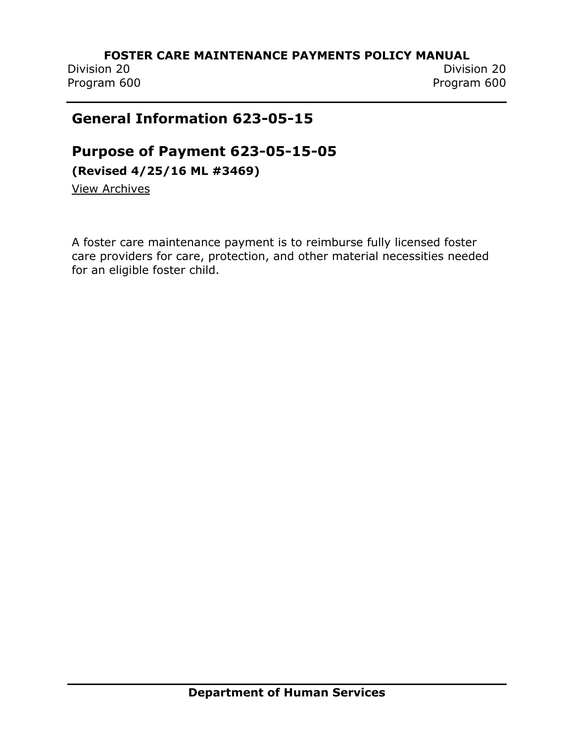Program 600 Program 600

Division 20 Division 20

## <span id="page-10-0"></span>**General Information 623-05-15**

## <span id="page-10-1"></span>**Purpose of Payment 623-05-15-05**

**(Revised 4/25/16 ML #3469)**

[View Archives](../../../Content/Archived%20Documents/archives.htm#623_05_15_05)

A foster care maintenance payment is to reimburse fully licensed foster care providers for care, protection, and other material necessities needed for an eligible foster child.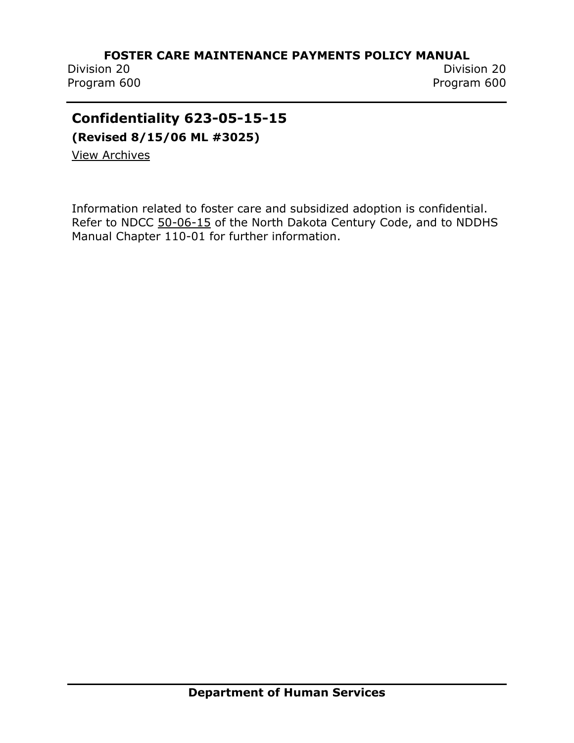Program 600 Program 600

Division 20 Division 20

## <span id="page-11-0"></span>**Confidentiality 623-05-15-15**

**(Revised 8/15/06 ML #3025)**

[View Archives](../../../Content/Archived%20Documents/archives.htm#623_05_15_15)

Information related to foster care and subsidized adoption is confidential. Refer to NDCC [50-06-15](http://www.legis.nd.gov/cencode/t50c06.pdf) of the North Dakota Century Code, and to NDDHS Manual Chapter 110-01 for further information.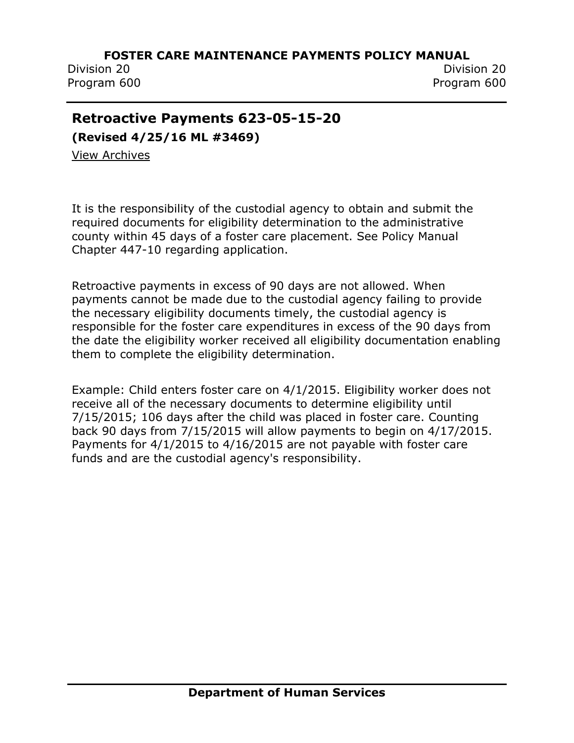Division 20 Division 20 Program 600 Program 600

## <span id="page-12-0"></span>**Retroactive Payments 623-05-15-20**

**(Revised 4/25/16 ML #3469)**

[View Archives](../../../Content/Archived%20Documents/archives.htm#623_05_15_20)

It is the responsibility of the custodial agency to obtain and submit the required documents for eligibility determination to the administrative county within 45 days of a foster care placement. See Policy Manual Chapter 447-10 regarding application.

Retroactive payments in excess of 90 days are not allowed. When payments cannot be made due to the custodial agency failing to provide the necessary eligibility documents timely, the custodial agency is responsible for the foster care expenditures in excess of the 90 days from the date the eligibility worker received all eligibility documentation enabling them to complete the eligibility determination.

Example: Child enters foster care on 4/1/2015. Eligibility worker does not receive all of the necessary documents to determine eligibility until 7/15/2015; 106 days after the child was placed in foster care. Counting back 90 days from 7/15/2015 will allow payments to begin on 4/17/2015. Payments for 4/1/2015 to 4/16/2015 are not payable with foster care funds and are the custodial agency's responsibility.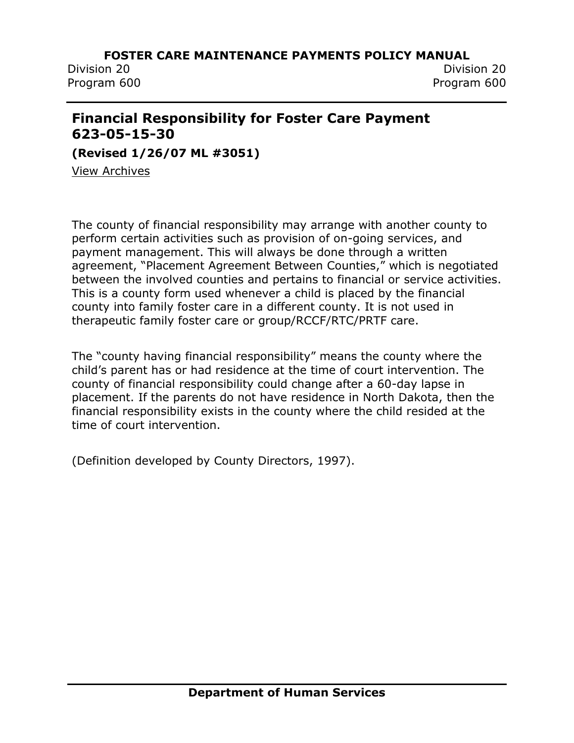Division 20 Division 20

Program 600 Program 600

## <span id="page-13-0"></span>**Financial Responsibility for Foster Care Payment 623-05-15-30**

**(Revised 1/26/07 ML #3051)**

[View Archives](../../../Content/Archived%20Documents/archives.htm#623_05_15_30)

The county of financial responsibility may arrange with another county to perform certain activities such as provision of on-going services, and payment management. This will always be done through a written agreement, "Placement Agreement Between Counties," which is negotiated between the involved counties and pertains to financial or service activities. This is a county form used whenever a child is placed by the financial county into family foster care in a different county. It is not used in therapeutic family foster care or group/RCCF/RTC/PRTF care.

The "county having financial responsibility" means the county where the child's parent has or had residence at the time of court intervention. The county of financial responsibility could change after a 60-day lapse in placement. If the parents do not have residence in North Dakota, then the financial responsibility exists in the county where the child resided at the time of court intervention.

(Definition developed by County Directors, 1997).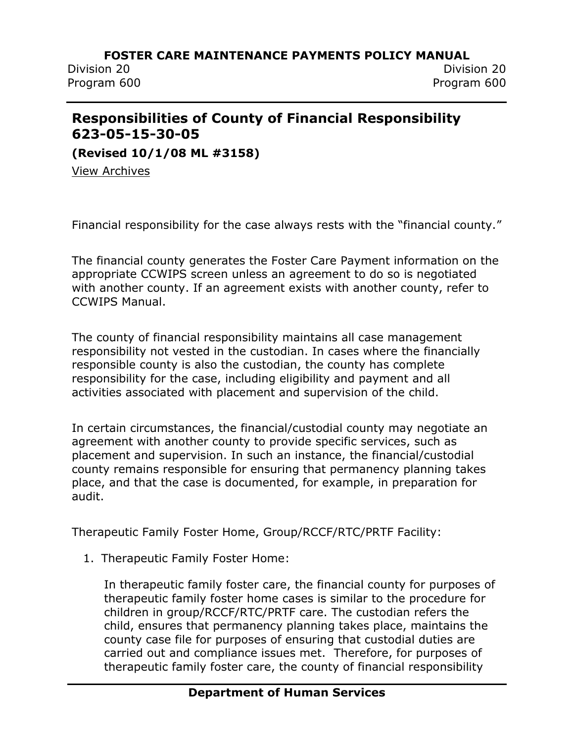Division 20 Division 20 Program 600 Program 600

## <span id="page-14-0"></span>**Responsibilities of County of Financial Responsibility 623-05-15-30-05**

**(Revised 10/1/08 ML #3158)**

[View Archives](../../../Content/Archived%20Documents/archives.htm#623_05_15_30_05)

Financial responsibility for the case always rests with the "financial county."

The financial county generates the Foster Care Payment information on the appropriate CCWIPS screen unless an agreement to do so is negotiated with another county. If an agreement exists with another county, refer to CCWIPS Manual.

The county of financial responsibility maintains all case management responsibility not vested in the custodian. In cases where the financially responsible county is also the custodian, the county has complete responsibility for the case, including eligibility and payment and all activities associated with placement and supervision of the child.

In certain circumstances, the financial/custodial county may negotiate an agreement with another county to provide specific services, such as placement and supervision. In such an instance, the financial/custodial county remains responsible for ensuring that permanency planning takes place, and that the case is documented, for example, in preparation for audit.

Therapeutic Family Foster Home, Group/RCCF/RTC/PRTF Facility:

1. Therapeutic Family Foster Home:

In therapeutic family foster care, the financial county for purposes of therapeutic family foster home cases is similar to the procedure for children in group/RCCF/RTC/PRTF care. The custodian refers the child, ensures that permanency planning takes place, maintains the county case file for purposes of ensuring that custodial duties are carried out and compliance issues met. Therefore, for purposes of therapeutic family foster care, the county of financial responsibility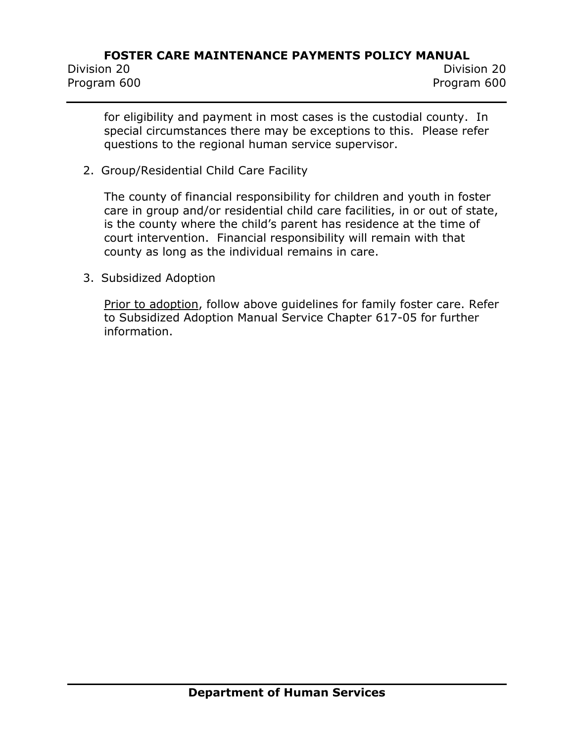for eligibility and payment in most cases is the custodial county. In special circumstances there may be exceptions to this. Please refer questions to the regional human service supervisor.

2. Group/Residential Child Care Facility

The county of financial responsibility for children and youth in foster care in group and/or residential child care facilities, in or out of state, is the county where the child's parent has residence at the time of court intervention. Financial responsibility will remain with that county as long as the individual remains in care.

3. Subsidized Adoption

Prior to adoption, follow above guidelines for family foster care. Refer to Subsidized Adoption Manual Service Chapter 617-05 for further information.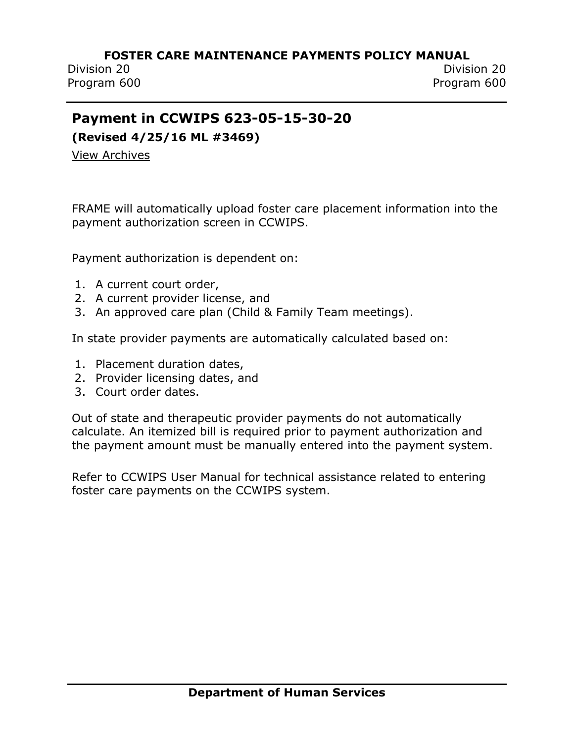Division 20 Division 20 Program 600 Program 600

## <span id="page-16-0"></span>**Payment in CCWIPS 623-05-15-30-20**

**(Revised 4/25/16 ML #3469)**

[View Archives](../../../Content/Archived%20Documents/archives.htm#623_05_15_30_20)

FRAME will automatically upload foster care placement information into the payment authorization screen in CCWIPS.

Payment authorization is dependent on:

- 1. A current court order,
- 2. A current provider license, and
- 3. An approved care plan (Child & Family Team meetings).

In state provider payments are automatically calculated based on:

- 1. Placement duration dates,
- 2. Provider licensing dates, and
- 3. Court order dates.

Out of state and therapeutic provider payments do not automatically calculate. An itemized bill is required prior to payment authorization and the payment amount must be manually entered into the payment system.

Refer to CCWIPS User Manual for technical assistance related to entering foster care payments on the CCWIPS system.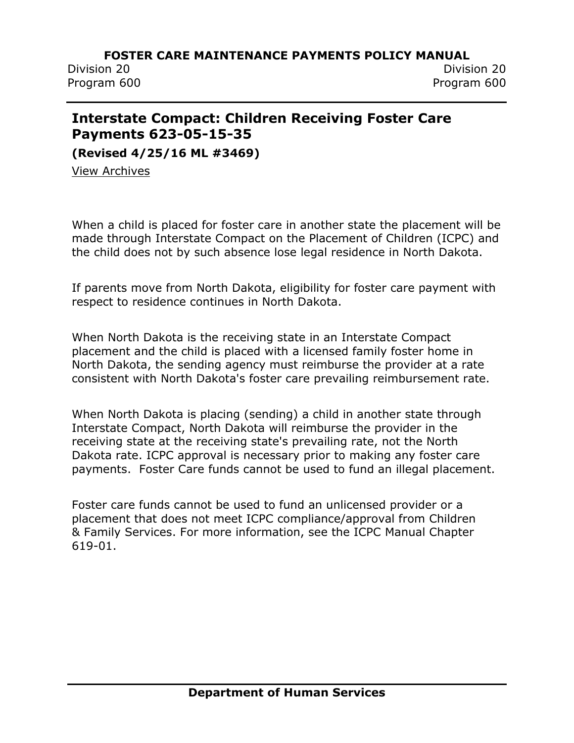Division 20 Division 20 Program 600 Program 600

## <span id="page-17-0"></span>**Interstate Compact: Children Receiving Foster Care Payments 623-05-15-35**

**(Revised 4/25/16 ML #3469)**

[View Archives](../../../Content/Archived%20Documents/archives.htm#623_05_15_35)

When a child is placed for foster care in another state the placement will be made through Interstate Compact on the Placement of Children (ICPC) and the child does not by such absence lose legal residence in North Dakota.

If parents move from North Dakota, eligibility for foster care payment with respect to residence continues in North Dakota.

When North Dakota is the receiving state in an Interstate Compact placement and the child is placed with a licensed family foster home in North Dakota, the sending agency must reimburse the provider at a rate consistent with North Dakota's foster care prevailing reimbursement rate.

When North Dakota is placing (sending) a child in another state through Interstate Compact, North Dakota will reimburse the provider in the receiving state at the receiving state's prevailing rate, not the North Dakota rate. ICPC approval is necessary prior to making any foster care payments. Foster Care funds cannot be used to fund an illegal placement.

Foster care funds cannot be used to fund an unlicensed provider or a placement that does not meet ICPC compliance/approval from Children & Family Services. For more information, see the ICPC Manual Chapter 619-01.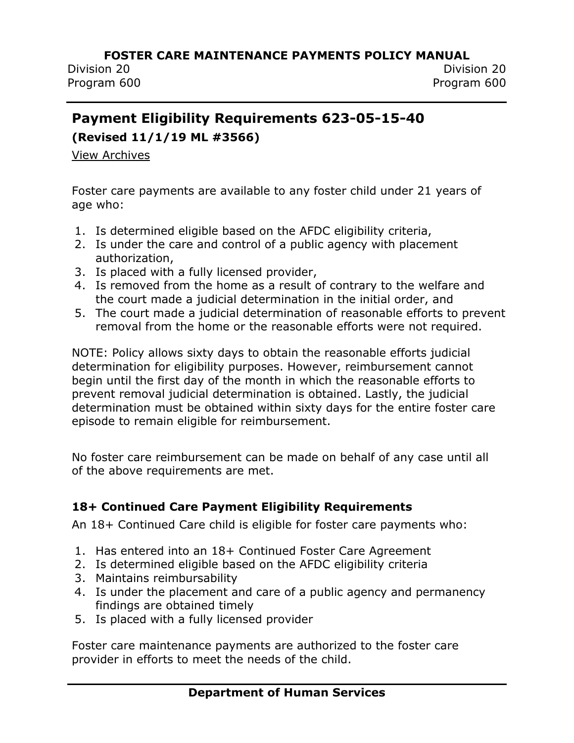## <span id="page-18-0"></span>**Payment Eligibility Requirements 623-05-15-40**

**(Revised 11/1/19 ML #3566)**

[View Archives](../../../Content/Archived%20Documents/archives.htm#623_05_15_40)

Foster care payments are available to any foster child under 21 years of age who:

- 1. Is determined eligible based on the AFDC eligibility criteria,
- 2. Is under the care and control of a public agency with placement authorization,
- 3. Is placed with a fully licensed provider,
- 4. Is removed from the home as a result of contrary to the welfare and the court made a judicial determination in the initial order, and
- 5. The court made a judicial determination of reasonable efforts to prevent removal from the home or the reasonable efforts were not required.

NOTE: Policy allows sixty days to obtain the reasonable efforts judicial determination for eligibility purposes. However, reimbursement cannot begin until the first day of the month in which the reasonable efforts to prevent removal judicial determination is obtained. Lastly, the judicial determination must be obtained within sixty days for the entire foster care episode to remain eligible for reimbursement.

No foster care reimbursement can be made on behalf of any case until all of the above requirements are met.

## **18+ Continued Care Payment Eligibility Requirements**

An 18+ Continued Care child is eligible for foster care payments who:

- 1. Has entered into an 18+ Continued Foster Care Agreement
- 2. Is determined eligible based on the AFDC eligibility criteria
- 3. Maintains reimbursability
- 4. Is under the placement and care of a public agency and permanency findings are obtained timely
- 5. Is placed with a fully licensed provider

Foster care maintenance payments are authorized to the foster care provider in efforts to meet the needs of the child.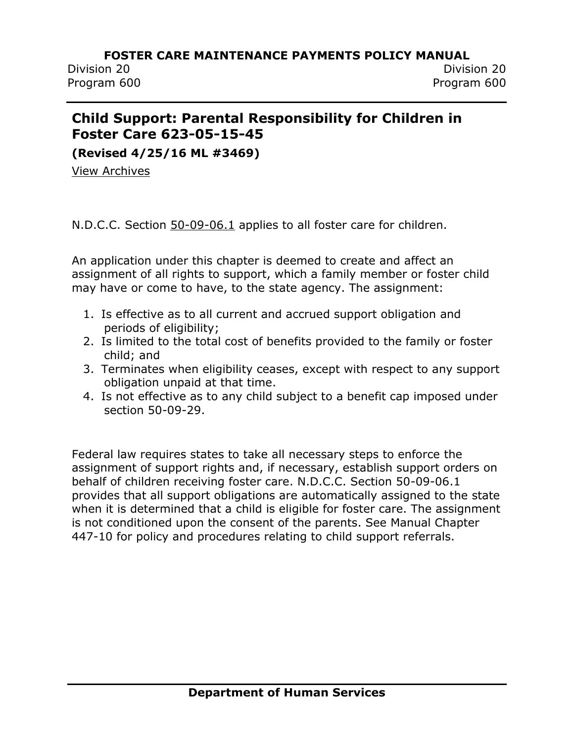## <span id="page-19-0"></span>**Child Support: Parental Responsibility for Children in Foster Care 623-05-15-45**

**(Revised 4/25/16 ML #3469)**

[View Archives](../../../Content/Archived%20Documents/archives.htm#623_05_15_45)

N.D.C.C. Section [50-09-06.1](http://www.legis.nd.gov/cencode/t50c09.pdf) applies to all foster care for children.

An application under this chapter is deemed to create and affect an assignment of all rights to support, which a family member or foster child may have or come to have, to the state agency. The assignment:

- 1. Is effective as to all current and accrued support obligation and periods of eligibility;
- 2. Is limited to the total cost of benefits provided to the family or foster child; and
- 3. Terminates when eligibility ceases, except with respect to any support obligation unpaid at that time.
- 4. Is not effective as to any child subject to a benefit cap imposed under section 50-09-29.

Federal law requires states to take all necessary steps to enforce the assignment of support rights and, if necessary, establish support orders on behalf of children receiving foster care. N.D.C.C. Section 50-09-06.1 provides that all support obligations are automatically assigned to the state when it is determined that a child is eligible for foster care. The assignment is not conditioned upon the consent of the parents. See Manual Chapter 447-10 for policy and procedures relating to child support referrals.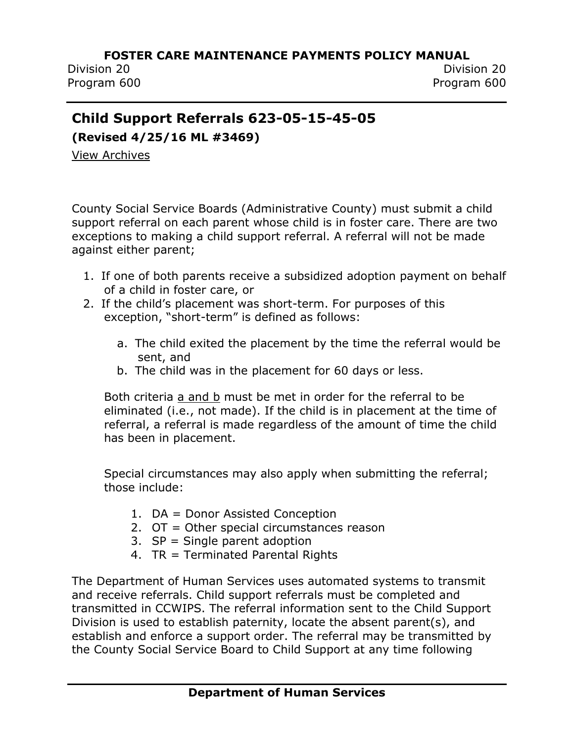Division 20 Division 20 Program 600 Program 600

## <span id="page-20-0"></span>**Child Support Referrals 623-05-15-45-05**

**(Revised 4/25/16 ML #3469)**

[View Archives](../../../Content/Archived%20Documents/archives.htm#623_05_15_45_05)

County Social Service Boards (Administrative County) must submit a child support referral on each parent whose child is in foster care. There are two exceptions to making a child support referral. A referral will not be made against either parent;

- 1. If one of both parents receive a subsidized adoption payment on behalf of a child in foster care, or
- 2. If the child's placement was short-term. For purposes of this exception, "short-term" is defined as follows:
	- a. The child exited the placement by the time the referral would be sent, and
	- b. The child was in the placement for 60 days or less.

Both criteria a and b must be met in order for the referral to be eliminated (i.e., not made). If the child is in placement at the time of referral, a referral is made regardless of the amount of time the child has been in placement.

Special circumstances may also apply when submitting the referral; those include:

- 1. DA = Donor Assisted Conception
- 2. OT = Other special circumstances reason
- 3. SP = Single parent adoption
- 4. TR = Terminated Parental Rights

The Department of Human Services uses automated systems to transmit and receive referrals. Child support referrals must be completed and transmitted in CCWIPS. The referral information sent to the Child Support Division is used to establish paternity, locate the absent parent(s), and establish and enforce a support order. The referral may be transmitted by the County Social Service Board to Child Support at any time following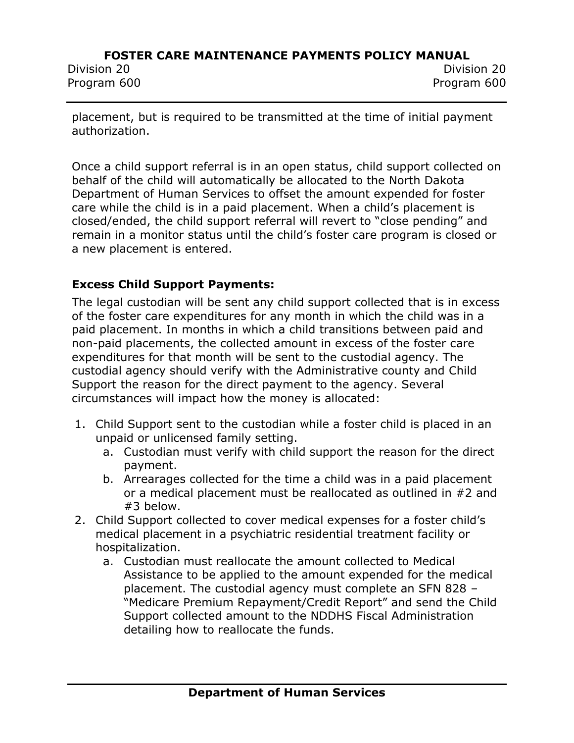Program 600 Program 600

Division 20 Division 20

placement, but is required to be transmitted at the time of initial payment authorization.

Once a child support referral is in an open status, child support collected on behalf of the child will automatically be allocated to the North Dakota Department of Human Services to offset the amount expended for foster care while the child is in a paid placement. When a child's placement is closed/ended, the child support referral will revert to "close pending" and remain in a monitor status until the child's foster care program is closed or a new placement is entered.

## **Excess Child Support Payments:**

The legal custodian will be sent any child support collected that is in excess of the foster care expenditures for any month in which the child was in a paid placement. In months in which a child transitions between paid and non-paid placements, the collected amount in excess of the foster care expenditures for that month will be sent to the custodial agency. The custodial agency should verify with the Administrative county and Child Support the reason for the direct payment to the agency. Several circumstances will impact how the money is allocated:

- 1. Child Support sent to the custodian while a foster child is placed in an unpaid or unlicensed family setting.
	- a. Custodian must verify with child support the reason for the direct payment.
	- b. Arrearages collected for the time a child was in a paid placement or a medical placement must be reallocated as outlined in #2 and #3 below.
- 2. Child Support collected to cover medical expenses for a foster child's medical placement in a psychiatric residential treatment facility or hospitalization.
	- a. Custodian must reallocate the amount collected to Medical Assistance to be applied to the amount expended for the medical placement. The custodial agency must complete an SFN 828 – "Medicare Premium Repayment/Credit Report" and send the Child Support collected amount to the NDDHS Fiscal Administration detailing how to reallocate the funds.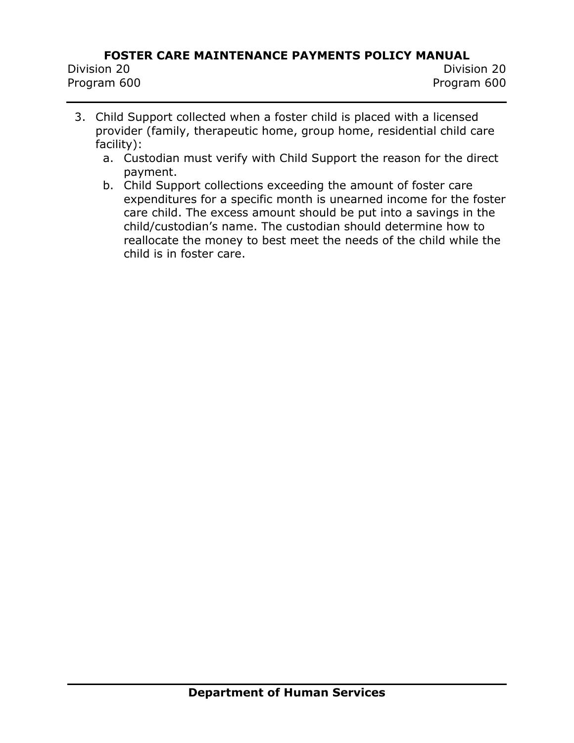- 3. Child Support collected when a foster child is placed with a licensed provider (family, therapeutic home, group home, residential child care facility):
	- a. Custodian must verify with Child Support the reason for the direct payment.
	- b. Child Support collections exceeding the amount of foster care expenditures for a specific month is unearned income for the foster care child. The excess amount should be put into a savings in the child/custodian's name. The custodian should determine how to reallocate the money to best meet the needs of the child while the child is in foster care.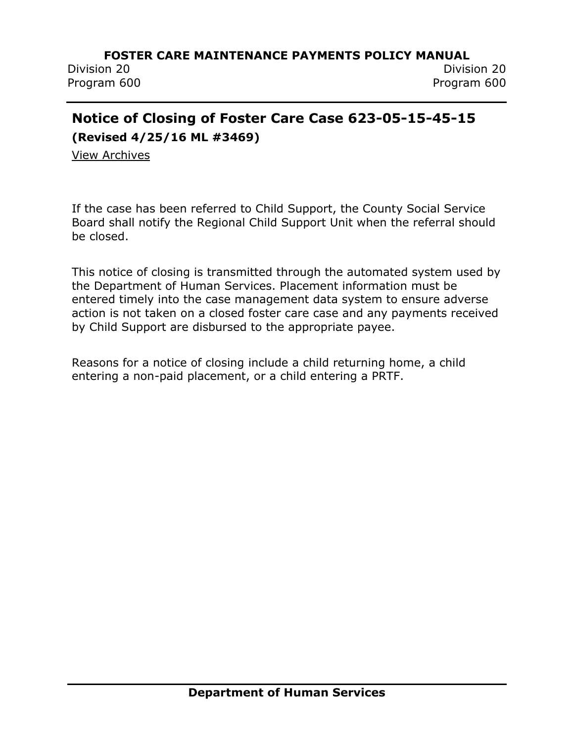Division 20 Division 20 Program 600 Program 600

## <span id="page-23-0"></span>**Notice of Closing of Foster Care Case 623-05-15-45-15**

**(Revised 4/25/16 ML #3469)**

[View Archives](../../../Content/Archived%20Documents/archives.htm#623_05_15_45_15)

If the case has been referred to Child Support, the County Social Service Board shall notify the Regional Child Support Unit when the referral should be closed.

This notice of closing is transmitted through the automated system used by the Department of Human Services. Placement information must be entered timely into the case management data system to ensure adverse action is not taken on a closed foster care case and any payments received by Child Support are disbursed to the appropriate payee.

Reasons for a notice of closing include a child returning home, a child entering a non-paid placement, or a child entering a PRTF.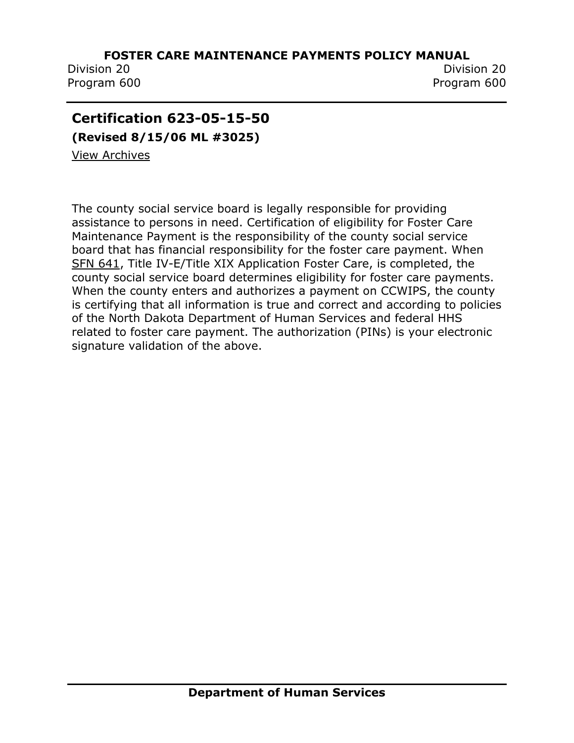Program 600 Program 600

Division 20 Division 20

## <span id="page-24-0"></span>**Certification 623-05-15-50**

**(Revised 8/15/06 ML #3025)**

[View Archives](../../../Content/Archived%20Documents/archives.htm#623_05_15_50)

The county social service board is legally responsible for providing assistance to persons in need. Certification of eligibility for Foster Care Maintenance Payment is the responsibility of the county social service board that has financial responsibility for the foster care payment. When [SFN 641,](http://www.state.nd.us/eforms/Doc/sfn00641.pdf) Title IV-E/Title XIX Application Foster Care, is completed, the county social service board determines eligibility for foster care payments. When the county enters and authorizes a payment on CCWIPS, the county is certifying that all information is true and correct and according to policies of the North Dakota Department of Human Services and federal HHS related to foster care payment. The authorization (PINs) is your electronic signature validation of the above.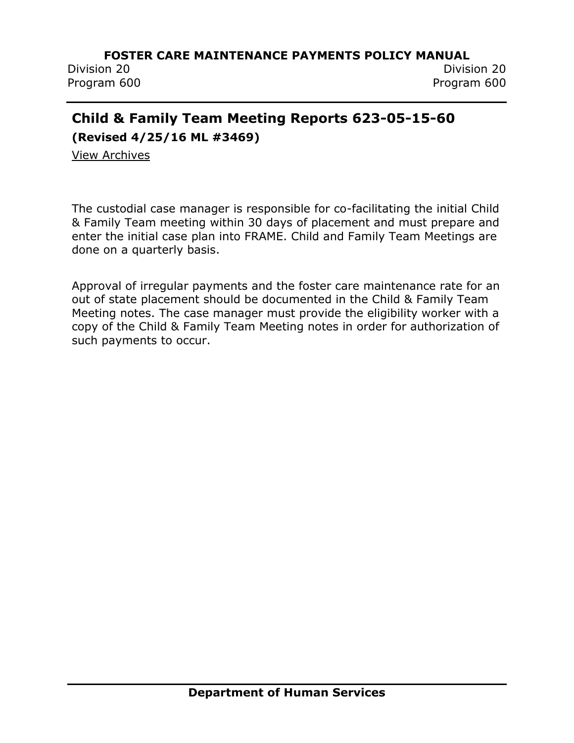Division 20 Division 20 Program 600 Program 600

## <span id="page-25-0"></span>**Child & Family Team Meeting Reports 623-05-15-60**

**(Revised 4/25/16 ML #3469)**

[View Archives](../../../Content/Archived%20Documents/archives.htm#623_05_15_60)

The custodial case manager is responsible for co-facilitating the initial Child & Family Team meeting within 30 days of placement and must prepare and enter the initial case plan into FRAME. Child and Family Team Meetings are done on a quarterly basis.

Approval of irregular payments and the foster care maintenance rate for an out of state placement should be documented in the Child & Family Team Meeting notes. The case manager must provide the eligibility worker with a copy of the Child & Family Team Meeting notes in order for authorization of such payments to occur.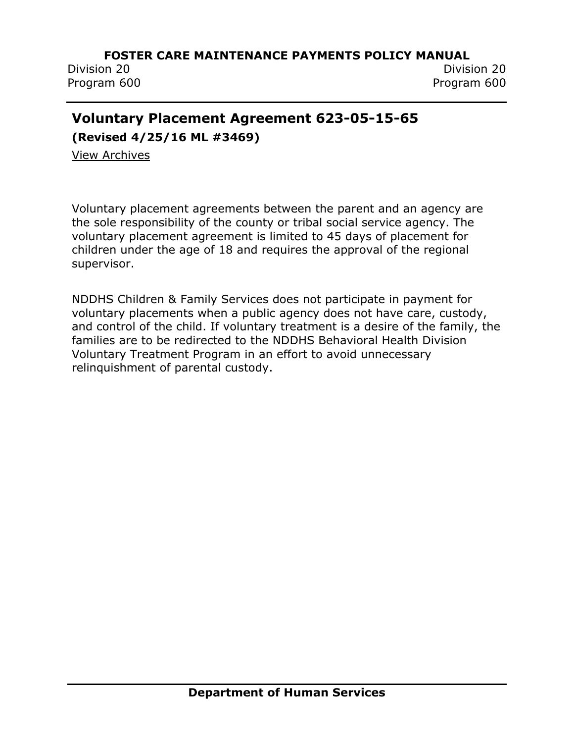Division 20 Division 20 Program 600 Program 600

## <span id="page-26-0"></span>**Voluntary Placement Agreement 623-05-15-65**

**(Revised 4/25/16 ML #3469)**

View [Archives](../../../Content/Archived%20Documents/archives.htm#623_05_15_65)

Voluntary placement agreements between the parent and an agency are the sole responsibility of the county or tribal social service agency. The voluntary placement agreement is limited to 45 days of placement for children under the age of 18 and requires the approval of the regional supervisor.

NDDHS Children & Family Services does not participate in payment for voluntary placements when a public agency does not have care, custody, and control of the child. If voluntary treatment is a desire of the family, the families are to be redirected to the NDDHS Behavioral Health Division Voluntary Treatment Program in an effort to avoid unnecessary relinquishment of parental custody.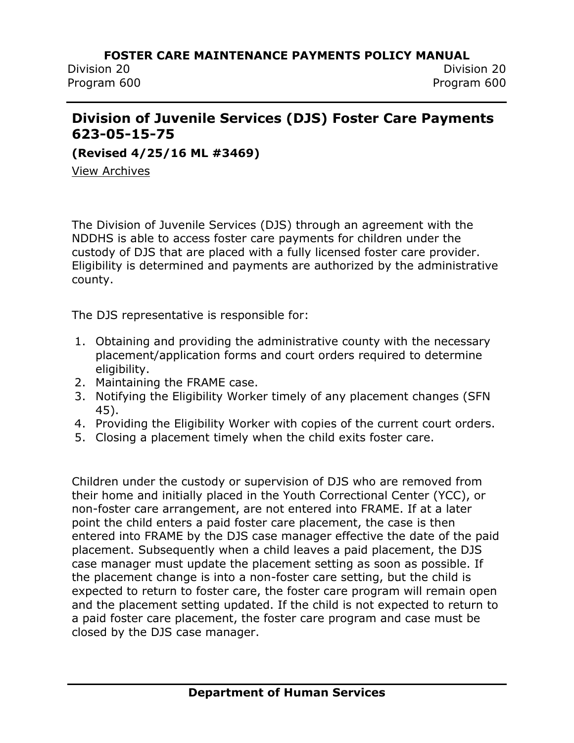## <span id="page-27-0"></span>**Division of Juvenile Services (DJS) Foster Care Payments 623-05-15-75**

**(Revised 4/25/16 ML #3469)**

[View Archives](../../../Content/Archived%20Documents/archives.htm#623_05_15_75)

The Division of Juvenile Services (DJS) through an agreement with the NDDHS is able to access foster care payments for children under the custody of DJS that are placed with a fully licensed foster care provider. Eligibility is determined and payments are authorized by the administrative county.

The DJS representative is responsible for:

- 1. Obtaining and providing the administrative county with the necessary placement/application forms and court orders required to determine eligibility.
- 2. Maintaining the FRAME case.
- 3. Notifying the Eligibility Worker timely of any placement changes (SFN 45).
- 4. Providing the Eligibility Worker with copies of the current court orders.
- 5. Closing a placement timely when the child exits foster care.

Children under the custody or supervision of DJS who are removed from their home and initially placed in the Youth Correctional Center (YCC), or non-foster care arrangement, are not entered into FRAME. If at a later point the child enters a paid foster care placement, the case is then entered into FRAME by the DJS case manager effective the date of the paid placement. Subsequently when a child leaves a paid placement, the DJS case manager must update the placement setting as soon as possible. If the placement change is into a non-foster care setting, but the child is expected to return to foster care, the foster care program will remain open and the placement setting updated. If the child is not expected to return to a paid foster care placement, the foster care program and case must be closed by the DJS case manager.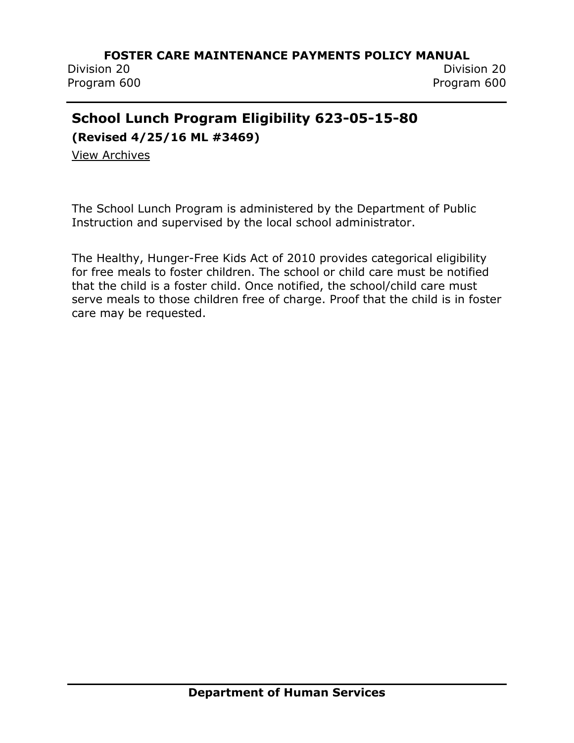Division 20 Division 20 Program 600 Program 600

## <span id="page-28-0"></span>**School Lunch Program Eligibility 623-05-15-80**

**(Revised 4/25/16 ML #3469)**

[View Archives](../../../Content/Archived%20Documents/archives.htm#623_05_15_80)

The School Lunch Program is administered by the Department of Public Instruction and supervised by the local school administrator.

The Healthy, Hunger-Free Kids Act of 2010 provides categorical eligibility for free meals to foster children. The school or child care must be notified that the child is a foster child. Once notified, the school/child care must serve meals to those children free of charge. Proof that the child is in foster care may be requested.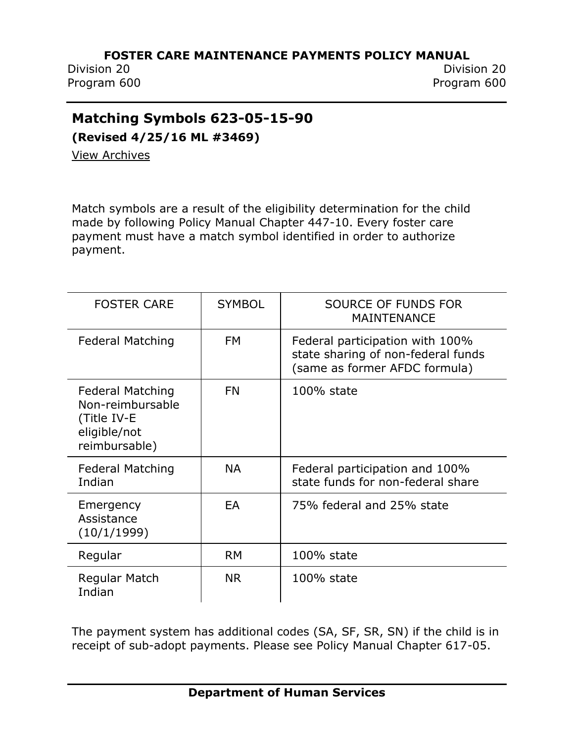Division 20 Division 20 Program 600 Program 600

## <span id="page-29-0"></span>**Matching Symbols 623-05-15-90**

**(Revised 4/25/16 ML #3469)**

[View Archives](../../../Content/Archived%20Documents/archives.htm#623_05_15_90)

Match symbols are a result of the eligibility determination for the child made by following Policy Manual Chapter 447-10. Every foster care payment must have a match symbol identified in order to authorize payment.

| <b>FOSTER CARE</b>                                                                          | <b>SYMBOL</b> | SOURCE OF FUNDS FOR<br><b>MAINTENANCE</b>                                                              |
|---------------------------------------------------------------------------------------------|---------------|--------------------------------------------------------------------------------------------------------|
| <b>Federal Matching</b>                                                                     | <b>FM</b>     | Federal participation with 100%<br>state sharing of non-federal funds<br>(same as former AFDC formula) |
| <b>Federal Matching</b><br>Non-reimbursable<br>(Title IV-E<br>eligible/not<br>reimbursable) | <b>FN</b>     | $100\%$ state                                                                                          |
| <b>Federal Matching</b><br>Indian                                                           | <b>NA</b>     | Federal participation and 100%<br>state funds for non-federal share                                    |
| Emergency<br>Assistance<br>(10/1/1999)                                                      | EA            | 75% federal and 25% state                                                                              |
| Regular                                                                                     | <b>RM</b>     | 100% state                                                                                             |
| Regular Match<br>Indian                                                                     | <b>NR</b>     | 100% state                                                                                             |

The payment system has additional codes (SA, SF, SR, SN) if the child is in receipt of sub-adopt payments. Please see Policy Manual Chapter 617-05.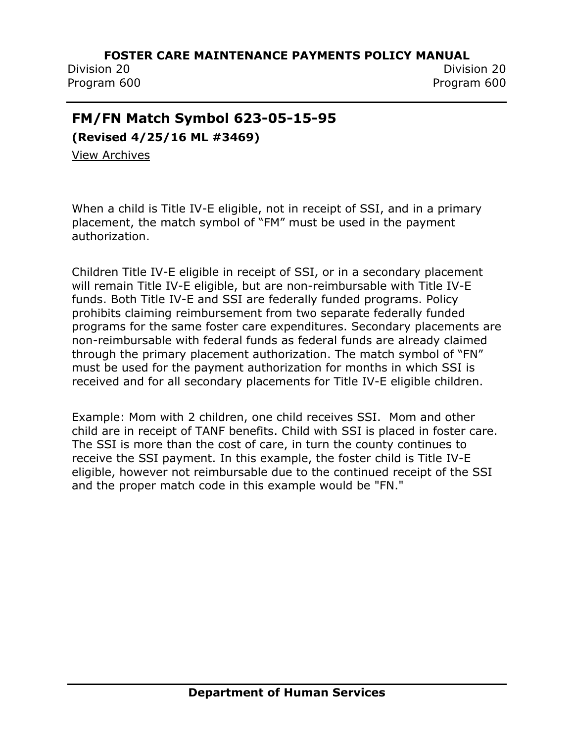Division 20 Division 20 Program 600 Program 600

## <span id="page-30-0"></span>**FM/FN Match Symbol 623-05-15-95**

**(Revised 4/25/16 ML #3469)**

[View Archives](../../../Content/Archived%20Documents/archives.htm#623_05_15_95)

When a child is Title IV-E eligible, not in receipt of SSI, and in a primary placement, the match symbol of "FM" must be used in the payment authorization.

Children Title IV-E eligible in receipt of SSI, or in a secondary placement will remain Title IV-E eligible, but are non-reimbursable with Title IV-E funds. Both Title IV-E and SSI are federally funded programs. Policy prohibits claiming reimbursement from two separate federally funded programs for the same foster care expenditures. Secondary placements are non-reimbursable with federal funds as federal funds are already claimed through the primary placement authorization. The match symbol of "FN" must be used for the payment authorization for months in which SSI is received and for all secondary placements for Title IV-E eligible children.

Example: Mom with 2 children, one child receives SSI. Mom and other child are in receipt of TANF benefits. Child with SSI is placed in foster care. The SSI is more than the cost of care, in turn the county continues to receive the SSI payment. In this example, the foster child is Title IV-E eligible, however not reimbursable due to the continued receipt of the SSI and the proper match code in this example would be "FN."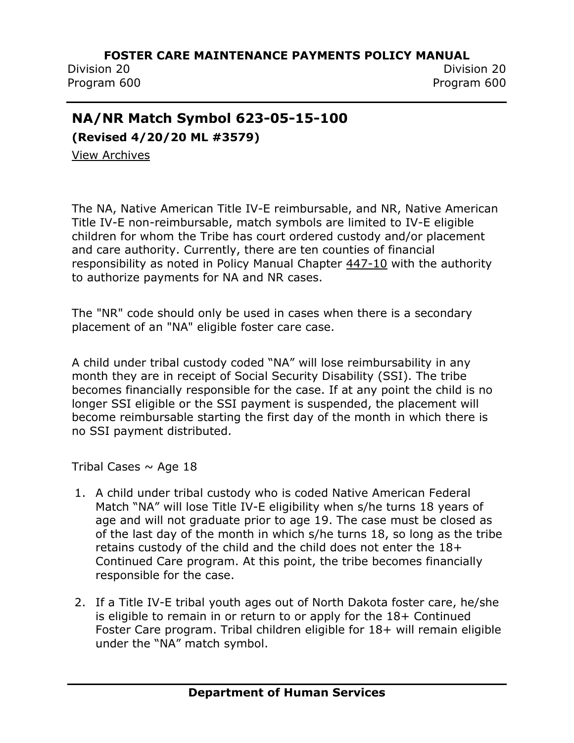Division 20 Division 20 Program 600 Program 600

## <span id="page-31-0"></span>**NA/NR Match Symbol 623-05-15-100**

**(Revised 4/20/20 ML #3579)**

[View Archives](../../../Content/Archived%20Documents/archives.htm#623_05_15_100)

The NA, Native American Title IV-E reimbursable, and NR, Native American Title IV-E non-reimbursable, match symbols are limited to IV-E eligible children for whom the Tribe has court ordered custody and/or placement and care authority. Currently, there are ten counties of financial responsibility as noted in Policy Manual Chapter [447-10](http://www.nd.gov/dhs/policymanuals/44710/44710.htm) with the authority to authorize payments for NA and NR cases.

The "NR" code should only be used in cases when there is a secondary placement of an "NA" eligible foster care case.

A child under tribal custody coded "NA" will lose reimbursability in any month they are in receipt of Social Security Disability (SSI). The tribe becomes financially responsible for the case. If at any point the child is no longer SSI eligible or the SSI payment is suspended, the placement will become reimbursable starting the first day of the month in which there is no SSI payment distributed.

Tribal Cases  $\sim$  Age 18

- 1. A child under tribal custody who is coded Native American Federal Match "NA" will lose Title IV-E eligibility when s/he turns 18 years of age and will not graduate prior to age 19. The case must be closed as of the last day of the month in which s/he turns 18, so long as the tribe retains custody of the child and the child does not enter the 18+ Continued Care program. At this point, the tribe becomes financially responsible for the case.
- 2. If a Title IV-E tribal youth ages out of North Dakota foster care, he/she is eligible to remain in or return to or apply for the 18+ Continued Foster Care program. Tribal children eligible for 18+ will remain eligible under the "NA" match symbol.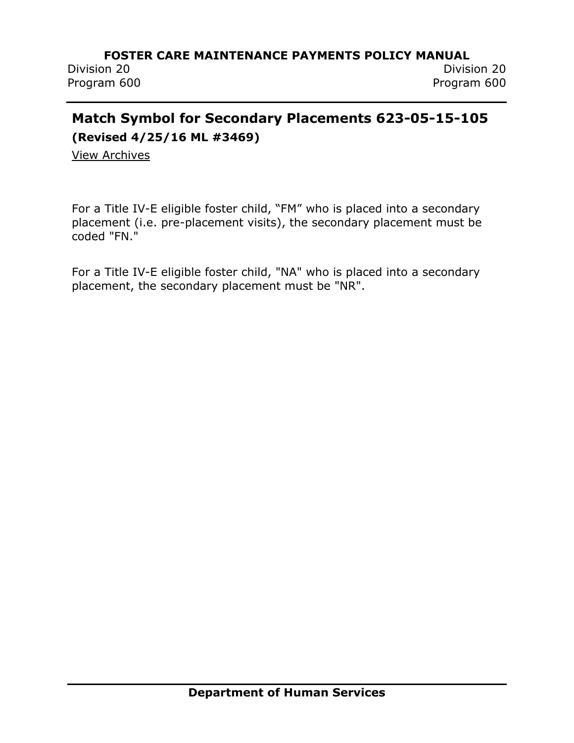Division 20 Division 20 Program 600 Program 600

# <span id="page-32-0"></span>**Match Symbol for Secondary Placements 623-05-15-105**

**(Revised 4/25/16 ML #3469)**

[View Archives](../../../Content/Archived%20Documents/archives.htm#623_05_15_105)

For a Title IV-E eligible foster child, "FM" who is placed into a secondary placement (i.e. pre-placement visits), the secondary placement must be coded "FN."

For a Title IV-E eligible foster child, "NA" who is placed into a secondary placement, the secondary placement must be "NR".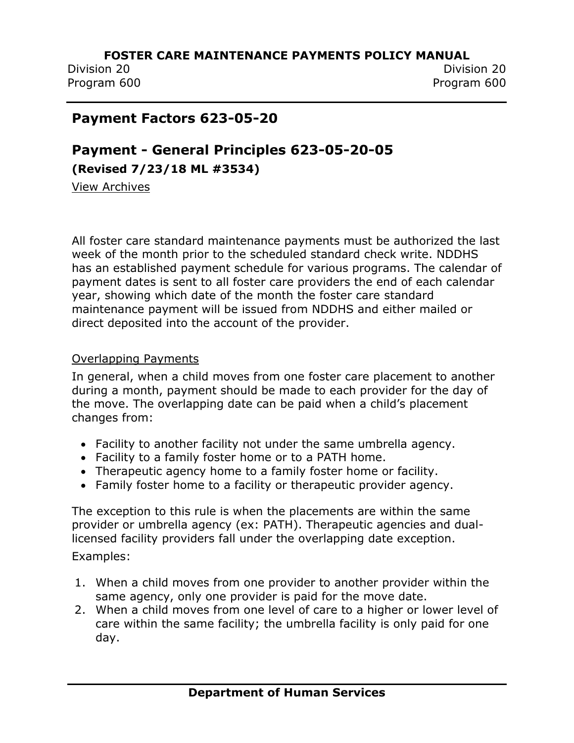Division 20 Division 20 Program 600 Program 600

## <span id="page-33-0"></span>**Payment Factors 623-05-20**

## <span id="page-33-1"></span>**Payment - General Principles 623-05-20-05 (Revised 7/23/18 ML #3534)**

[View Archives](../../../Content/Archived%20Documents/archives.htm#623_05_20_05)

All foster care standard maintenance payments must be authorized the last week of the month prior to the scheduled standard check write. NDDHS has an established payment schedule for various programs. The calendar of payment dates is sent to all foster care providers the end of each calendar year, showing which date of the month the foster care standard maintenance payment will be issued from NDDHS and either mailed or direct deposited into the account of the provider.

### Overlapping Payments

In general, when a child moves from one foster care placement to another during a month, payment should be made to each provider for the day of the move. The overlapping date can be paid when a child's placement changes from:

- Facility to another facility not under the same umbrella agency.
- Facility to a family foster home or to a PATH home.
- Therapeutic agency home to a family foster home or facility.
- Family foster home to a facility or therapeutic provider agency.

The exception to this rule is when the placements are within the same provider or umbrella agency (ex: PATH). Therapeutic agencies and duallicensed facility providers fall under the overlapping date exception.

Examples:

- 1. When a child moves from one provider to another provider within the same agency, only one provider is paid for the move date.
- 2. When a child moves from one level of care to a higher or lower level of care within the same facility; the umbrella facility is only paid for one day.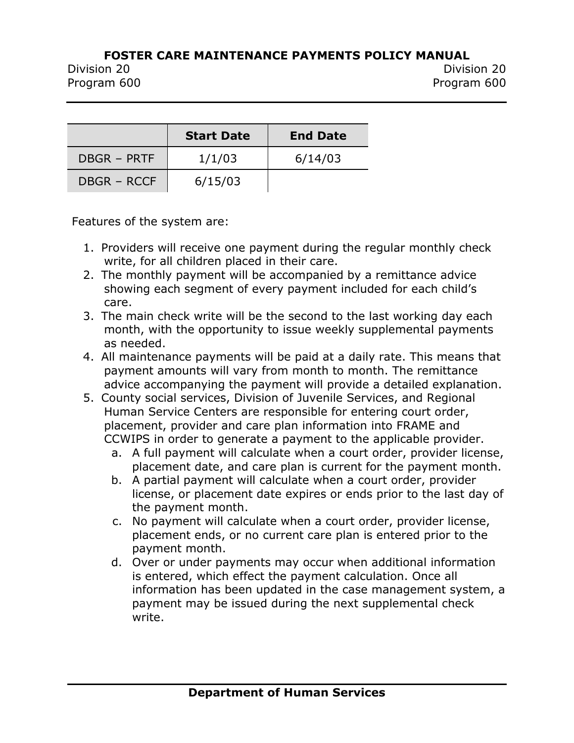Division 20 Division 20 Program 600 Program 600

|                    | <b>Start Date</b> | <b>End Date</b> |
|--------------------|-------------------|-----------------|
| DBGR - PRTF        | 1/1/03            | 6/14/03         |
| <b>DBGR - RCCF</b> | 6/15/03           |                 |

Features of the system are:

- 1. Providers will receive one payment during the regular monthly check write, for all children placed in their care.
- 2. The monthly payment will be accompanied by a remittance advice showing each segment of every payment included for each child's care.
- 3. The main check write will be the second to the last working day each month, with the opportunity to issue weekly supplemental payments as needed.
- 4. All maintenance payments will be paid at a daily rate. This means that payment amounts will vary from month to month. The remittance advice accompanying the payment will provide a detailed explanation.
- 5. County social services, Division of Juvenile Services, and Regional Human Service Centers are responsible for entering court order, placement, provider and care plan information into FRAME and CCWIPS in order to generate a payment to the applicable provider.
	- a. A full payment will calculate when a court order, provider license, placement date, and care plan is current for the payment month.
	- b. A partial payment will calculate when a court order, provider license, or placement date expires or ends prior to the last day of the payment month.
	- c. No payment will calculate when a court order, provider license, placement ends, or no current care plan is entered prior to the payment month.
	- d. Over or under payments may occur when additional information is entered, which effect the payment calculation. Once all information has been updated in the case management system, a payment may be issued during the next supplemental check write.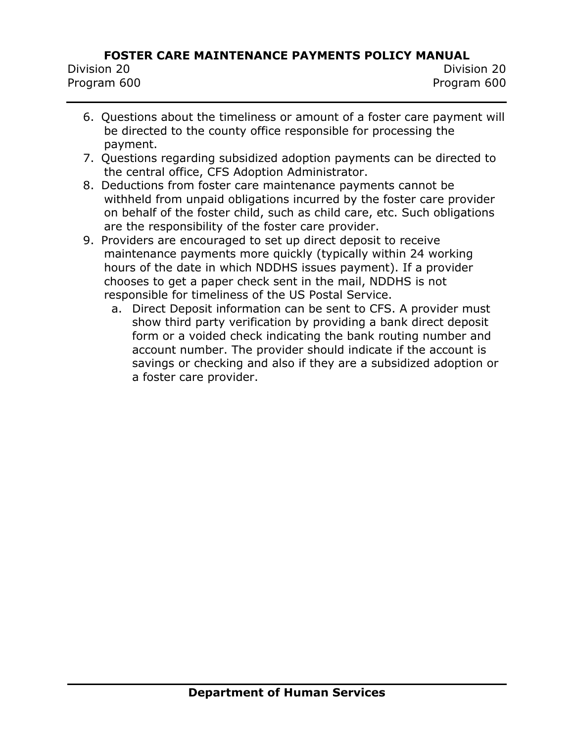| Division 20 |  |
|-------------|--|
| Program 600 |  |

- 6. Questions about the timeliness or amount of a foster care payment will be directed to the county office responsible for processing the payment.
- 7. Questions regarding subsidized adoption payments can be directed to the central office, CFS Adoption Administrator.
- 8. Deductions from foster care maintenance payments cannot be withheld from unpaid obligations incurred by the foster care provider on behalf of the foster child, such as child care, etc. Such obligations are the responsibility of the foster care provider.
- 9. Providers are encouraged to set up direct deposit to receive maintenance payments more quickly (typically within 24 working hours of the date in which NDDHS issues payment). If a provider chooses to get a paper check sent in the mail, NDDHS is not responsible for timeliness of the US Postal Service.
	- a. Direct Deposit information can be sent to CFS. A provider must show third party verification by providing a bank direct deposit form or a voided check indicating the bank routing number and account number. The provider should indicate if the account is savings or checking and also if they are a subsidized adoption or a foster care provider.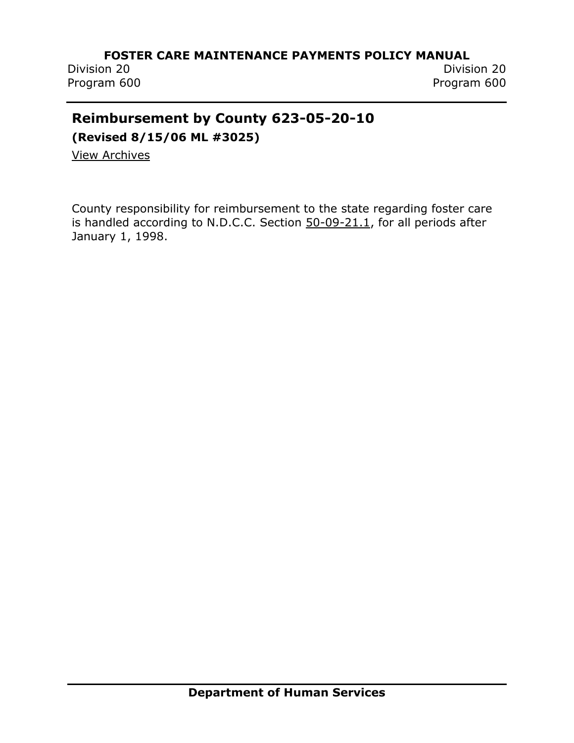Program 600 Program 600

Division 20 Division 20

## **Reimbursement by County 623-05-20-10**

**(Revised 8/15/06 ML #3025)**

[View Archives](../../../Content/Archived%20Documents/archives.htm#623_05_20_10)

County responsibility for reimbursement to the state regarding foster care is handled according to N.D.C.C. Section [50-09-21.1,](http://www.legis.nd.gov/cencode/t50c09.pdf) for all periods after January 1, 1998.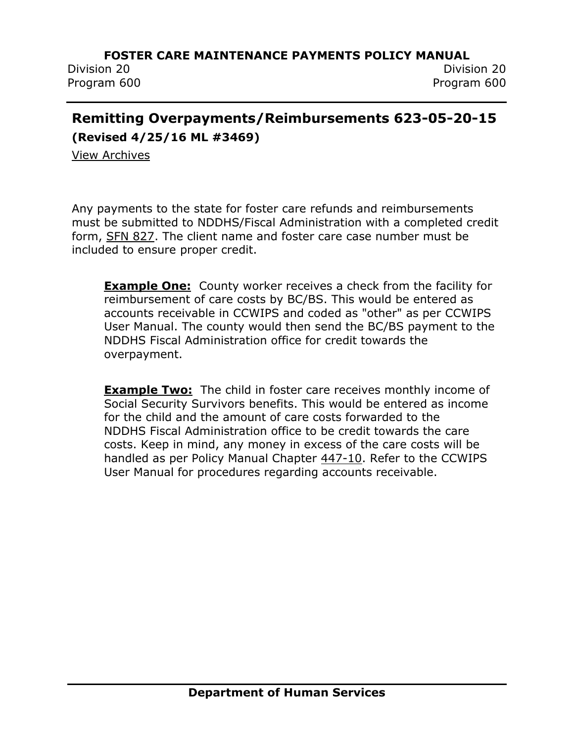Division 20 Division 20

Program 600 Program 600

# **Remitting Overpayments/Reimbursements 623-05-20-15**

**(Revised 4/25/16 ML #3469)**

[View Archives](../../../Content/Archived%20Documents/archives.htm#623_05_20_15)

Any payments to the state for foster care refunds and reimbursements must be submitted to NDDHS/Fiscal Administration with a completed credit form, [SFN 827.](http://www.nd.gov/eforms/Doc/sfn00827.pdf) The client name and foster care case number must be included to ensure proper credit.

**Example One:** County worker receives a check from the facility for reimbursement of care costs by BC/BS. This would be entered as accounts receivable in CCWIPS and coded as "other" as per CCWIPS User Manual. The county would then send the BC/BS payment to the NDDHS Fiscal Administration office for credit towards the overpayment.

**Example Two:** The child in foster care receives monthly income of Social Security Survivors benefits. This would be entered as income for the child and the amount of care costs forwarded to the NDDHS Fiscal Administration office to be credit towards the care costs. Keep in mind, any money in excess of the care costs will be handled as per Policy Manual Chapter [447-10.](http://www.nd.gov/dhs/policymanuals/44710/44710.htm) Refer to the CCWIPS User Manual for procedures regarding accounts receivable.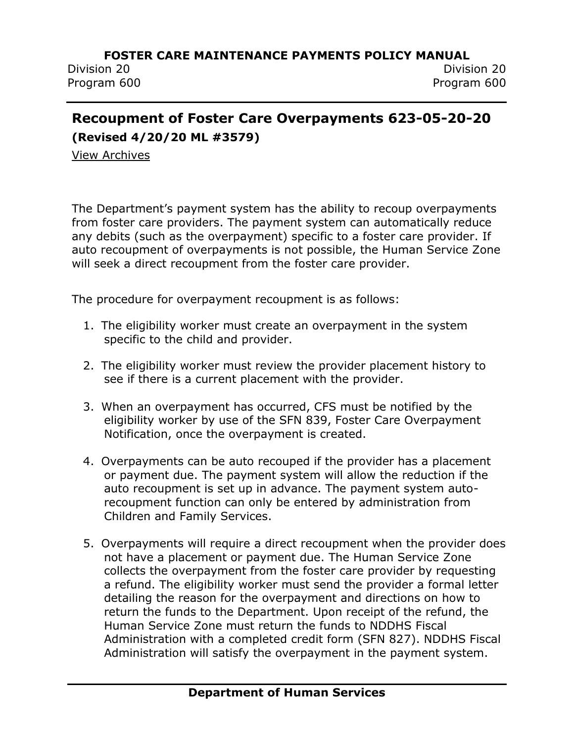## **Recoupment of Foster Care Overpayments 623-05-20-20**

**(Revised 4/20/20 ML #3579)**

[View Archives](../../../Content/Archived%20Documents/archives.htm#623_05_20_20)

The Department's payment system has the ability to recoup overpayments from foster care providers. The payment system can automatically reduce any debits (such as the overpayment) specific to a foster care provider. If auto recoupment of overpayments is not possible, the Human Service Zone will seek a direct recoupment from the foster care provider.

The procedure for overpayment recoupment is as follows:

- 1. The eligibility worker must create an overpayment in the system specific to the child and provider.
- 2. The eligibility worker must review the provider placement history to see if there is a current placement with the provider.
- 3. When an overpayment has occurred, CFS must be notified by the eligibility worker by use of the SFN 839, Foster Care Overpayment Notification, once the overpayment is created.
- 4. Overpayments can be auto recouped if the provider has a placement or payment due. The payment system will allow the reduction if the auto recoupment is set up in advance. The payment system autorecoupment function can only be entered by administration from Children and Family Services.
- 5. Overpayments will require a direct recoupment when the provider does not have a placement or payment due. The Human Service Zone collects the overpayment from the foster care provider by requesting a refund. The eligibility worker must send the provider a formal letter detailing the reason for the overpayment and directions on how to return the funds to the Department. Upon receipt of the refund, the Human Service Zone must return the funds to NDDHS Fiscal Administration with a completed credit form (SFN 827). NDDHS Fiscal Administration will satisfy the overpayment in the payment system.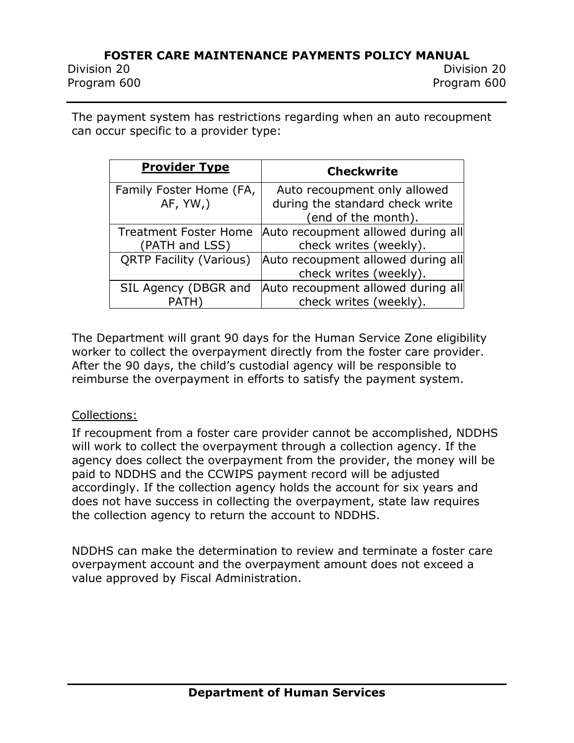Division 20 Division 20 Program 600 Program 600

The payment system has restrictions regarding when an auto recoupment can occur specific to a provider type:

| <b>Provider Type</b>           | <b>Checkwrite</b>                  |
|--------------------------------|------------------------------------|
| Family Foster Home (FA,        | Auto recoupment only allowed       |
| AF, YW,                        | during the standard check write    |
|                                | (end of the month).                |
| <b>Treatment Foster Home</b>   | Auto recoupment allowed during all |
| (PATH and LSS)                 | check writes (weekly).             |
| <b>QRTP Facility (Various)</b> | Auto recoupment allowed during all |
|                                | check writes (weekly).             |
| SIL Agency (DBGR and           | Auto recoupment allowed during all |
| <b>PATH</b>                    | check writes (weekly).             |

The Department will grant 90 days for the Human Service Zone eligibility worker to collect the overpayment directly from the foster care provider. After the 90 days, the child's custodial agency will be responsible to reimburse the overpayment in efforts to satisfy the payment system.

#### Collections:

If recoupment from a foster care provider cannot be accomplished, NDDHS will work to collect the overpayment through a collection agency. If the agency does collect the overpayment from the provider, the money will be paid to NDDHS and the CCWIPS payment record will be adjusted accordingly. If the collection agency holds the account for six years and does not have success in collecting the overpayment, state law requires the collection agency to return the account to NDDHS.

NDDHS can make the determination to review and terminate a foster care overpayment account and the overpayment amount does not exceed a value approved by Fiscal Administration.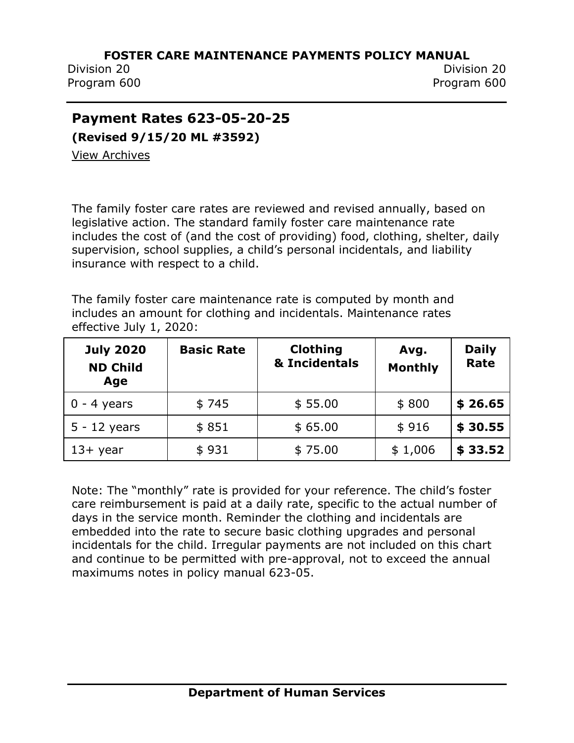Division 20 Division 20 Program 600 Program 600

## **Payment Rates 623-05-20-25**

**(Revised 9/15/20 ML #3592)**

View [Archives](../../../Content/Archived%20Documents/archives.htm#623_05_20_25)

The family foster care rates are reviewed and revised annually, based on legislative action. The standard family foster care maintenance rate includes the cost of (and the cost of providing) food, clothing, shelter, daily supervision, school supplies, a child's personal incidentals, and liability insurance with respect to a child.

The family foster care maintenance rate is computed by month and includes an amount for clothing and incidentals. Maintenance rates effective July 1, 2020:

| <b>July 2020</b><br><b>ND Child</b><br>Age | <b>Basic Rate</b> | <b>Clothing</b><br>& Incidentals | Avg.<br><b>Monthly</b> | <b>Daily</b><br>Rate |
|--------------------------------------------|-------------------|----------------------------------|------------------------|----------------------|
| $0 - 4$ years                              | \$745             | \$55.00                          | \$800                  | \$26.65              |
| $5 - 12$ years                             | \$851             | \$65.00                          | \$916                  | \$30.55              |
| $13+$ year                                 | \$931             | \$75.00                          | \$1,006                | \$33.52              |

Note: The "monthly" rate is provided for your reference. The child's foster care reimbursement is paid at a daily rate, specific to the actual number of days in the service month. Reminder the clothing and incidentals are embedded into the rate to secure basic clothing upgrades and personal incidentals for the child. Irregular payments are not included on this chart and continue to be permitted with pre-approval, not to exceed the annual maximums notes in policy manual 623-05.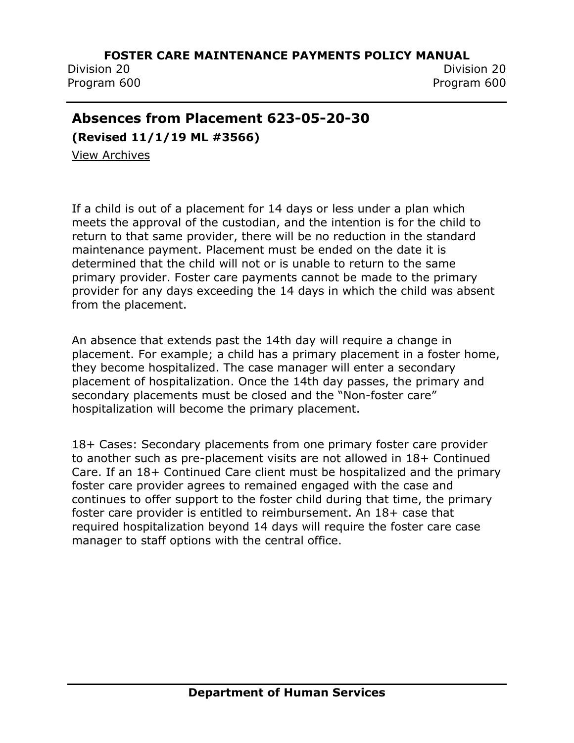Division 20 Division 20 Program 600 Program 600

## **Absences from Placement 623-05-20-30**

**(Revised 11/1/19 ML #3566)**

[View Archives](../../../Content/Archived%20Documents/archives.htm#623_05_20_30)

If a child is out of a placement for 14 days or less under a plan which meets the approval of the custodian, and the intention is for the child to return to that same provider, there will be no reduction in the standard maintenance payment. Placement must be ended on the date it is determined that the child will not or is unable to return to the same primary provider. Foster care payments cannot be made to the primary provider for any days exceeding the 14 days in which the child was absent from the placement.

An absence that extends past the 14th day will require a change in placement. For example; a child has a primary placement in a foster home, they become hospitalized. The case manager will enter a secondary placement of hospitalization. Once the 14th day passes, the primary and secondary placements must be closed and the "Non-foster care" hospitalization will become the primary placement.

18+ Cases: Secondary placements from one primary foster care provider to another such as pre-placement visits are not allowed in 18+ Continued Care. If an 18+ Continued Care client must be hospitalized and the primary foster care provider agrees to remained engaged with the case and continues to offer support to the foster child during that time, the primary foster care provider is entitled to reimbursement. An 18+ case that required hospitalization beyond 14 days will require the foster care case manager to staff options with the central office.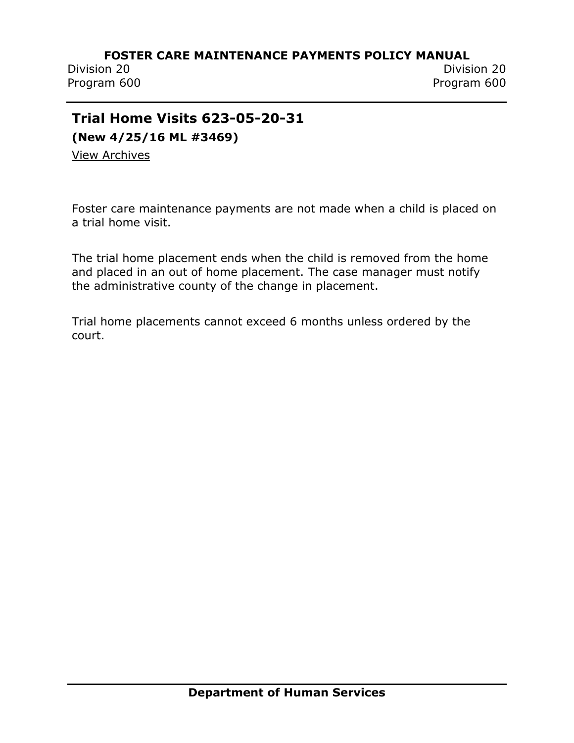Division 20 Division 20 Program 600 Program 600

## **Trial Home Visits 623-05-20-31**

**(New 4/25/16 ML #3469)**

[View Archives](../../../Content/Archived%20Documents/archives.htm#623_05_20_31)

Foster care maintenance payments are not made when a child is placed on a trial home visit.

The trial home placement ends when the child is removed from the home and placed in an out of home placement. The case manager must notify the administrative county of the change in placement.

Trial home placements cannot exceed 6 months unless ordered by the court.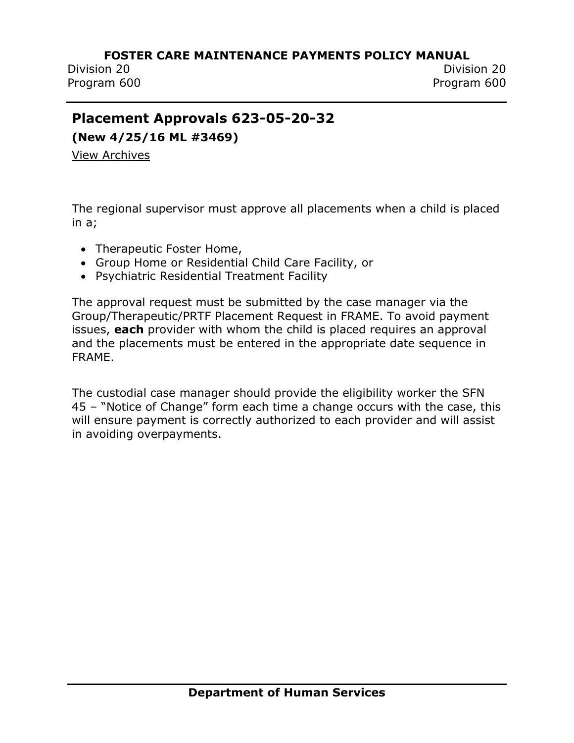Division 20 Division 20 Program 600 Program 600

## **Placement Approvals 623-05-20-32**

**(New 4/25/16 ML #3469)**

[View Archives](../../../Content/Archived%20Documents/archives.htm#623_05_20_32)

The regional supervisor must approve all placements when a child is placed in a;

- Therapeutic Foster Home,
- Group Home or Residential Child Care Facility, or
- Psychiatric Residential Treatment Facility

The approval request must be submitted by the case manager via the Group/Therapeutic/PRTF Placement Request in FRAME. To avoid payment issues, **each** provider with whom the child is placed requires an approval and the placements must be entered in the appropriate date sequence in FRAME.

The custodial case manager should provide the eligibility worker the SFN 45 – "Notice of Change" form each time a change occurs with the case, this will ensure payment is correctly authorized to each provider and will assist in avoiding overpayments.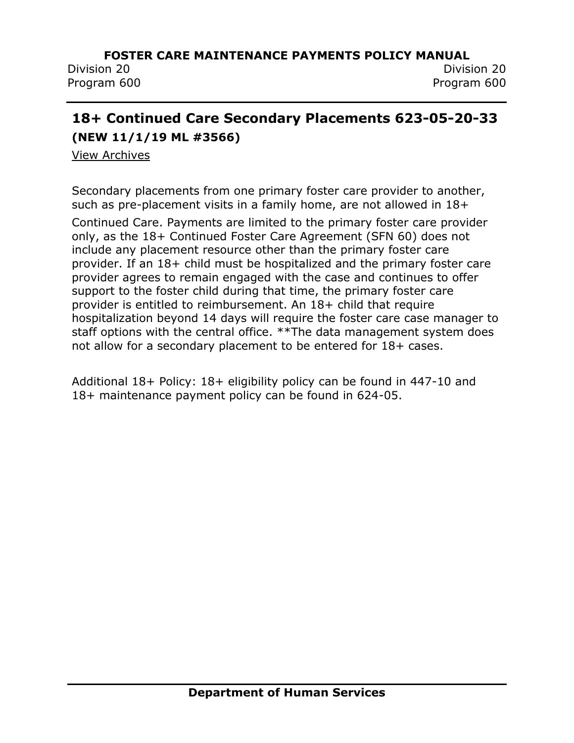Division 20 Division 20 Program 600 Program 600

## **18+ Continued Care Secondary Placements 623-05-20-33 (NEW 11/1/19 ML #3566)**

[View Archives](../../../Content/Archived%20Documents/archives.htm#623_05_20_33)

Secondary placements from one primary foster care provider to another, such as pre-placement visits in a family home, are not allowed in 18+

Continued Care. Payments are limited to the primary foster care provider only, as the 18+ Continued Foster Care Agreement (SFN 60) does not include any placement resource other than the primary foster care provider. If an 18+ child must be hospitalized and the primary foster care provider agrees to remain engaged with the case and continues to offer support to the foster child during that time, the primary foster care provider is entitled to reimbursement. An 18+ child that require hospitalization beyond 14 days will require the foster care case manager to staff options with the central office. \*\*The data management system does not allow for a secondary placement to be entered for 18+ cases.

Additional 18+ Policy: 18+ eligibility policy can be found in 447-10 and 18+ maintenance payment policy can be found in 624-05.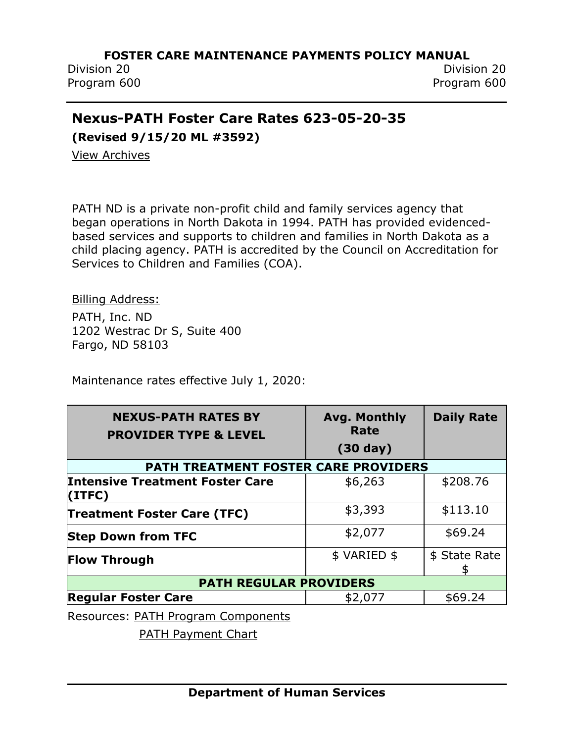Division 20 Division 20 Program 600 Program 600

## **Nexus-PATH Foster Care Rates 623-05-20-35**

**(Revised 9/15/20 ML #3592)**

[View Archives](../../../Content/Archived%20Documents/archives.htm#623_05_20_35)

PATH ND is a private non-profit child and family services agency that began operations in North Dakota in 1994. PATH has provided evidencedbased services and supports to children and families in North Dakota as a child placing agency. PATH is accredited by the Council on Accreditation for Services to Children and Families (COA).

Billing Address:

PATH, Inc. ND 1202 Westrac Dr S, Suite 400 Fargo, ND 58103

Maintenance rates effective July 1, 2020:

| <b>NEXUS-PATH RATES BY</b><br><b>PROVIDER TYPE &amp; LEVEL</b> | <b>Avg. Monthly</b><br>Rate | <b>Daily Rate</b>   |
|----------------------------------------------------------------|-----------------------------|---------------------|
|                                                                | $(30 \text{ day})$          |                     |
| PATH TREATMENT FOSTER CARE PROVIDERS                           |                             |                     |
| <b>Intensive Treatment Foster Care</b><br>(ITEC)               | \$6,263                     | \$208.76            |
| <b>Treatment Foster Care (TFC)</b>                             | \$3,393                     | \$113.10            |
| <b>Step Down from TFC</b>                                      | \$2,077                     | \$69.24             |
| <b>Flow Through</b>                                            | \$ VARIED \$                | \$ State Rate<br>\$ |
| <b>PATH REGULAR PROVIDERS</b>                                  |                             |                     |
| <b>Regular Foster Care</b>                                     | \$2,077                     | \$69.24             |

Resources: [PATH Program Components](../../../Content/Attachments/PI%2019-13%20PATH%20Program%20Components%20Attachment%20A.pdf)

[PATH Payment Chart](../../../Content/Attachments/PI%2019-13%20PATH%20Payment%20Chart%20Attachment%20B.pdf)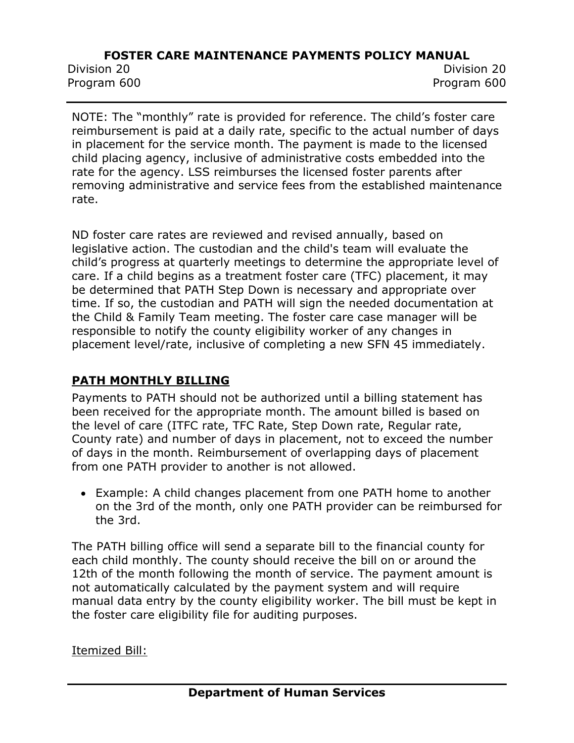Division 20 Division 20 Program 600 Program 600

NOTE: The "monthly" rate is provided for reference. The child's foster care reimbursement is paid at a daily rate, specific to the actual number of days in placement for the service month. The payment is made to the licensed child placing agency, inclusive of administrative costs embedded into the rate for the agency. LSS reimburses the licensed foster parents after removing administrative and service fees from the established maintenance rate.

ND foster care rates are reviewed and revised annually, based on legislative action. The custodian and the child's team will evaluate the child's progress at quarterly meetings to determine the appropriate level of care. If a child begins as a treatment foster care (TFC) placement, it may be determined that PATH Step Down is necessary and appropriate over time. If so, the custodian and PATH will sign the needed documentation at the Child & Family Team meeting. The foster care case manager will be responsible to notify the county eligibility worker of any changes in placement level/rate, inclusive of completing a new SFN 45 immediately.

## **PATH MONTHLY BILLING**

Payments to PATH should not be authorized until a billing statement has been received for the appropriate month. The amount billed is based on the level of care (ITFC rate, TFC Rate, Step Down rate, Regular rate, County rate) and number of days in placement, not to exceed the number of days in the month. Reimbursement of overlapping days of placement from one PATH provider to another is not allowed.

• Example: A child changes placement from one PATH home to another on the 3rd of the month, only one PATH provider can be reimbursed for the 3rd.

The PATH billing office will send a separate bill to the financial county for each child monthly. The county should receive the bill on or around the 12th of the month following the month of service. The payment amount is not automatically calculated by the payment system and will require manual data entry by the county eligibility worker. The bill must be kept in the foster care eligibility file for auditing purposes.

Itemized Bill: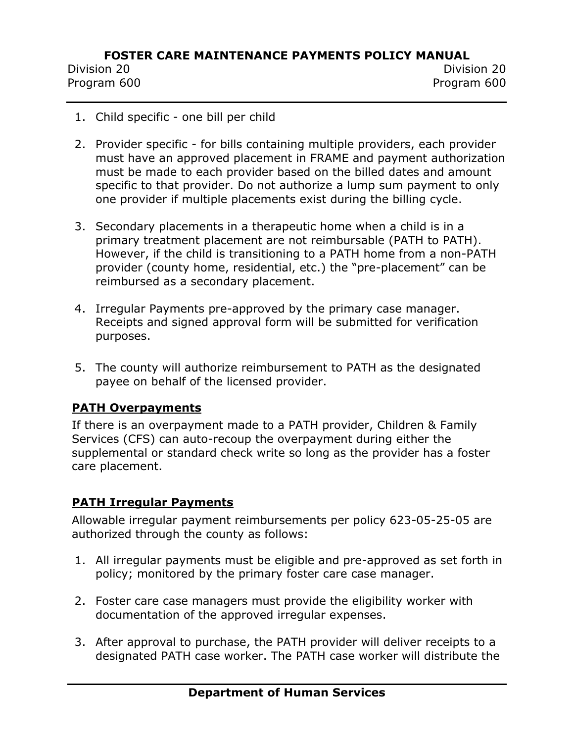Program 600 Program 600

- 1. Child specific one bill per child
- 2. Provider specific for bills containing multiple providers, each provider must have an approved placement in FRAME and payment authorization must be made to each provider based on the billed dates and amount specific to that provider. Do not authorize a lump sum payment to only one provider if multiple placements exist during the billing cycle.
- 3. Secondary placements in a therapeutic home when a child is in a primary treatment placement are not reimbursable (PATH to PATH). However, if the child is transitioning to a PATH home from a non-PATH provider (county home, residential, etc.) the "pre-placement" can be reimbursed as a secondary placement.
- 4. Irregular Payments pre-approved by the primary case manager. Receipts and signed approval form will be submitted for verification purposes.
- 5. The county will authorize reimbursement to PATH as the designated payee on behalf of the licensed provider.

## **PATH Overpayments**

If there is an overpayment made to a PATH provider, Children & Family Services (CFS) can auto-recoup the overpayment during either the supplemental or standard check write so long as the provider has a foster care placement.

## **PATH Irregular Payments**

Allowable irregular payment reimbursements per policy 623-05-25-05 are authorized through the county as follows:

- 1. All irregular payments must be eligible and pre-approved as set forth in policy; monitored by the primary foster care case manager.
- 2. Foster care case managers must provide the eligibility worker with documentation of the approved irregular expenses.
- 3. After approval to purchase, the PATH provider will deliver receipts to a designated PATH case worker. The PATH case worker will distribute the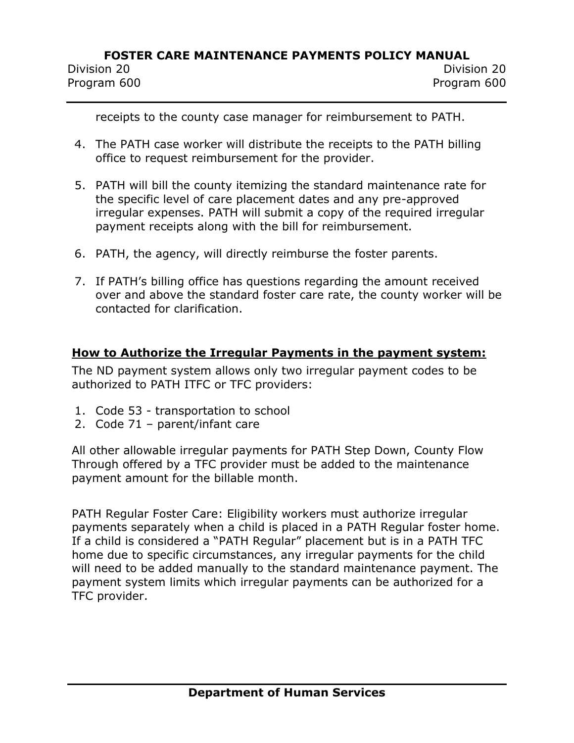Division 20 Division 20 Program 600 Program 600

receipts to the county case manager for reimbursement to PATH.

- 4. The PATH case worker will distribute the receipts to the PATH billing office to request reimbursement for the provider.
- 5. PATH will bill the county itemizing the standard maintenance rate for the specific level of care placement dates and any pre-approved irregular expenses. PATH will submit a copy of the required irregular payment receipts along with the bill for reimbursement.
- 6. PATH, the agency, will directly reimburse the foster parents.
- 7. If PATH's billing office has questions regarding the amount received over and above the standard foster care rate, the county worker will be contacted for clarification.

#### **How to Authorize the Irregular Payments in the payment system:**

The ND payment system allows only two irregular payment codes to be authorized to PATH ITFC or TFC providers:

- 1. Code 53 transportation to school
- 2. Code 71 parent/infant care

All other allowable irregular payments for PATH Step Down, County Flow Through offered by a TFC provider must be added to the maintenance payment amount for the billable month.

PATH Regular Foster Care: Eligibility workers must authorize irregular payments separately when a child is placed in a PATH Regular foster home. If a child is considered a "PATH Regular" placement but is in a PATH TFC home due to specific circumstances, any irregular payments for the child will need to be added manually to the standard maintenance payment. The payment system limits which irregular payments can be authorized for a TFC provider.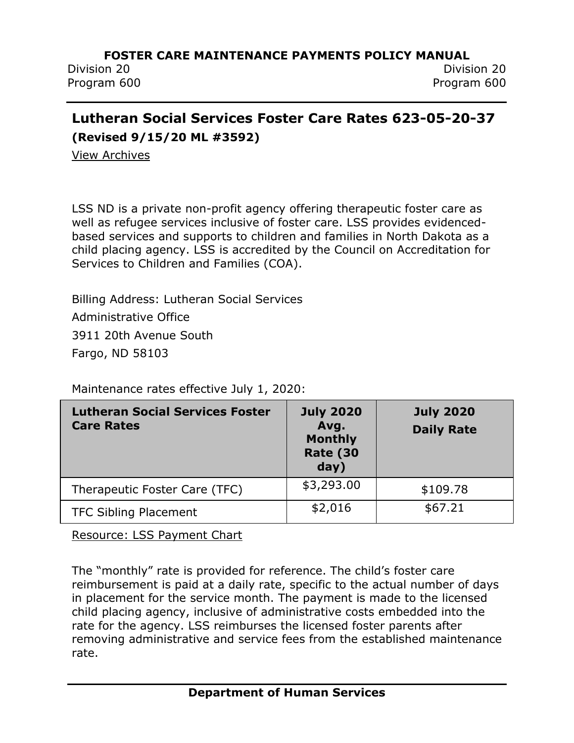Division 20 Division 20 Program 600 Program 600

## **Lutheran Social Services Foster Care Rates 623-05-20-37**

**(Revised 9/15/20 ML #3592)**

[View Archives](../../../Content/Archived%20Documents/archives.htm#623_05_20_37)

LSS ND is a private non-profit agency offering therapeutic foster care as well as refugee services inclusive of foster care. LSS provides evidencedbased services and supports to children and families in North Dakota as a child placing agency. LSS is accredited by the Council on Accreditation for Services to Children and Families (COA).

Billing Address: Lutheran Social Services Administrative Office 3911 20th Avenue South Fargo, ND 58103

| <b>Lutheran Social Services Foster</b><br><b>Care Rates</b> | <b>July 2020</b><br>Avg.<br><b>Monthly</b><br><b>Rate (30</b><br>day) | <b>July 2020</b><br><b>Daily Rate</b> |
|-------------------------------------------------------------|-----------------------------------------------------------------------|---------------------------------------|
| Therapeutic Foster Care (TFC)                               | \$3,293.00                                                            | \$109.78                              |
| <b>TFC Sibling Placement</b>                                | \$2,016                                                               | \$67.21                               |

Maintenance rates effective July 1, 2020:

[Resource: LSS Payment Chart](../../../Content/Attachments/PI%2019-15%20LSS%20TFC%20Program%20Payments%20Attachment.pdf)

The "monthly" rate is provided for reference. The child's foster care reimbursement is paid at a daily rate, specific to the actual number of days in placement for the service month. The payment is made to the licensed child placing agency, inclusive of administrative costs embedded into the rate for the agency. LSS reimburses the licensed foster parents after removing administrative and service fees from the established maintenance rate.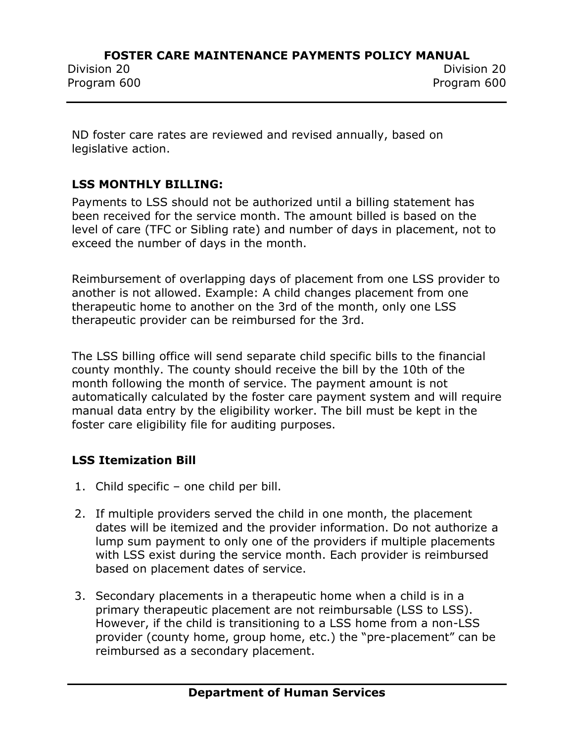ND foster care rates are reviewed and revised annually, based on legislative action.

## **LSS MONTHLY BILLING:**

Payments to LSS should not be authorized until a billing statement has been received for the service month. The amount billed is based on the level of care (TFC or Sibling rate) and number of days in placement, not to exceed the number of days in the month.

Reimbursement of overlapping days of placement from one LSS provider to another is not allowed. Example: A child changes placement from one therapeutic home to another on the 3rd of the month, only one LSS therapeutic provider can be reimbursed for the 3rd.

The LSS billing office will send separate child specific bills to the financial county monthly. The county should receive the bill by the 10th of the month following the month of service. The payment amount is not automatically calculated by the foster care payment system and will require manual data entry by the eligibility worker. The bill must be kept in the foster care eligibility file for auditing purposes.

## **LSS Itemization Bill**

- 1. Child specific one child per bill.
- 2. If multiple providers served the child in one month, the placement dates will be itemized and the provider information. Do not authorize a lump sum payment to only one of the providers if multiple placements with LSS exist during the service month. Each provider is reimbursed based on placement dates of service.
- 3. Secondary placements in a therapeutic home when a child is in a primary therapeutic placement are not reimbursable (LSS to LSS). However, if the child is transitioning to a LSS home from a non-LSS provider (county home, group home, etc.) the "pre-placement" can be reimbursed as a secondary placement.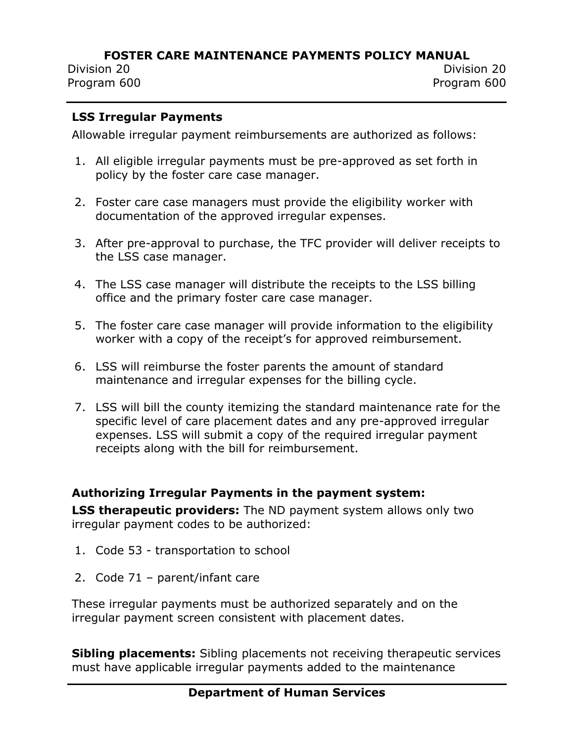Division 20 Division 20 Program 600 Program 600

#### **LSS Irregular Payments**

Allowable irregular payment reimbursements are authorized as follows:

- 1. All eligible irregular payments must be pre-approved as set forth in policy by the foster care case manager.
- 2. Foster care case managers must provide the eligibility worker with documentation of the approved irregular expenses.
- 3. After pre-approval to purchase, the TFC provider will deliver receipts to the LSS case manager.
- 4. The LSS case manager will distribute the receipts to the LSS billing office and the primary foster care case manager.
- 5. The foster care case manager will provide information to the eligibility worker with a copy of the receipt's for approved reimbursement.
- 6. LSS will reimburse the foster parents the amount of standard maintenance and irregular expenses for the billing cycle.
- 7. LSS will bill the county itemizing the standard maintenance rate for the specific level of care placement dates and any pre-approved irregular expenses. LSS will submit a copy of the required irregular payment receipts along with the bill for reimbursement.

#### **Authorizing Irregular Payments in the payment system:**

**LSS therapeutic providers:** The ND payment system allows only two irregular payment codes to be authorized:

- 1. Code 53 transportation to school
- 2. Code 71 parent/infant care

These irregular payments must be authorized separately and on the irregular payment screen consistent with placement dates.

**Sibling placements:** Sibling placements not receiving therapeutic services must have applicable irregular payments added to the maintenance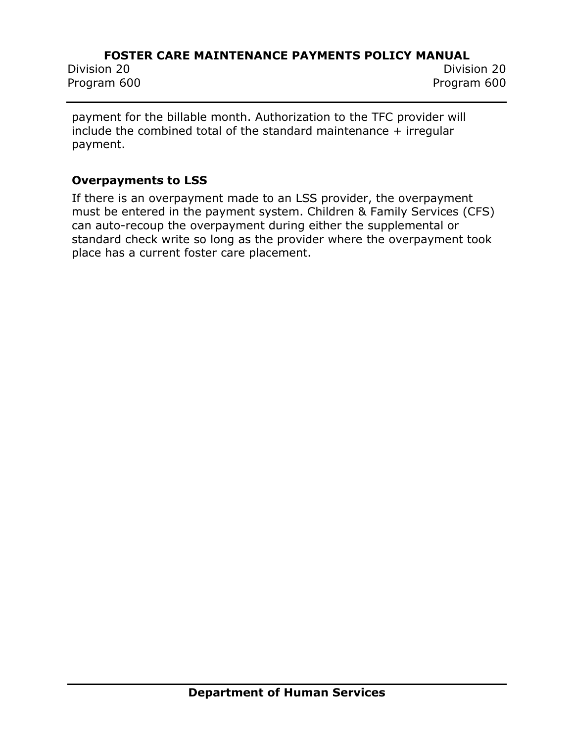Program 600 Program 600

Division 20 Division 20

payment for the billable month. Authorization to the TFC provider will include the combined total of the standard maintenance  $+$  irregular payment.

#### **Overpayments to LSS**

If there is an overpayment made to an LSS provider, the overpayment must be entered in the payment system. Children & Family Services (CFS) can auto-recoup the overpayment during either the supplemental or standard check write so long as the provider where the overpayment took place has a current foster care placement.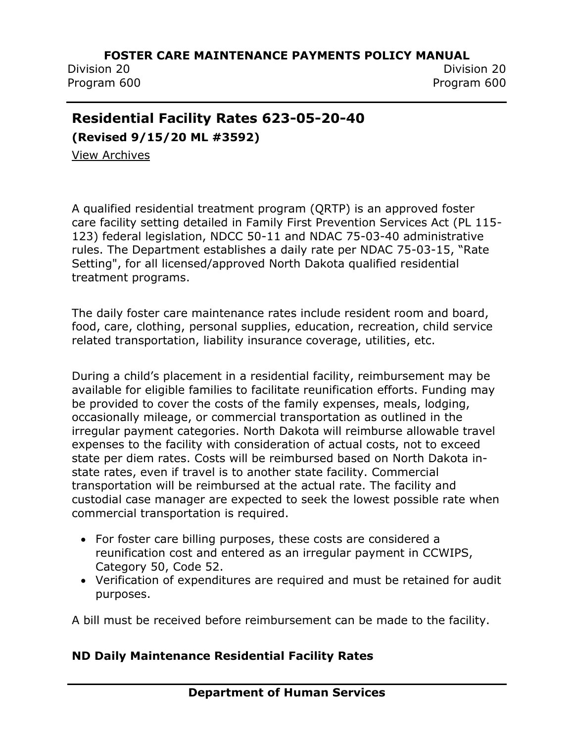Division 20 Division 20

Program 600 Program 600

## **Residential Facility Rates 623-05-20-40**

**(Revised 9/15/20 ML #3592)**

[View Archives](../../../Content/Archived%20Documents/archives.htm#623_05_20_40)

A qualified residential treatment program (QRTP) is an approved foster care facility setting detailed in Family First Prevention Services Act (PL 115- 123) federal legislation, NDCC 50-11 and NDAC 75-03-40 administrative rules. The Department establishes a daily rate per NDAC 75-03-15, "Rate Setting", for all licensed/approved North Dakota qualified residential treatment programs.

The daily foster care maintenance rates include resident room and board, food, care, clothing, personal supplies, education, recreation, child service related transportation, liability insurance coverage, utilities, etc.

During a child's placement in a residential facility, reimbursement may be available for eligible families to facilitate reunification efforts. Funding may be provided to cover the costs of the family expenses, meals, lodging, occasionally mileage, or commercial transportation as outlined in the irregular payment categories. North Dakota will reimburse allowable travel expenses to the facility with consideration of actual costs, not to exceed state per diem rates. Costs will be reimbursed based on North Dakota instate rates, even if travel is to another state facility. Commercial transportation will be reimbursed at the actual rate. The facility and custodial case manager are expected to seek the lowest possible rate when commercial transportation is required.

- For foster care billing purposes, these costs are considered a reunification cost and entered as an irregular payment in CCWIPS, Category 50, Code 52.
- Verification of expenditures are required and must be retained for audit purposes.

A bill must be received before reimbursement can be made to the facility.

#### **ND Daily Maintenance Residential Facility Rates**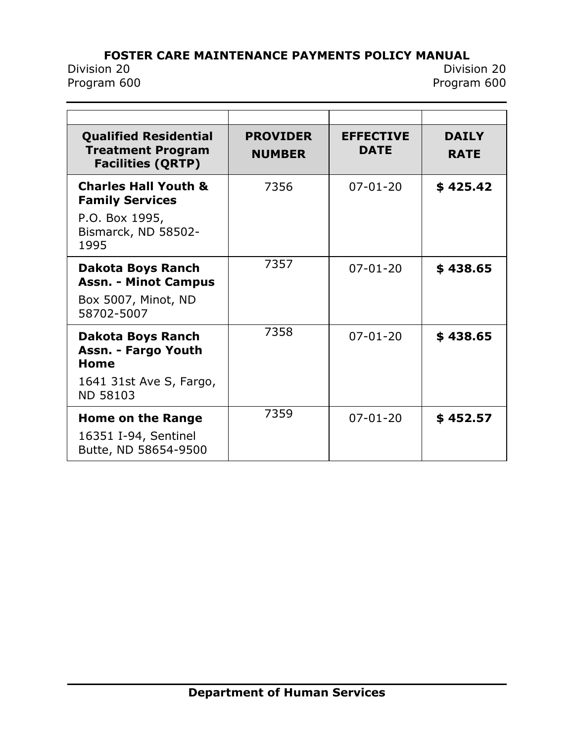# **FOSTER CARE MAINTENANCE PAYMENTS POLICY MANUAL**<br>Division 20

Division 20 Division 20 Program 600

| <b>Qualified Residential</b><br><b>Treatment Program</b><br><b>Facilities (QRTP)</b>                       | <b>PROVIDER</b><br><b>NUMBER</b> | <b>EFFECTIVE</b><br><b>DATE</b> | <b>DAILY</b><br><b>RATE</b> |
|------------------------------------------------------------------------------------------------------------|----------------------------------|---------------------------------|-----------------------------|
| <b>Charles Hall Youth &amp;</b><br><b>Family Services</b><br>P.O. Box 1995,<br>Bismarck, ND 58502-<br>1995 | 7356                             | $07 - 01 - 20$                  | \$425.42                    |
| <b>Dakota Boys Ranch</b><br><b>Assn. - Minot Campus</b><br>Box 5007, Minot, ND<br>58702-5007               | 7357                             | $07 - 01 - 20$                  | \$438.65                    |
| <b>Dakota Boys Ranch</b><br>Assn. - Fargo Youth<br>Home<br>1641 31st Ave S, Fargo,<br><b>ND 58103</b>      | 7358                             | $07 - 01 - 20$                  | \$438.65                    |
| <b>Home on the Range</b><br>16351 I-94, Sentinel<br>Butte, ND 58654-9500                                   | 7359                             | $07 - 01 - 20$                  | \$452.57                    |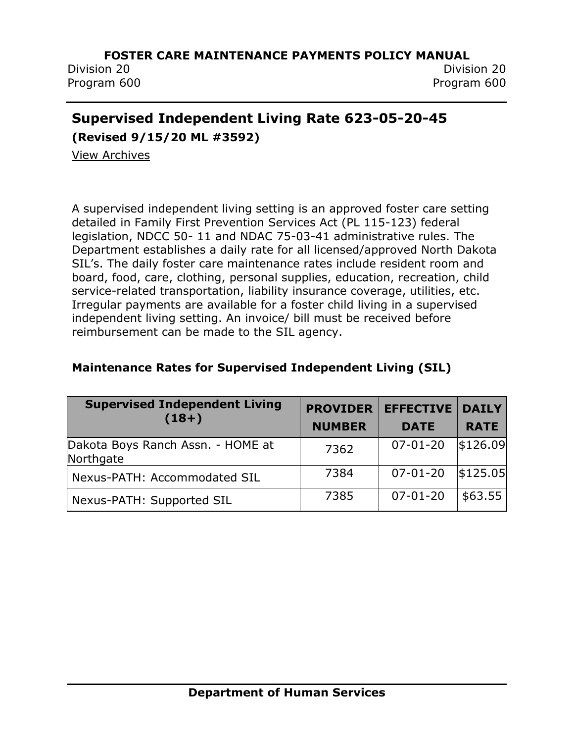Division 20 Division 20

Program 600 Program 600

## **Supervised Independent Living Rate 623-05-20-45**

**(Revised 9/15/20 ML #3592)**

[View Archives](../../../Content/Archived%20Documents/archives.htm#623_05_20_45)

A supervised independent living setting is an approved foster care setting detailed in Family First Prevention Services Act (PL 115-123) federal legislation, NDCC 50- 11 and NDAC 75-03-41 administrative rules. The Department establishes a daily rate for all licensed/approved North Dakota SIL's. The daily foster care maintenance rates include resident room and board, food, care, clothing, personal supplies, education, recreation, child service-related transportation, liability insurance coverage, utilities, etc. Irregular payments are available for a foster child living in a supervised independent living setting. An invoice/ bill must be received before reimbursement can be made to the SIL agency.

| <b>Supervised Independent Living</b><br>$(18+)$ | <b>PROVIDER</b><br><b>NUMBER</b> | <b>EFFECTIVE</b><br><b>DATE</b> | <b>DAILY</b><br><b>RATE</b> |
|-------------------------------------------------|----------------------------------|---------------------------------|-----------------------------|
| Dakota Boys Ranch Assn. - HOME at<br>Northgate  | 7362                             | $07 - 01 - 20$                  | \$126.09                    |
| Nexus-PATH: Accommodated SIL                    | 7384                             | $07 - 01 - 20$                  | \$125.05                    |
| Nexus-PATH: Supported SIL                       | 7385                             | $07 - 01 - 20$                  | \$63.55                     |

#### **Maintenance Rates for Supervised Independent Living (SIL)**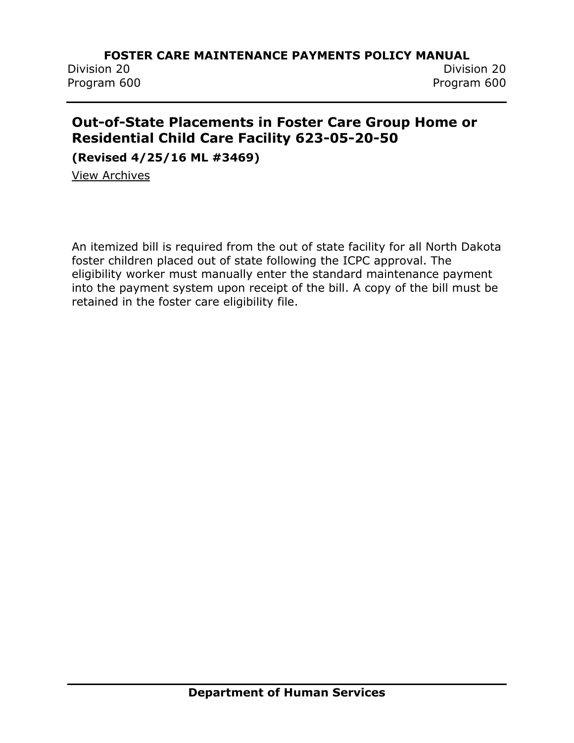Program 600 Program 600

Division 20 Division 20

## **Out-of-State Placements in Foster Care Group Home or Residential Child Care Facility 623-05-20-50**

**(Revised 4/25/16 ML #3469)**

[View Archives](../../../Content/Archived%20Documents/archives.htm#623_05_20_50)

An itemized bill is required from the out of state facility for all North Dakota foster children placed out of state following the ICPC approval. The eligibility worker must manually enter the standard maintenance payment into the payment system upon receipt of the bill. A copy of the bill must be retained in the foster care eligibility file.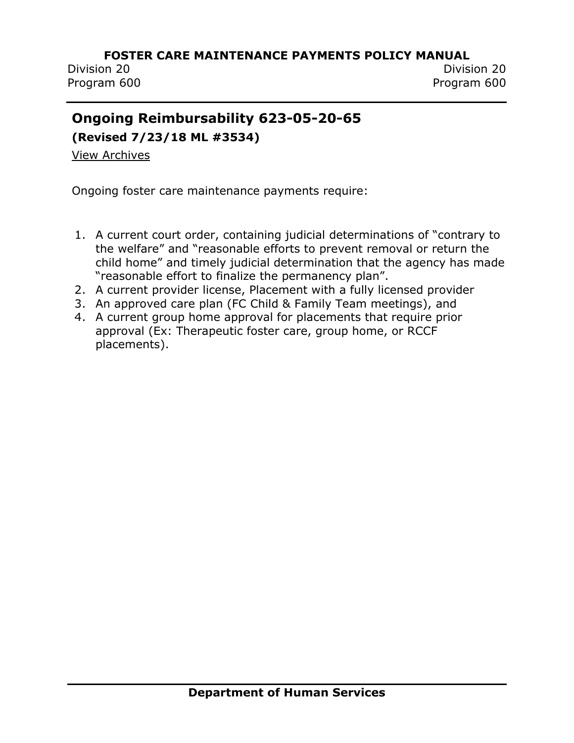Division 20 Division 20 Program 600 Program 600

## **Ongoing Reimbursability 623-05-20-65**

**(Revised 7/23/18 ML #3534)**

[View Archives](../../../Content/Archived%20Documents/archives.htm#623_05_20_65)

Ongoing foster care maintenance payments require:

- 1. A current court order, containing judicial determinations of "contrary to the welfare" and "reasonable efforts to prevent removal or return the child home" and timely judicial determination that the agency has made "reasonable effort to finalize the permanency plan".
- 2. A current provider license, Placement with a fully licensed provider
- 3. An approved care plan (FC Child & Family Team meetings), and
- 4. A current group home approval for placements that require prior approval (Ex: Therapeutic foster care, group home, or RCCF placements).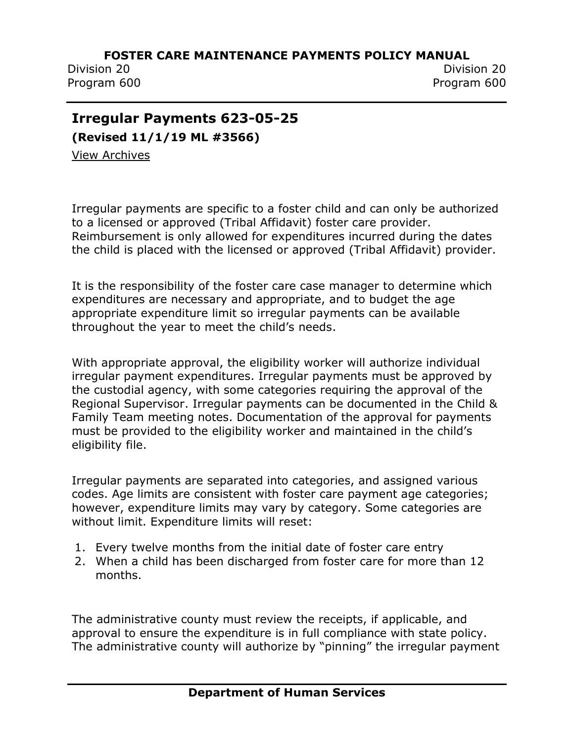Division 20 Division 20 Program 600 Program 600

## **Irregular Payments 623-05-25**

**(Revised 11/1/19 ML #3566)**

[View Archives](../../../Content/Archived%20Documents/archives.htm#623_05_25)

Irregular payments are specific to a foster child and can only be authorized to a licensed or approved (Tribal Affidavit) foster care provider. Reimbursement is only allowed for expenditures incurred during the dates the child is placed with the licensed or approved (Tribal Affidavit) provider.

It is the responsibility of the foster care case manager to determine which expenditures are necessary and appropriate, and to budget the age appropriate expenditure limit so irregular payments can be available throughout the year to meet the child's needs.

With appropriate approval, the eligibility worker will authorize individual irregular payment expenditures. Irregular payments must be approved by the custodial agency, with some categories requiring the approval of the Regional Supervisor. Irregular payments can be documented in the Child & Family Team meeting notes. Documentation of the approval for payments must be provided to the eligibility worker and maintained in the child's eligibility file.

Irregular payments are separated into categories, and assigned various codes. Age limits are consistent with foster care payment age categories; however, expenditure limits may vary by category. Some categories are without limit. Expenditure limits will reset:

- 1. Every twelve months from the initial date of foster care entry
- 2. When a child has been discharged from foster care for more than 12 months.

The administrative county must review the receipts, if applicable, and approval to ensure the expenditure is in full compliance with state policy. The administrative county will authorize by "pinning" the irregular payment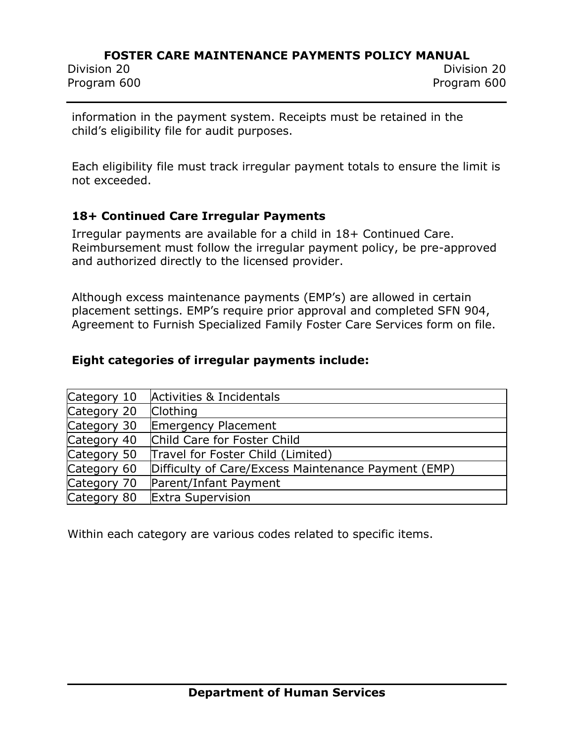Program 600 Program 600

information in the payment system. Receipts must be retained in the child's eligibility file for audit purposes.

Each eligibility file must track irregular payment totals to ensure the limit is not exceeded.

#### **18+ Continued Care Irregular Payments**

Irregular payments are available for a child in 18+ Continued Care. Reimbursement must follow the irregular payment policy, be pre-approved and authorized directly to the licensed provider.

Although excess maintenance payments (EMP's) are allowed in certain placement settings. EMP's require prior approval and completed SFN 904, Agreement to Furnish Specialized Family Foster Care Services form on file.

#### **Eight categories of irregular payments include:**

| Category 10 | Activities & Incidentals                            |
|-------------|-----------------------------------------------------|
| Category 20 | <b>Clothing</b>                                     |
| Category 30 | Emergency Placement                                 |
| Category 40 | Child Care for Foster Child                         |
| Category 50 | Travel for Foster Child (Limited)                   |
| Category 60 | Difficulty of Care/Excess Maintenance Payment (EMP) |
| Category 70 | Parent/Infant Payment                               |
| Category 80 | <b>Extra Supervision</b>                            |

Within each category are various codes related to specific items.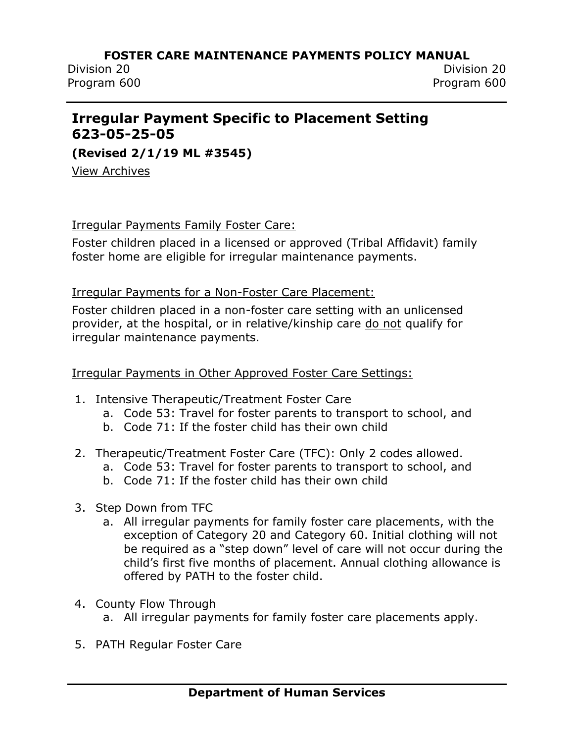Division 20 Division 20 Program 600 Program 600

## **Irregular Payment Specific to Placement Setting 623-05-25-05**

**(Revised 2/1/19 ML #3545)**

[View Archives](../../../Content/Archived%20Documents/archives.htm#623_05_25_05)

#### Irregular Payments Family Foster Care:

Foster children placed in a licensed or approved (Tribal Affidavit) family foster home are eligible for irregular maintenance payments.

#### Irregular Payments for a Non-Foster Care Placement:

Foster children placed in a non-foster care setting with an unlicensed provider, at the hospital, or in relative/kinship care do not qualify for irregular maintenance payments.

#### Irregular Payments in Other Approved Foster Care Settings:

- 1. Intensive Therapeutic/Treatment Foster Care
	- a. Code 53: Travel for foster parents to transport to school, and
	- b. Code 71: If the foster child has their own child
- 2. Therapeutic/Treatment Foster Care (TFC): Only 2 codes allowed.
	- a. Code 53: Travel for foster parents to transport to school, and
	- b. Code 71: If the foster child has their own child
- 3. Step Down from TFC
	- a. All irregular payments for family foster care placements, with the exception of Category 20 and Category 60. Initial clothing will not be required as a "step down" level of care will not occur during the child's first five months of placement. Annual clothing allowance is offered by PATH to the foster child.
- 4. County Flow Through
	- a. All irregular payments for family foster care placements apply.
- 5. PATH Regular Foster Care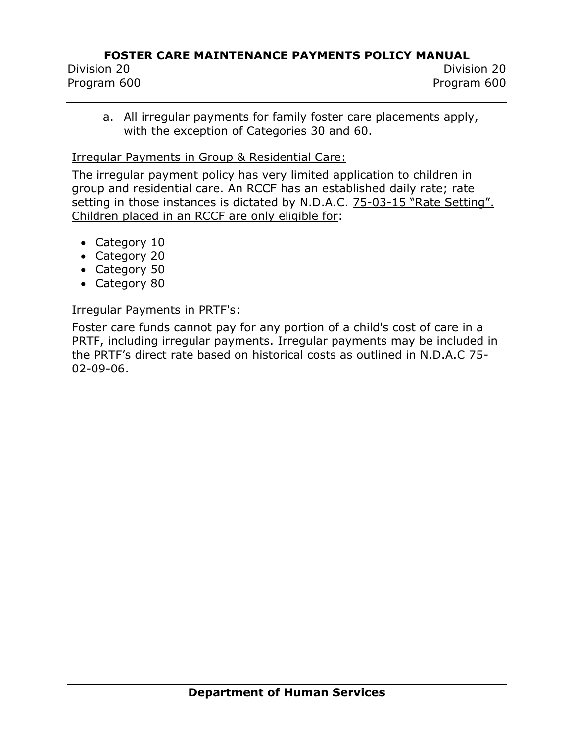Division 20 Division 20 Program 600 Program 600

a. All irregular payments for family foster care placements apply, with the exception of Categories 30 and 60.

#### Irregular Payments in Group & Residential Care:

The irregular payment policy has very limited application to children in group and residential care. An RCCF has an established daily rate; rate setting in those instances is dictated by N.D.A.C. 75-03-15 "Rate Setting". Children placed in an RCCF are only eligible for:

- Category 10
- Category 20
- Category 50
- Category 80

#### Irregular Payments in PRTF's:

Foster care funds cannot pay for any portion of a child's cost of care in a PRTF, including irregular payments. Irregular payments may be included in the PRTF's direct rate based on historical costs as outlined in N.D.A.C 75- 02-09-06.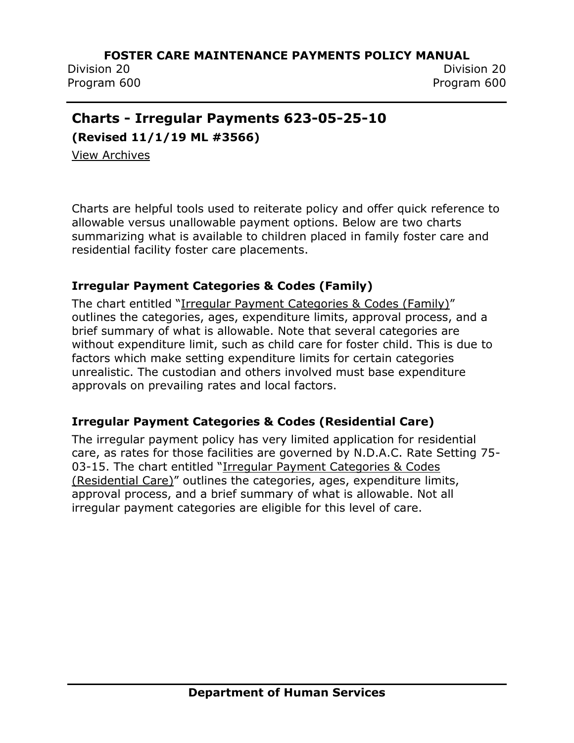Division 20 Division 20 Program 600 Program 600

## **Charts - Irregular Payments 623-05-25-10**

**(Revised 11/1/19 ML #3566)**

[View Archives](../../../Content/Archived%20Documents/archives.htm#623_05_25_10)

Charts are helpful tools used to reiterate policy and offer quick reference to allowable versus unallowable payment options. Below are two charts summarizing what is available to children placed in family foster care and residential facility foster care placements.

#### **Irregular Payment Categories & Codes (Family)**

The chart entitled "[Irregular Payment Categories & Codes \(Family\)](http://www.nd.gov/dhs/policymanuals/62305/Content/Attachments/PI%2019-21%20Chart%20-%20Irregular%20Payment%20Categories%20%20Codes%20(Family)%20revision%2010012019.pdf)" outlines the categories, ages, expenditure limits, approval process, and a brief summary of what is allowable. Note that several categories are without expenditure limit, such as child care for foster child. This is due to factors which make setting expenditure limits for certain categories unrealistic. The custodian and others involved must base expenditure approvals on prevailing rates and local factors.

#### **Irregular Payment Categories & Codes (Residential Care)**

The irregular payment policy has very limited application for residential care, as rates for those facilities are governed by N.D.A.C. Rate Setting 75- 03-15. The chart entitled "[Irregular Payment Categories & Codes](http://www.nd.gov/dhs/policymanuals/62305/Content/Attachments/PI%2019-21%20Chart%20-%20Irregular%20Payment%20Categories%20%20Codes%20(Residential%20Care)%20revision%2010012019.pdf)  [\(Residential Care\)](http://www.nd.gov/dhs/policymanuals/62305/Content/Attachments/PI%2019-21%20Chart%20-%20Irregular%20Payment%20Categories%20%20Codes%20(Residential%20Care)%20revision%2010012019.pdf)" outlines the categories, ages, expenditure limits, approval process, and a brief summary of what is allowable. Not all irregular payment categories are eligible for this level of care.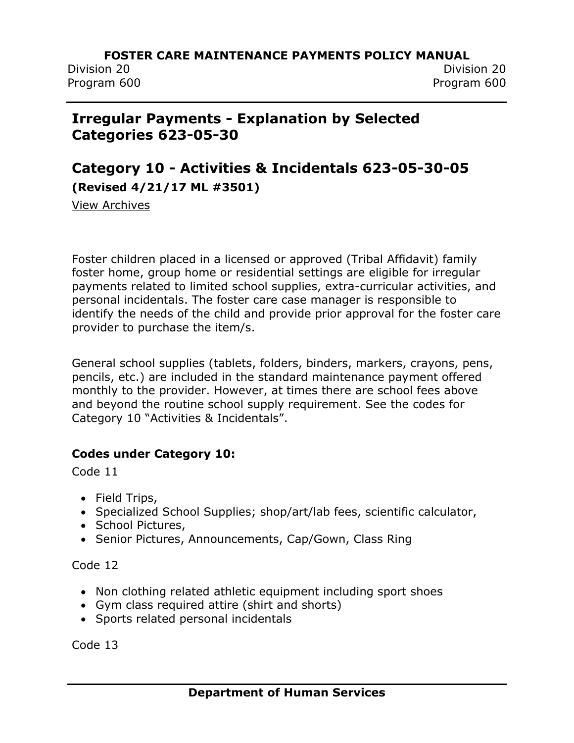Division 20 Division 20

Program 600 Program 600

## **Irregular Payments - Explanation by Selected Categories 623-05-30**

## **Category 10 - Activities & Incidentals 623-05-30-05 (Revised 4/21/17 ML #3501)**

[View Archives](../../../Content/Archived%20Documents/archives.htm#623_05_30_05)

Foster children placed in a licensed or approved (Tribal Affidavit) family foster home, group home or residential settings are eligible for irregular payments related to limited school supplies, extra-curricular activities, and personal incidentals. The foster care case manager is responsible to identify the needs of the child and provide prior approval for the foster care provider to purchase the item/s.

General school supplies (tablets, folders, binders, markers, crayons, pens, pencils, etc.) are included in the standard maintenance payment offered monthly to the provider. However, at times there are school fees above and beyond the routine school supply requirement. See the codes for Category 10 "Activities & Incidentals".

#### **Codes under Category 10:**

Code 11

- Field Trips,
- Specialized School Supplies; shop/art/lab fees, scientific calculator,
- School Pictures,
- Senior Pictures, Announcements, Cap/Gown, Class Ring

Code 12

- Non clothing related athletic equipment including sport shoes
- Gym class required attire (shirt and shorts)
- Sports related personal incidentals

Code 13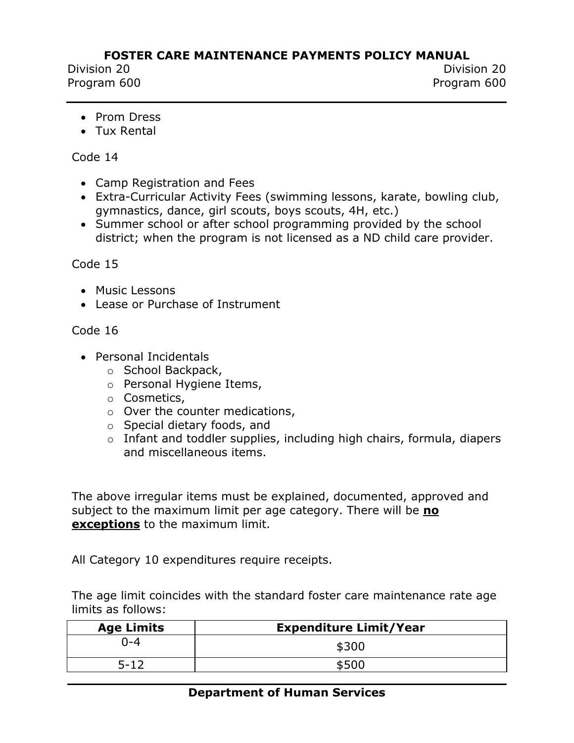Division 20 Division 20 Program 600 Program 600

- Prom Dress
- Tux Rental

#### Code 14

- Camp Registration and Fees
- Extra-Curricular Activity Fees (swimming lessons, karate, bowling club, gymnastics, dance, girl scouts, boys scouts, 4H, etc.)
- Summer school or after school programming provided by the school district; when the program is not licensed as a ND child care provider.

#### Code 15

- Music Lessons
- Lease or Purchase of Instrument

#### Code 16

- Personal Incidentals
	- o School Backpack,
	- o Personal Hygiene Items,
	- o Cosmetics,
	- o Over the counter medications,
	- o Special dietary foods, and
	- o Infant and toddler supplies, including high chairs, formula, diapers and miscellaneous items.

The above irregular items must be explained, documented, approved and subject to the maximum limit per age category. There will be **no exceptions** to the maximum limit.

All Category 10 expenditures require receipts.

The age limit coincides with the standard foster care maintenance rate age limits as follows:

| <b>Age Limits</b> | <b>Expenditure Limit/Year</b> |
|-------------------|-------------------------------|
| ገ-4               | \$300                         |
| 5-12              | \$500                         |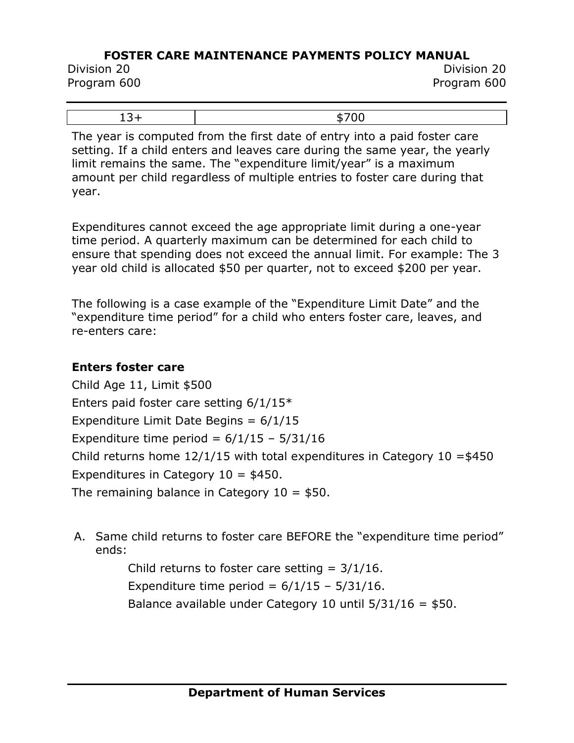Division 20 Division 20 Program 600 Program 600

The year is computed from the first date of entry into a paid foster care setting. If a child enters and leaves care during the same year, the yearly limit remains the same. The "expenditure limit/year" is a maximum amount per child regardless of multiple entries to foster care during that year.

Expenditures cannot exceed the age appropriate limit during a one-year time period. A quarterly maximum can be determined for each child to ensure that spending does not exceed the annual limit. For example: The 3 year old child is allocated \$50 per quarter, not to exceed \$200 per year.

The following is a case example of the "Expenditure Limit Date" and the "expenditure time period" for a child who enters foster care, leaves, and re-enters care:

#### **Enters foster care**

Child Age 11, Limit \$500 Enters paid foster care setting 6/1/15\* Expenditure Limit Date Begins =  $6/1/15$ Expenditure time period =  $6/1/15 - 5/31/16$ Child returns home  $12/1/15$  with total expenditures in Category 10 = \$450 Expenditures in Category  $10 = $450$ . The remaining balance in Category  $10 = $50$ .

A. Same child returns to foster care BEFORE the "expenditure time period" ends:

> Child returns to foster care setting  $= 3/1/16$ . Expenditure time period =  $6/1/15 - 5/31/16$ . Balance available under Category 10 until  $5/31/16 = $50$ .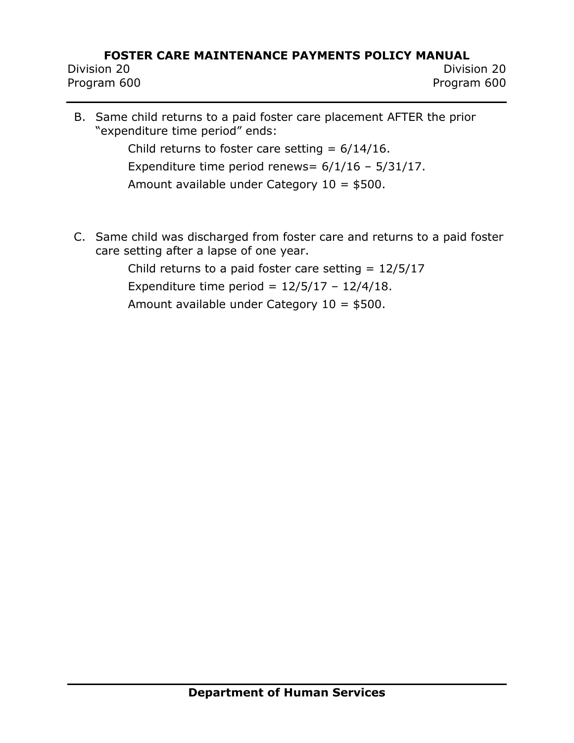Division 20 Division 20 Program 600 Program 600

- B. Same child returns to a paid foster care placement AFTER the prior "expenditure time period" ends: Child returns to foster care setting  $= 6/14/16$ . Expenditure time period renews= 6/1/16 – 5/31/17. Amount available under Category 10 = \$500.
- C. Same child was discharged from foster care and returns to a paid foster care setting after a lapse of one year.

Child returns to a paid foster care setting  $= 12/5/17$ Expenditure time period =  $12/5/17 - 12/4/18$ . Amount available under Category 10 = \$500.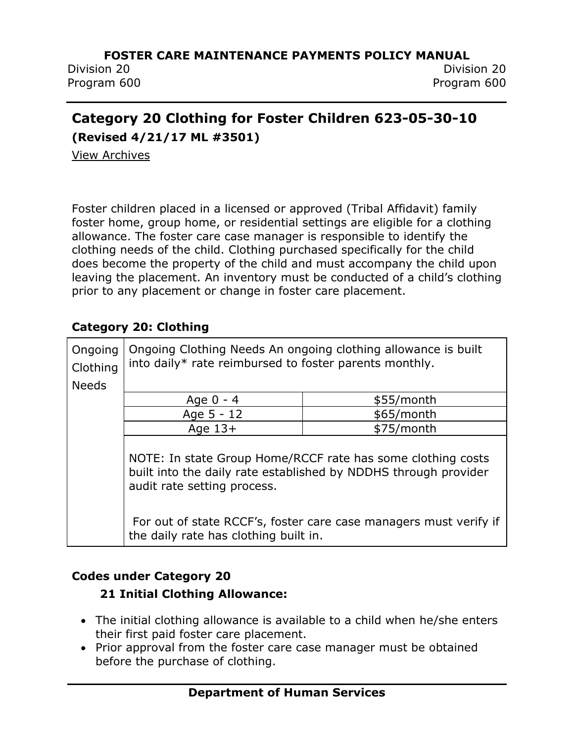Division 20 Division 20 Program 600 Program 600

# **Category 20 Clothing for Foster Children 623-05-30-10**

**(Revised 4/21/17 ML #3501)**

[View Archives](../../../Content/Archived%20Documents/archives.htm#623_05_30_10)

Foster children placed in a licensed or approved (Tribal Affidavit) family foster home, group home, or residential settings are eligible for a clothing allowance. The foster care case manager is responsible to identify the clothing needs of the child. Clothing purchased specifically for the child does become the property of the child and must accompany the child upon leaving the placement. An inventory must be conducted of a child's clothing prior to any placement or change in foster care placement.

#### **Category 20: Clothing**

| Ongoing<br>Clothing | Ongoing Clothing Needs An ongoing clothing allowance is built<br>into daily* rate reimbursed to foster parents monthly.                                       |            |
|---------------------|---------------------------------------------------------------------------------------------------------------------------------------------------------------|------------|
| <b>Needs</b>        |                                                                                                                                                               |            |
|                     | Age 0 - 4                                                                                                                                                     | \$55/month |
|                     | Age 5 - 12                                                                                                                                                    | \$65/month |
|                     | Age $13+$                                                                                                                                                     | \$75/month |
|                     | NOTE: In state Group Home/RCCF rate has some clothing costs<br>built into the daily rate established by NDDHS through provider<br>audit rate setting process. |            |
|                     | For out of state RCCF's, foster care case managers must verify if<br>the daily rate has clothing built in.                                                    |            |

## **Codes under Category 20**

#### **21 Initial Clothing Allowance:**

- The initial clothing allowance is available to a child when he/she enters their first paid foster care placement.
- Prior approval from the foster care case manager must be obtained before the purchase of clothing.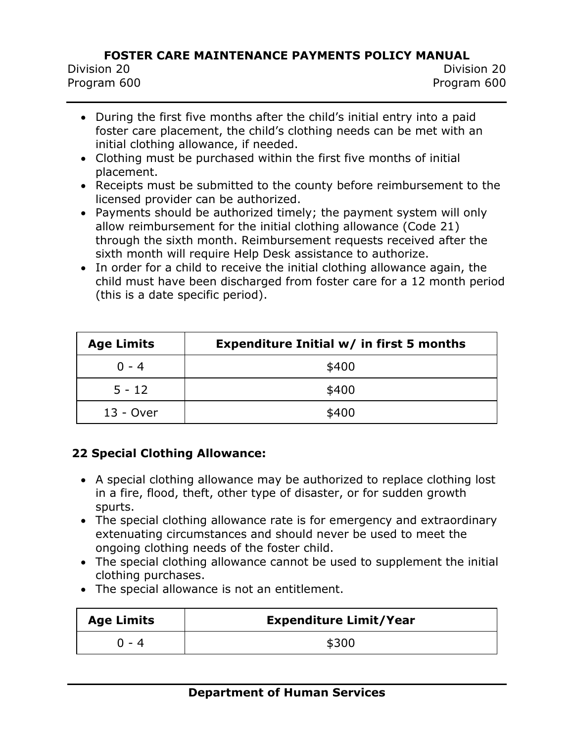- During the first five months after the child's initial entry into a paid foster care placement, the child's clothing needs can be met with an initial clothing allowance, if needed.
- Clothing must be purchased within the first five months of initial placement.
- Receipts must be submitted to the county before reimbursement to the licensed provider can be authorized.
- Payments should be authorized timely; the payment system will only allow reimbursement for the initial clothing allowance (Code 21) through the sixth month. Reimbursement requests received after the sixth month will require Help Desk assistance to authorize.
- In order for a child to receive the initial clothing allowance again, the child must have been discharged from foster care for a 12 month period (this is a date specific period).

| <b>Age Limits</b> | Expenditure Initial w/ in first 5 months |
|-------------------|------------------------------------------|
| $0 - 4$           | \$400                                    |
| $5 - 12$          | \$400                                    |
| 13 - Over         | \$400                                    |

## **22 Special Clothing Allowance:**

- A special clothing allowance may be authorized to replace clothing lost in a fire, flood, theft, other type of disaster, or for sudden growth spurts.
- The special clothing allowance rate is for emergency and extraordinary extenuating circumstances and should never be used to meet the ongoing clothing needs of the foster child.
- The special clothing allowance cannot be used to supplement the initial clothing purchases.
- The special allowance is not an entitlement.

| <b>Age Limits</b> | <b>Expenditure Limit/Year</b> |
|-------------------|-------------------------------|
| በ - 4             | \$300                         |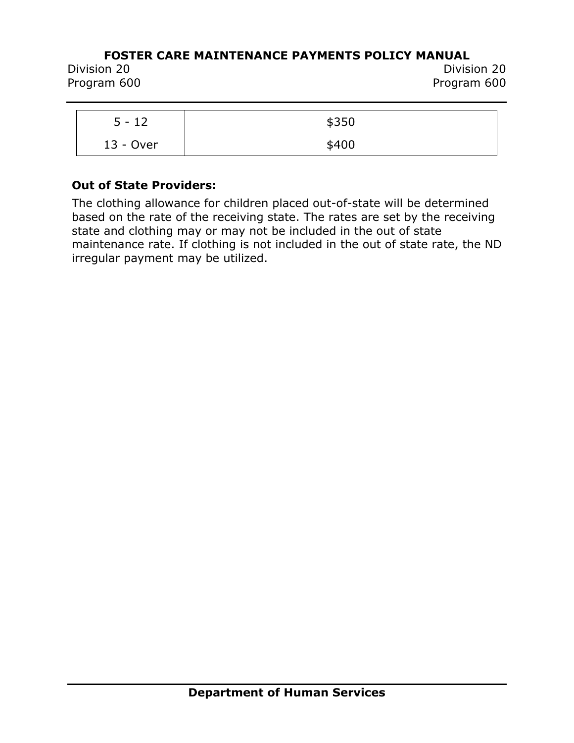Division 20 Division 20 Program 600 Program 600

| $5 - 12$  | \$350 |
|-----------|-------|
| 13 - Over | \$400 |

#### **Out of State Providers:**

The clothing allowance for children placed out-of-state will be determined based on the rate of the receiving state. The rates are set by the receiving state and clothing may or may not be included in the out of state maintenance rate. If clothing is not included in the out of state rate, the ND irregular payment may be utilized.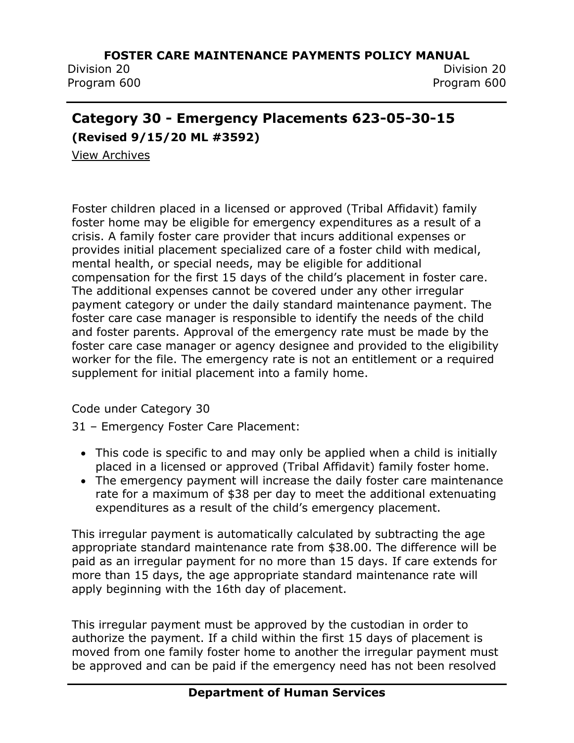Division 20 Division 20 Program 600 Program 600

## **Category 30 - Emergency Placements 623-05-30-15**

**(Revised 9/15/20 ML #3592)**

[View Archives](../../../Content/Archived%20Documents/archives.htm#623_05_30_15)

Foster children placed in a licensed or approved (Tribal Affidavit) family foster home may be eligible for emergency expenditures as a result of a crisis. A family foster care provider that incurs additional expenses or provides initial placement specialized care of a foster child with medical, mental health, or special needs, may be eligible for additional compensation for the first 15 days of the child's placement in foster care. The additional expenses cannot be covered under any other irregular payment category or under the daily standard maintenance payment. The foster care case manager is responsible to identify the needs of the child and foster parents. Approval of the emergency rate must be made by the foster care case manager or agency designee and provided to the eligibility worker for the file. The emergency rate is not an entitlement or a required supplement for initial placement into a family home.

Code under Category 30

31 – Emergency Foster Care Placement:

- This code is specific to and may only be applied when a child is initially placed in a licensed or approved (Tribal Affidavit) family foster home.
- The emergency payment will increase the daily foster care maintenance rate for a maximum of \$38 per day to meet the additional extenuating expenditures as a result of the child's emergency placement.

This irregular payment is automatically calculated by subtracting the age appropriate standard maintenance rate from \$38.00. The difference will be paid as an irregular payment for no more than 15 days. If care extends for more than 15 days, the age appropriate standard maintenance rate will apply beginning with the 16th day of placement.

This irregular payment must be approved by the custodian in order to authorize the payment. If a child within the first 15 days of placement is moved from one family foster home to another the irregular payment must be approved and can be paid if the emergency need has not been resolved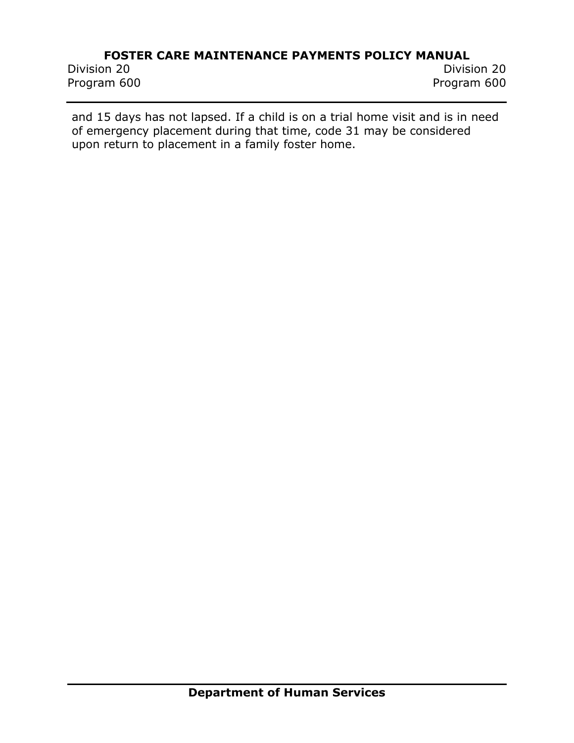Program 600 Program 600

Division 20 Division 20

and 15 days has not lapsed. If a child is on a trial home visit and is in need of emergency placement during that time, code 31 may be considered upon return to placement in a family foster home.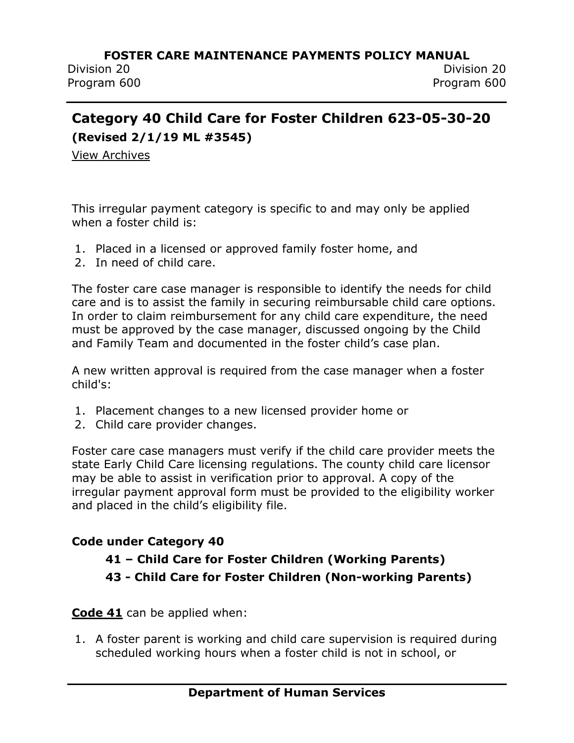# **Category 40 Child Care for Foster Children 623-05-30-20 (Revised 2/1/19 ML #3545)**

[View Archives](../../../Content/Archived%20Documents/archives.htm#623_05_30_20)

This irregular payment category is specific to and may only be applied when a foster child is:

- 1. Placed in a licensed or approved family foster home, and
- 2. In need of child care.

The foster care case manager is responsible to identify the needs for child care and is to assist the family in securing reimbursable child care options. In order to claim reimbursement for any child care expenditure, the need must be approved by the case manager, discussed ongoing by the Child and Family Team and documented in the foster child's case plan.

A new written approval is required from the case manager when a foster child's:

- 1. Placement changes to a new licensed provider home or
- 2. Child care provider changes.

Foster care case managers must verify if the child care provider meets the state Early Child Care licensing regulations. The county child care licensor may be able to assist in verification prior to approval. A copy of the irregular payment approval form must be provided to the eligibility worker and placed in the child's eligibility file.

#### **Code under Category 40**

## **41 – Child Care for Foster Children (Working Parents) 43 - Child Care for Foster Children (Non-working Parents)**

**Code 41** can be applied when:

1. A foster parent is working and child care supervision is required during scheduled working hours when a foster child is not in school, or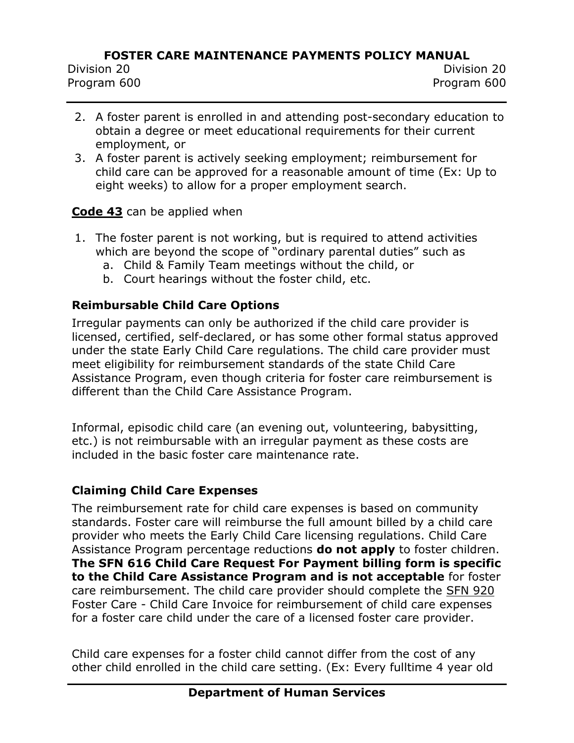- 2. A foster parent is enrolled in and attending post-secondary education to obtain a degree or meet educational requirements for their current employment, or
- 3. A foster parent is actively seeking employment; reimbursement for child care can be approved for a reasonable amount of time (Ex: Up to eight weeks) to allow for a proper employment search.

### **Code 43** can be applied when

- 1. The foster parent is not working, but is required to attend activities which are beyond the scope of "ordinary parental duties" such as
	- a. Child & Family Team meetings without the child, or
	- b. Court hearings without the foster child, etc.

## **Reimbursable Child Care Options**

Irregular payments can only be authorized if the child care provider is licensed, certified, self-declared, or has some other formal status approved under the state Early Child Care regulations. The child care provider must meet eligibility for reimbursement standards of the state Child Care Assistance Program, even though criteria for foster care reimbursement is different than the Child Care Assistance Program.

Informal, episodic child care (an evening out, volunteering, babysitting, etc.) is not reimbursable with an irregular payment as these costs are included in the basic foster care maintenance rate.

#### **Claiming Child Care Expenses**

The reimbursement rate for child care expenses is based on community standards. Foster care will reimburse the full amount billed by a child care provider who meets the Early Child Care licensing regulations. Child Care Assistance Program percentage reductions **do not apply** to foster children. **The SFN 616 Child Care Request For Payment billing form is specific to the Child Care Assistance Program and is not acceptable** for foster care reimbursement. The child care provider should complete the [SFN 920](https://www.nd.gov/eforms/Doc/sfn00920.pdf) Foster Care - Child Care Invoice for reimbursement of child care expenses for a foster care child under the care of a licensed foster care provider.

Child care expenses for a foster child cannot differ from the cost of any other child enrolled in the child care setting. (Ex: Every fulltime 4 year old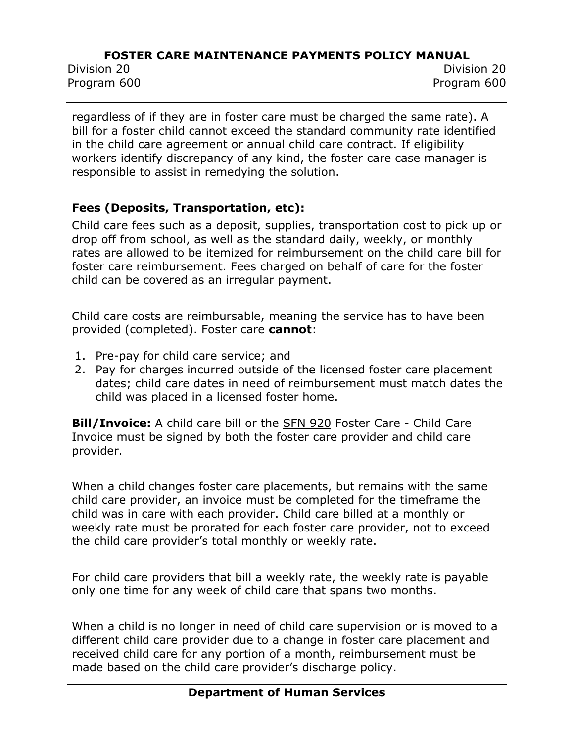Division 20 Division 20 Program 600 Program 600

regardless of if they are in foster care must be charged the same rate). A bill for a foster child cannot exceed the standard community rate identified in the child care agreement or annual child care contract. If eligibility workers identify discrepancy of any kind, the foster care case manager is responsible to assist in remedying the solution.

## **Fees (Deposits, Transportation, etc):**

Child care fees such as a deposit, supplies, transportation cost to pick up or drop off from school, as well as the standard daily, weekly, or monthly rates are allowed to be itemized for reimbursement on the child care bill for foster care reimbursement. Fees charged on behalf of care for the foster child can be covered as an irregular payment.

Child care costs are reimbursable, meaning the service has to have been provided (completed). Foster care **cannot**:

- 1. Pre-pay for child care service; and
- 2. Pay for charges incurred outside of the licensed foster care placement dates; child care dates in need of reimbursement must match dates the child was placed in a licensed foster home.

**Bill/Invoice:** A child care bill or the [SFN 920](https://www.nd.gov/eforms/Doc/sfn00920.pdf) Foster Care - Child Care Invoice must be signed by both the foster care provider and child care provider.

When a child changes foster care placements, but remains with the same child care provider, an invoice must be completed for the timeframe the child was in care with each provider. Child care billed at a monthly or weekly rate must be prorated for each foster care provider, not to exceed the child care provider's total monthly or weekly rate.

For child care providers that bill a weekly rate, the weekly rate is payable only one time for any week of child care that spans two months.

When a child is no longer in need of child care supervision or is moved to a different child care provider due to a change in foster care placement and received child care for any portion of a month, reimbursement must be made based on the child care provider's discharge policy.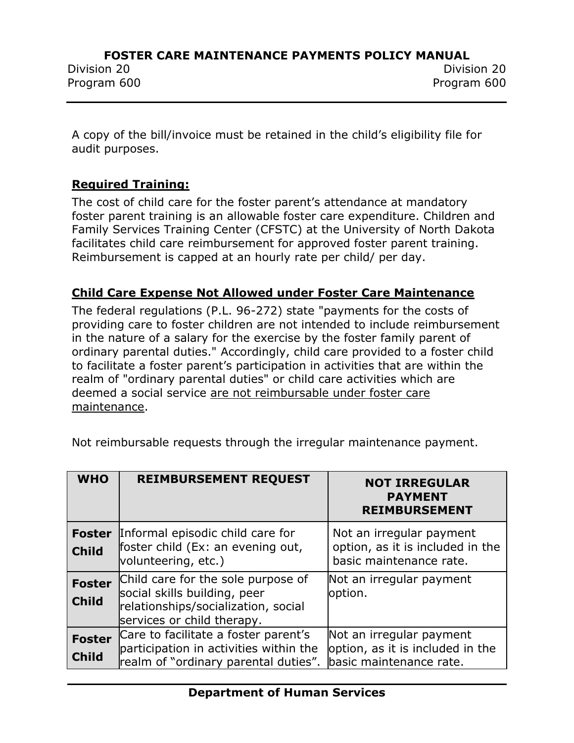Program 600 Program 600

A copy of the bill/invoice must be retained in the child's eligibility file for audit purposes.

### **Required Training:**

The cost of child care for the foster parent's attendance at mandatory foster parent training is an allowable foster care expenditure. Children and Family Services Training Center (CFSTC) at the University of North Dakota facilitates child care reimbursement for approved foster parent training. Reimbursement is capped at an hourly rate per child/ per day.

### **Child Care Expense Not Allowed under Foster Care Maintenance**

The federal regulations (P.L. 96-272) state "payments for the costs of providing care to foster children are not intended to include reimbursement in the nature of a salary for the exercise by the foster family parent of ordinary parental duties." Accordingly, child care provided to a foster child to facilitate a foster parent's participation in activities that are within the realm of "ordinary parental duties" or child care activities which are deemed a social service are not reimbursable under foster care maintenance.

| <b>WHO</b>                    | <b>REIMBURSEMENT REQUEST</b>                                                                                                            | <b>NOT IRREGULAR</b><br><b>PAYMENT</b><br><b>REIMBURSEMENT</b>                          |
|-------------------------------|-----------------------------------------------------------------------------------------------------------------------------------------|-----------------------------------------------------------------------------------------|
| <b>Foster</b><br><b>Child</b> | Informal episodic child care for<br>foster child (Ex: an evening out,<br>volunteering, etc.)                                            | Not an irregular payment<br>option, as it is included in the<br>basic maintenance rate. |
| <b>Foster</b><br><b>Child</b> | Child care for the sole purpose of<br>social skills building, peer<br>relationships/socialization, social<br>services or child therapy. | Not an irregular payment<br>option.                                                     |
| <b>Foster</b><br><b>Child</b> | Care to facilitate a foster parent's<br>participation in activities within the<br>realm of "ordinary parental duties".                  | Not an irregular payment<br>option, as it is included in the<br>basic maintenance rate. |

Not reimbursable requests through the irregular maintenance payment.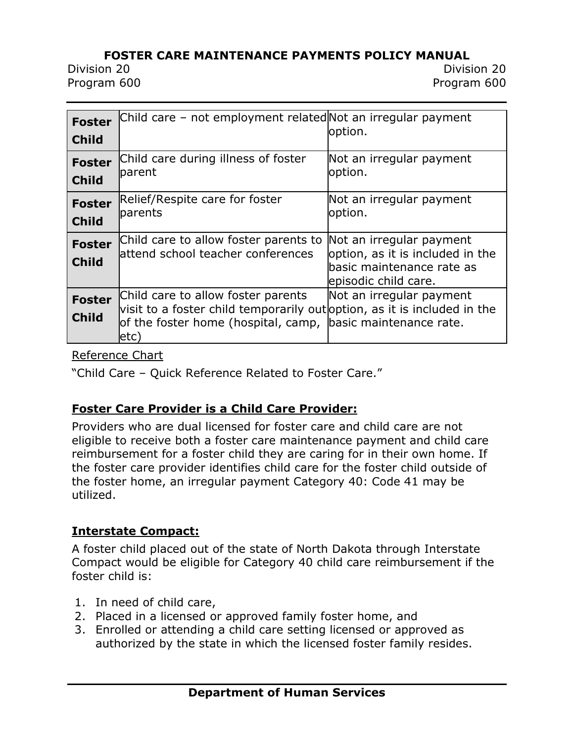Division 20 Division 20

Program 600 Program 600

| <b>Foster</b><br><b>Child</b> | Child care - not employment related Not an irregular payment                                                                                                                           | option.                                                                                                           |
|-------------------------------|----------------------------------------------------------------------------------------------------------------------------------------------------------------------------------------|-------------------------------------------------------------------------------------------------------------------|
| <b>Foster</b><br><b>Child</b> | Child care during illness of foster<br>parent                                                                                                                                          | Not an irregular payment<br>option.                                                                               |
| <b>Foster</b><br><b>Child</b> | Relief/Respite care for foster<br>parents                                                                                                                                              | Not an irregular payment<br>option.                                                                               |
| <b>Foster</b><br><b>Child</b> | Child care to allow foster parents to<br>lattend school teacher conferences                                                                                                            | Not an irregular payment<br>option, as it is included in the<br>basic maintenance rate as<br>episodic child care. |
| <b>Foster</b><br><b>Child</b> | Child care to allow foster parents<br>visit to a foster child temporarily out option, as it is included in the<br>of the foster home (hospital, camp, basic maintenance rate.<br>letc) | Not an irregular payment                                                                                          |

#### [Reference Chart](../../../Content/Attachments/032417%20Updated%20CHILD%20CARE%20Quick%20Reference.pdf)

"Child Care – Quick Reference Related to Foster Care."

## **Foster Care Provider is a Child Care Provider:**

Providers who are dual licensed for foster care and child care are not eligible to receive both a foster care maintenance payment and child care reimbursement for a foster child they are caring for in their own home. If the foster care provider identifies child care for the foster child outside of the foster home, an irregular payment Category 40: Code 41 may be utilized.

## **Interstate Compact:**

A foster child placed out of the state of North Dakota through Interstate Compact would be eligible for Category 40 child care reimbursement if the foster child is:

- 1. In need of child care,
- 2. Placed in a licensed or approved family foster home, and
- 3. Enrolled or attending a child care setting licensed or approved as authorized by the state in which the licensed foster family resides.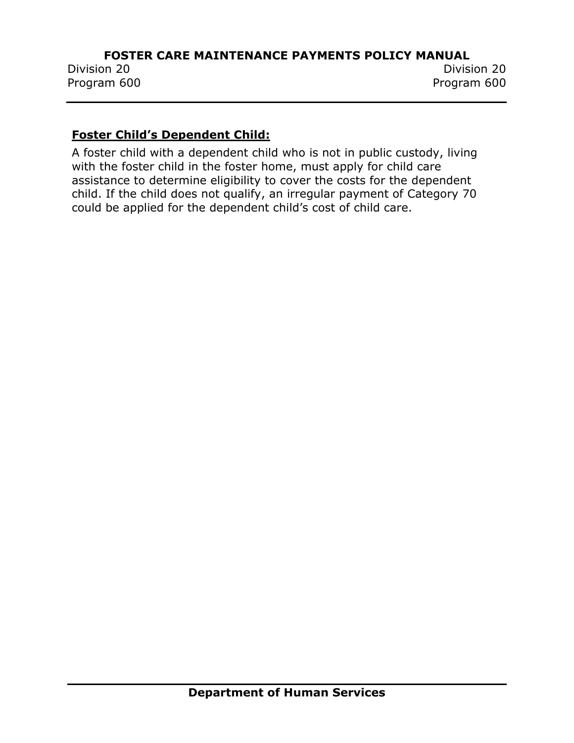#### **Foster Child's Dependent Child:**

A foster child with a dependent child who is not in public custody, living with the foster child in the foster home, must apply for child care assistance to determine eligibility to cover the costs for the dependent child. If the child does not qualify, an irregular payment of Category 70 could be applied for the dependent child's cost of child care.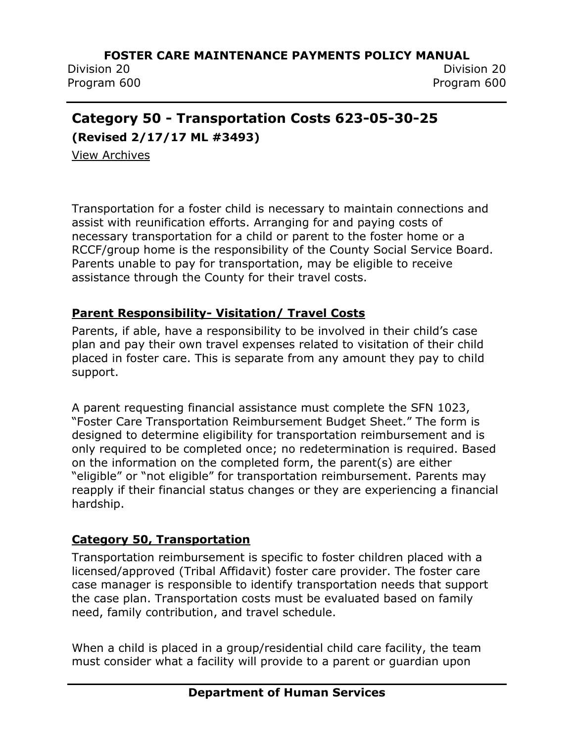Division 20 Division 20

Program 600 Program 600

# **Category 50 - Transportation Costs 623-05-30-25**

**(Revised 2/17/17 ML #3493)**

[View Archives](../../../Content/Archived%20Documents/archives.htm#623_05_30_25)

Transportation for a foster child is necessary to maintain connections and assist with reunification efforts. Arranging for and paying costs of necessary transportation for a child or parent to the foster home or a RCCF/group home is the responsibility of the County Social Service Board. Parents unable to pay for transportation, may be eligible to receive assistance through the County for their travel costs.

## **Parent Responsibility- Visitation/ Travel Costs**

Parents, if able, have a responsibility to be involved in their child's case plan and pay their own travel expenses related to visitation of their child placed in foster care. This is separate from any amount they pay to child support.

A parent requesting financial assistance must complete the SFN 1023, "Foster Care Transportation Reimbursement Budget Sheet." The form is designed to determine eligibility for transportation reimbursement and is only required to be completed once; no redetermination is required. Based on the information on the completed form, the parent(s) are either "eligible" or "not eligible" for transportation reimbursement. Parents may reapply if their financial status changes or they are experiencing a financial hardship.

## **Category 50, Transportation**

Transportation reimbursement is specific to foster children placed with a licensed/approved (Tribal Affidavit) foster care provider. The foster care case manager is responsible to identify transportation needs that support the case plan. Transportation costs must be evaluated based on family need, family contribution, and travel schedule.

When a child is placed in a group/residential child care facility, the team must consider what a facility will provide to a parent or guardian upon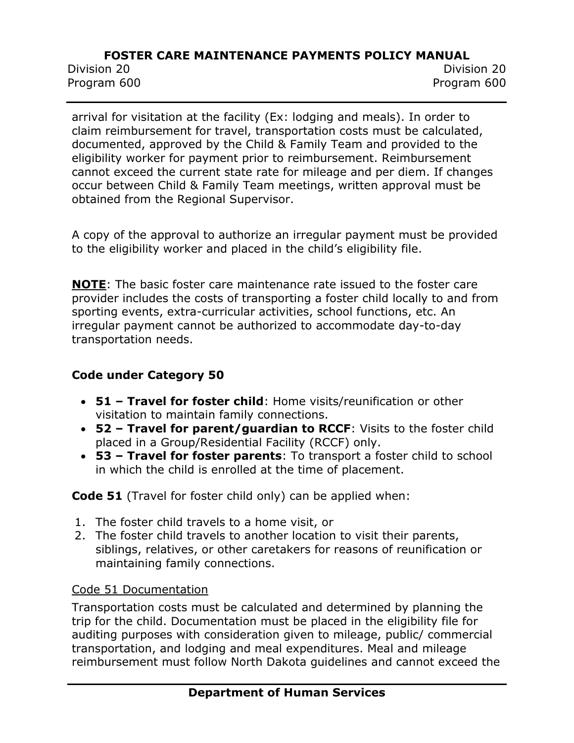Division 20 Division 20

Program 600 Program 600

arrival for visitation at the facility (Ex: lodging and meals). In order to claim reimbursement for travel, transportation costs must be calculated, documented, approved by the Child & Family Team and provided to the eligibility worker for payment prior to reimbursement. Reimbursement cannot exceed the current state rate for mileage and per diem. If changes occur between Child & Family Team meetings, written approval must be obtained from the Regional Supervisor.

A copy of the approval to authorize an irregular payment must be provided to the eligibility worker and placed in the child's eligibility file.

**NOTE**: The basic foster care maintenance rate issued to the foster care provider includes the costs of transporting a foster child locally to and from sporting events, extra-curricular activities, school functions, etc. An irregular payment cannot be authorized to accommodate day-to-day transportation needs.

## **Code under Category 50**

- **51 – Travel for foster child**: Home visits/reunification or other visitation to maintain family connections.
- **52 – Travel for parent/guardian to RCCF**: Visits to the foster child placed in a Group/Residential Facility (RCCF) only.
- **53 – Travel for foster parents**: To transport a foster child to school in which the child is enrolled at the time of placement.

**Code 51** (Travel for foster child only) can be applied when:

- 1. The foster child travels to a home visit, or
- 2. The foster child travels to another location to visit their parents, siblings, relatives, or other caretakers for reasons of reunification or maintaining family connections.

#### Code 51 Documentation

Transportation costs must be calculated and determined by planning the trip for the child. Documentation must be placed in the eligibility file for auditing purposes with consideration given to mileage, public/ commercial transportation, and lodging and meal expenditures. Meal and mileage reimbursement must follow North Dakota guidelines and cannot exceed the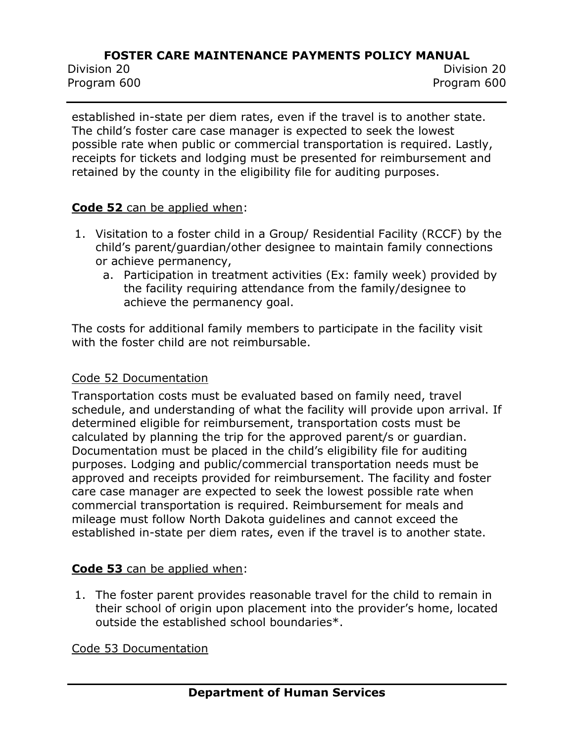Division 20 Division 20 Program 600 Program 600

established in-state per diem rates, even if the travel is to another state. The child's foster care case manager is expected to seek the lowest possible rate when public or commercial transportation is required. Lastly, receipts for tickets and lodging must be presented for reimbursement and retained by the county in the eligibility file for auditing purposes.

#### **Code 52** can be applied when:

- 1. Visitation to a foster child in a Group/ Residential Facility (RCCF) by the child's parent/guardian/other designee to maintain family connections or achieve permanency,
	- a. Participation in treatment activities (Ex: family week) provided by the facility requiring attendance from the family/designee to achieve the permanency goal.

The costs for additional family members to participate in the facility visit with the foster child are not reimbursable.

#### Code 52 Documentation

Transportation costs must be evaluated based on family need, travel schedule, and understanding of what the facility will provide upon arrival. If determined eligible for reimbursement, transportation costs must be calculated by planning the trip for the approved parent/s or guardian. Documentation must be placed in the child's eligibility file for auditing purposes. Lodging and public/commercial transportation needs must be approved and receipts provided for reimbursement. The facility and foster care case manager are expected to seek the lowest possible rate when commercial transportation is required. Reimbursement for meals and mileage must follow North Dakota guidelines and cannot exceed the established in-state per diem rates, even if the travel is to another state.

#### **Code 53** can be applied when:

1. The foster parent provides reasonable travel for the child to remain in their school of origin upon placement into the provider's home, located outside the established school boundaries\*.

Code 53 Documentation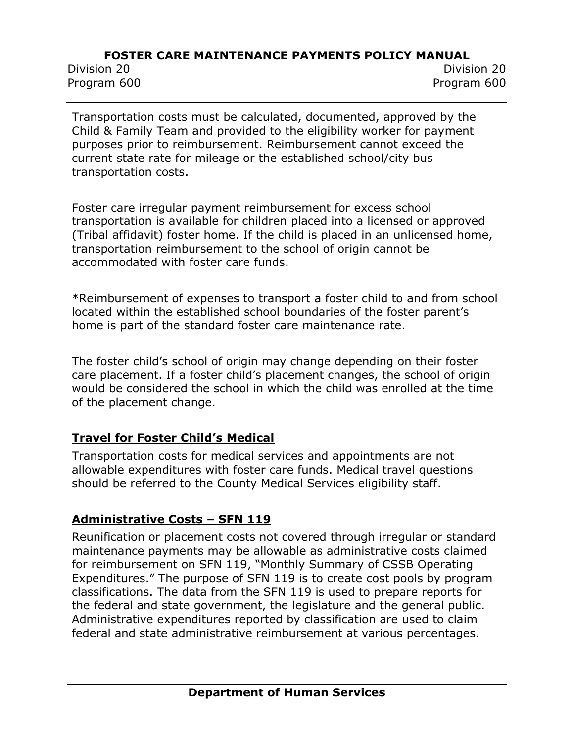Division 20 Division 20 Program 600 Program 600

Transportation costs must be calculated, documented, approved by the Child & Family Team and provided to the eligibility worker for payment purposes prior to reimbursement. Reimbursement cannot exceed the current state rate for mileage or the established school/city bus transportation costs.

Foster care irregular payment reimbursement for excess school transportation is available for children placed into a licensed or approved (Tribal affidavit) foster home. If the child is placed in an unlicensed home, transportation reimbursement to the school of origin cannot be accommodated with foster care funds.

\*Reimbursement of expenses to transport a foster child to and from school located within the established school boundaries of the foster parent's home is part of the standard foster care maintenance rate.

The foster child's school of origin may change depending on their foster care placement. If a foster child's placement changes, the school of origin would be considered the school in which the child was enrolled at the time of the placement change.

#### **Travel for Foster Child's Medical**

Transportation costs for medical services and appointments are not allowable expenditures with foster care funds. Medical travel questions should be referred to the County Medical Services eligibility staff.

## **Administrative Costs – SFN 119**

Reunification or placement costs not covered through irregular or standard maintenance payments may be allowable as administrative costs claimed for reimbursement on SFN 119, "Monthly Summary of CSSB Operating Expenditures." The purpose of SFN 119 is to create cost pools by program classifications. The data from the SFN 119 is used to prepare reports for the federal and state government, the legislature and the general public. Administrative expenditures reported by classification are used to claim federal and state administrative reimbursement at various percentages.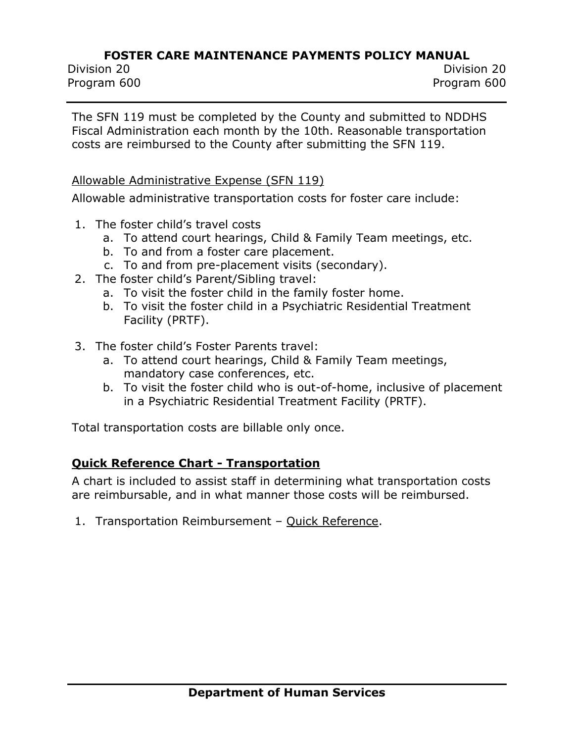Division 20 Division 20 Program 600 Program 600

The SFN 119 must be completed by the County and submitted to NDDHS Fiscal Administration each month by the 10th. Reasonable transportation costs are reimbursed to the County after submitting the SFN 119.

#### Allowable Administrative Expense (SFN 119)

Allowable administrative transportation costs for foster care include:

- 1. The foster child's travel costs
	- a. To attend court hearings, Child & Family Team meetings, etc.
	- b. To and from a foster care placement.
	- c. To and from pre-placement visits (secondary).
- 2. The foster child's Parent/Sibling travel:
	- a. To visit the foster child in the family foster home.
	- b. To visit the foster child in a Psychiatric Residential Treatment Facility (PRTF).
- 3. The foster child's Foster Parents travel:
	- a. To attend court hearings, Child & Family Team meetings, mandatory case conferences, etc.
	- b. To visit the foster child who is out-of-home, inclusive of placement in a Psychiatric Residential Treatment Facility (PRTF).

Total transportation costs are billable only once.

#### **Quick Reference Chart - Transportation**

A chart is included to assist staff in determining what transportation costs are reimbursable, and in what manner those costs will be reimbursed.

1. Transportation Reimbursement – [Quick Reference.](http://www.nd.gov/dhs/policymanuals/62305/Content/Attachments/PI%2019-21%20Chart%20-%20FC%20Transportation%20Quick%20Reference%20revised%2010012019.pdf)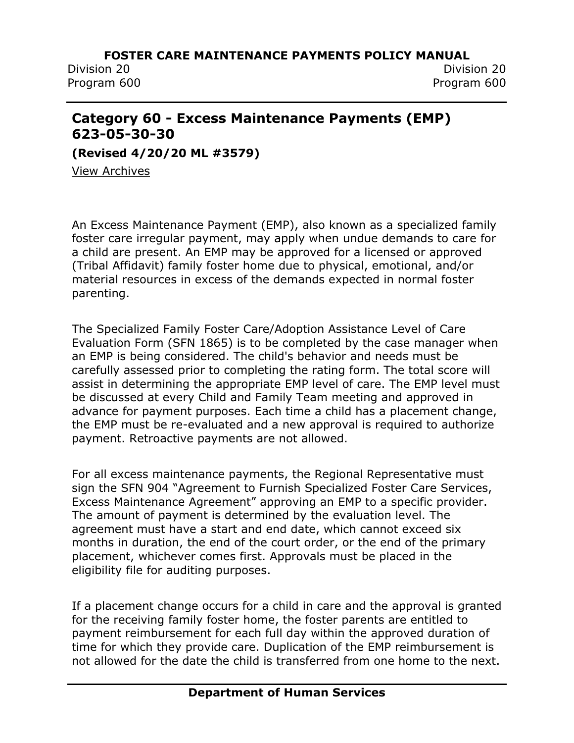Division 20 Division 20 Program 600 Program 600

# **Category 60 - Excess Maintenance Payments (EMP) 623-05-30-30**

**(Revised 4/20/20 ML #3579)**

[View Archives](../../../Content/Archived%20Documents/archives.htm#623_05_30_30)

An Excess Maintenance Payment (EMP), also known as a specialized family foster care irregular payment, may apply when undue demands to care for a child are present. An EMP may be approved for a licensed or approved (Tribal Affidavit) family foster home due to physical, emotional, and/or material resources in excess of the demands expected in normal foster parenting.

The Specialized Family Foster Care/Adoption Assistance Level of Care Evaluation Form (SFN 1865) is to be completed by the case manager when an EMP is being considered. The child's behavior and needs must be carefully assessed prior to completing the rating form. The total score will assist in determining the appropriate EMP level of care. The EMP level must be discussed at every Child and Family Team meeting and approved in advance for payment purposes. Each time a child has a placement change, the EMP must be re-evaluated and a new approval is required to authorize payment. Retroactive payments are not allowed.

For all excess maintenance payments, the Regional Representative must sign the SFN 904 "Agreement to Furnish Specialized Foster Care Services, Excess Maintenance Agreement" approving an EMP to a specific provider. The amount of payment is determined by the evaluation level. The agreement must have a start and end date, which cannot exceed six months in duration, the end of the court order, or the end of the primary placement, whichever comes first. Approvals must be placed in the eligibility file for auditing purposes.

If a placement change occurs for a child in care and the approval is granted for the receiving family foster home, the foster parents are entitled to payment reimbursement for each full day within the approved duration of time for which they provide care. Duplication of the EMP reimbursement is not allowed for the date the child is transferred from one home to the next.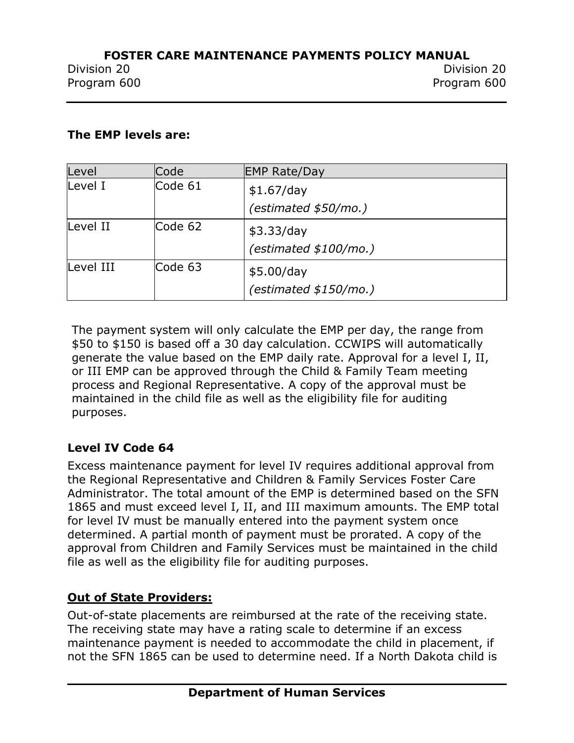#### **The EMP levels are:**

| Level     | Code    | <b>EMP Rate/Day</b>    |
|-----------|---------|------------------------|
| Level I   | Code 61 | \$1.67/day             |
|           |         | (estimated \$50/mo.)   |
| Level II  | Code 62 | \$3.33/day             |
|           |         | (estimated \$100/mol.) |
| Level III | Code 63 | \$5.00/day             |
|           |         | (estimated \$150/mol.) |

The payment system will only calculate the EMP per day, the range from \$50 to \$150 is based off a 30 day calculation. CCWIPS will automatically generate the value based on the EMP daily rate. Approval for a level I, II, or III EMP can be approved through the Child & Family Team meeting process and Regional Representative. A copy of the approval must be maintained in the child file as well as the eligibility file for auditing purposes.

## **Level IV Code 64**

Excess maintenance payment for level IV requires additional approval from the Regional Representative and Children & Family Services Foster Care Administrator. The total amount of the EMP is determined based on the SFN 1865 and must exceed level I, II, and III maximum amounts. The EMP total for level IV must be manually entered into the payment system once determined. A partial month of payment must be prorated. A copy of the approval from Children and Family Services must be maintained in the child file as well as the eligibility file for auditing purposes.

## **Out of State Providers:**

Out-of-state placements are reimbursed at the rate of the receiving state. The receiving state may have a rating scale to determine if an excess maintenance payment is needed to accommodate the child in placement, if not the SFN 1865 can be used to determine need. If a North Dakota child is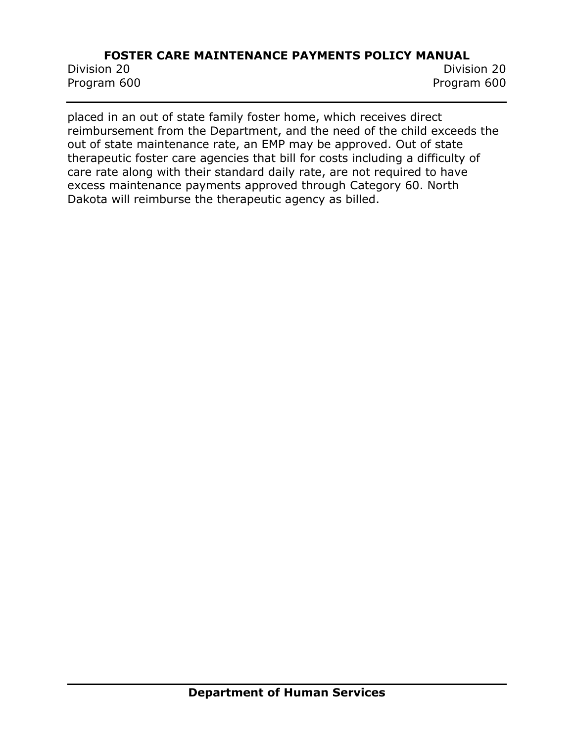Division 20 Division 20 Program 600 Program 600

placed in an out of state family foster home, which receives direct reimbursement from the Department, and the need of the child exceeds the out of state maintenance rate, an EMP may be approved. Out of state therapeutic foster care agencies that bill for costs including a difficulty of care rate along with their standard daily rate, are not required to have excess maintenance payments approved through Category 60. North Dakota will reimburse the therapeutic agency as billed.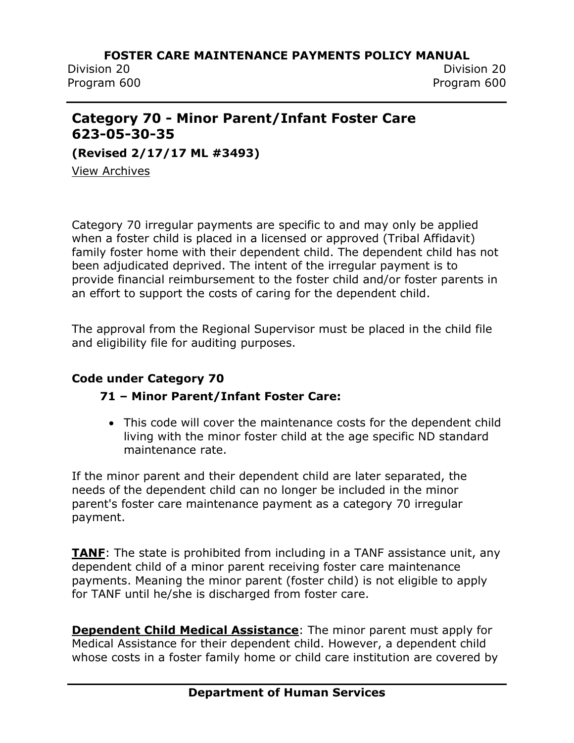Division 20 Division 20 Program 600 Program 600

# **Category 70 - Minor Parent/Infant Foster Care 623-05-30-35**

**(Revised 2/17/17 ML #3493)**

[View Archives](../../../Content/Archived%20Documents/archives.htm#623_05_30_35)

Category 70 irregular payments are specific to and may only be applied when a foster child is placed in a licensed or approved (Tribal Affidavit) family foster home with their dependent child. The dependent child has not been adjudicated deprived. The intent of the irregular payment is to provide financial reimbursement to the foster child and/or foster parents in an effort to support the costs of caring for the dependent child.

The approval from the Regional Supervisor must be placed in the child file and eligibility file for auditing purposes.

### **Code under Category 70**

## **71 – Minor Parent/Infant Foster Care:**

• This code will cover the maintenance costs for the dependent child living with the minor foster child at the age specific ND standard maintenance rate.

If the minor parent and their dependent child are later separated, the needs of the dependent child can no longer be included in the minor parent's foster care maintenance payment as a category 70 irregular payment.

**TANF**: The state is prohibited from including in a TANF assistance unit, any dependent child of a minor parent receiving foster care maintenance payments. Meaning the minor parent (foster child) is not eligible to apply for TANF until he/she is discharged from foster care.

**Dependent Child Medical Assistance**: The minor parent must apply for Medical Assistance for their dependent child. However, a dependent child whose costs in a foster family home or child care institution are covered by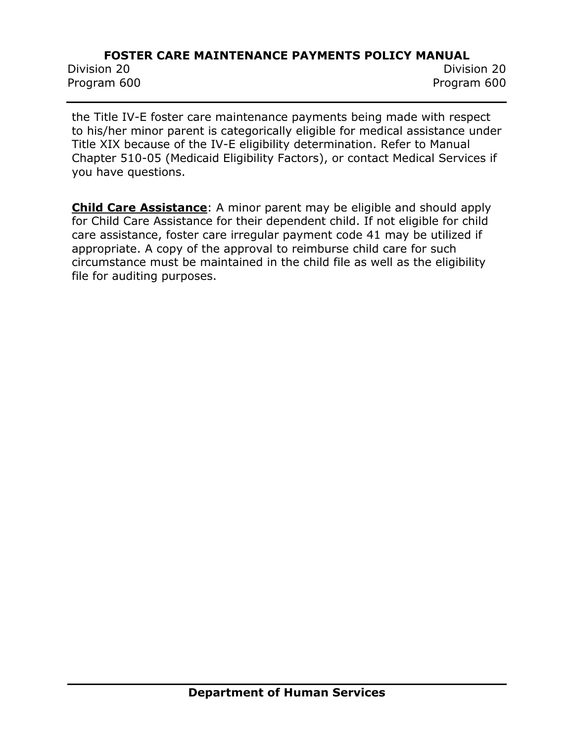Division 20 Division 20 Program 600 Program 600

the Title IV-E foster care maintenance payments being made with respect to his/her minor parent is categorically eligible for medical assistance under Title XIX because of the IV-E eligibility determination. Refer to Manual Chapter 510-05 (Medicaid Eligibility Factors), or contact Medical Services if you have questions.

**Child Care Assistance**: A minor parent may be eligible and should apply for Child Care Assistance for their dependent child. If not eligible for child care assistance, foster care irregular payment code 41 may be utilized if appropriate. A copy of the approval to reimburse child care for such circumstance must be maintained in the child file as well as the eligibility file for auditing purposes.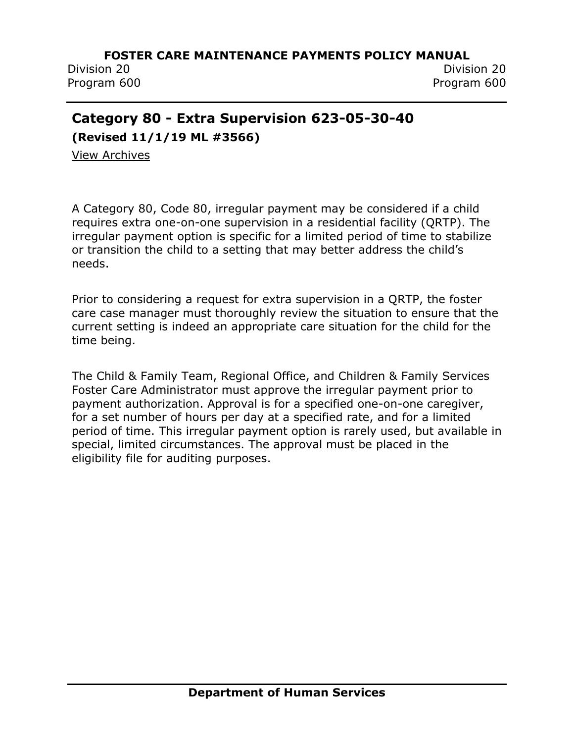Division 20 Division 20

Program 600 Program 600

# **Category 80 - Extra Supervision 623-05-30-40**

**(Revised 11/1/19 ML #3566)**

[View Archives](../../../Content/Archived%20Documents/archives.htm#623_05_30_40)

A Category 80, Code 80, irregular payment may be considered if a child requires extra one-on-one supervision in a residential facility (QRTP). The irregular payment option is specific for a limited period of time to stabilize or transition the child to a setting that may better address the child's needs.

Prior to considering a request for extra supervision in a QRTP, the foster care case manager must thoroughly review the situation to ensure that the current setting is indeed an appropriate care situation for the child for the time being.

The Child & Family Team, Regional Office, and Children & Family Services Foster Care Administrator must approve the irregular payment prior to payment authorization. Approval is for a specified one-on-one caregiver, for a set number of hours per day at a specified rate, and for a limited period of time. This irregular payment option is rarely used, but available in special, limited circumstances. The approval must be placed in the eligibility file for auditing purposes.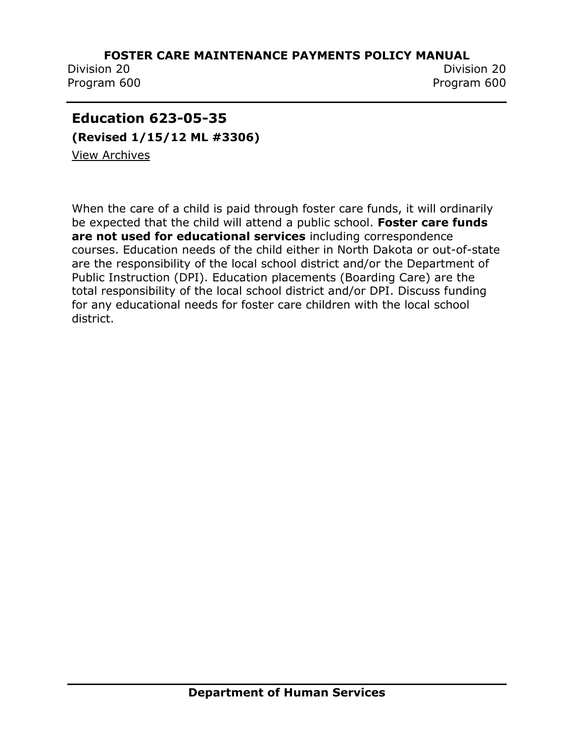Program 600 Program 600

Division 20 Division 20

# **Education 623-05-35**

**(Revised 1/15/12 ML #3306)** [View Archives](../../../Content/Archived%20Documents/archives.htm#623_05_35)

When the care of a child is paid through foster care funds, it will ordinarily be expected that the child will attend a public school. **Foster care funds are not used for educational services** including correspondence courses. Education needs of the child either in North Dakota or out-of-state are the responsibility of the local school district and/or the Department of Public Instruction (DPI). Education placements (Boarding Care) are the total responsibility of the local school district and/or DPI. Discuss funding for any educational needs for foster care children with the local school district.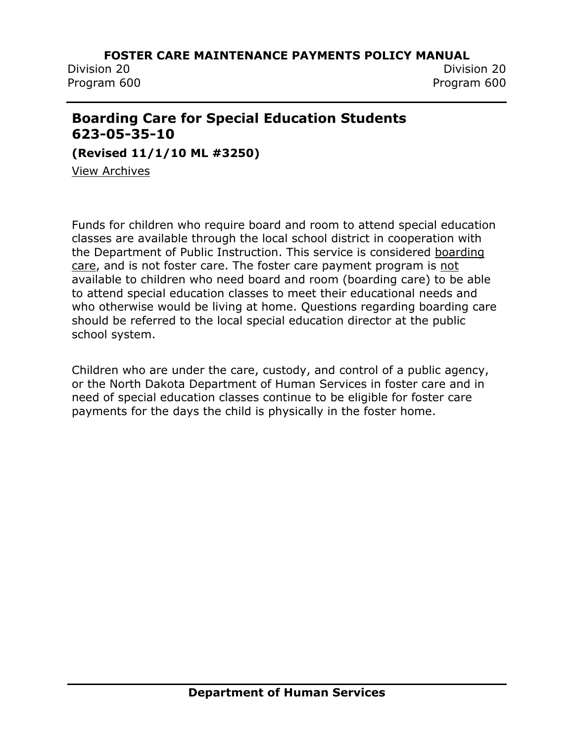Division 20 Division 20 Program 600 Program 600

# **Boarding Care for Special Education Students 623-05-35-10**

**(Revised 11/1/10 ML #3250)**

[View Archives](../../../Content/Archived%20Documents/archives.htm#623_05_35_10)

Funds for children who require board and room to attend special education classes are available through the local school district in cooperation with the Department of Public Instruction. This service is considered boarding care, and is not foster care. The foster care payment program is not available to children who need board and room (boarding care) to be able to attend special education classes to meet their educational needs and who otherwise would be living at home. Questions regarding boarding care should be referred to the local special education director at the public school system.

Children who are under the care, custody, and control of a public agency, or the North Dakota Department of Human Services in foster care and in need of special education classes continue to be eligible for foster care payments for the days the child is physically in the foster home.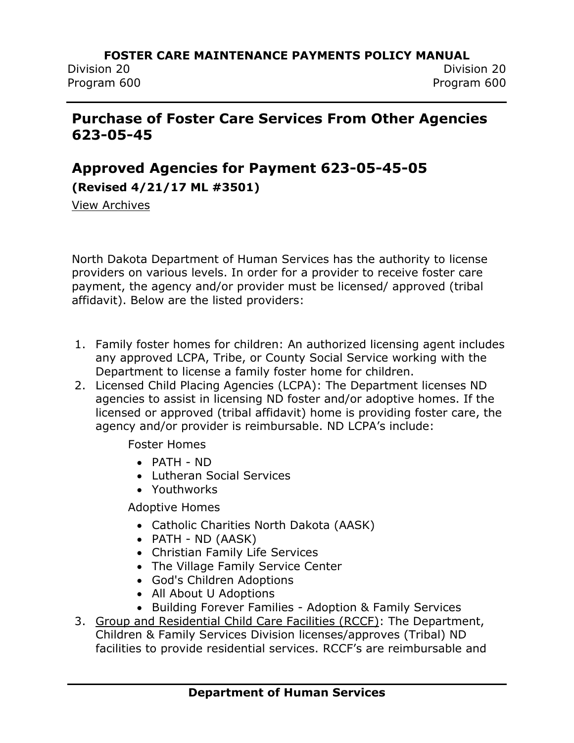# **Purchase of Foster Care Services From Other Agencies 623-05-45**

# **Approved Agencies for Payment 623-05-45-05**

**(Revised 4/21/17 ML #3501)**

[View Archives](../../../Content/Archived%20Documents/archives.htm#623_05_45_05)

North Dakota Department of Human Services has the authority to license providers on various levels. In order for a provider to receive foster care payment, the agency and/or provider must be licensed/ approved (tribal affidavit). Below are the listed providers:

- 1. Family foster homes for children: An authorized licensing agent includes any approved LCPA, Tribe, or County Social Service working with the Department to license a family foster home for children.
- 2. Licensed Child Placing Agencies (LCPA): The Department licenses ND agencies to assist in licensing ND foster and/or adoptive homes. If the licensed or approved (tribal affidavit) home is providing foster care, the agency and/or provider is reimbursable. ND LCPA's include:

Foster Homes

- PATH ND
- Lutheran Social Services
- Youthworks

Adoptive Homes

- Catholic Charities North Dakota (AASK)
- PATH ND (AASK)
- Christian Family Life Services
- The Village Family Service Center
- God's Children Adoptions
- All About U Adoptions
- Building Forever Families Adoption & Family Services
- 3. Group and Residential Child Care Facilities (RCCF): The Department, Children & Family Services Division licenses/approves (Tribal) ND facilities to provide residential services. RCCF's are reimbursable and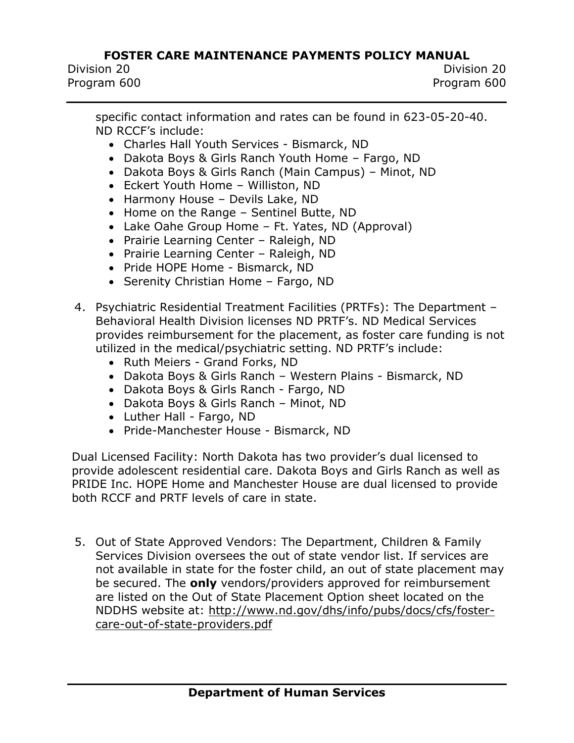Division 20 Division 20 Program 600 Program 600

specific contact information and rates can be found in 623-05-20-40. ND RCCF's include:

- Charles Hall Youth Services Bismarck, ND
- Dakota Boys & Girls Ranch Youth Home Fargo, ND
- Dakota Boys & Girls Ranch (Main Campus) Minot, ND
- Eckert Youth Home Williston, ND
- Harmony House Devils Lake, ND
- Home on the Range Sentinel Butte, ND
- Lake Oahe Group Home Ft. Yates, ND (Approval)
- Prairie Learning Center Raleigh, ND
- Prairie Learning Center Raleigh, ND
- Pride HOPE Home Bismarck, ND
- Serenity Christian Home Fargo, ND
- 4. Psychiatric Residential Treatment Facilities (PRTFs): The Department Behavioral Health Division licenses ND PRTF's. ND Medical Services provides reimbursement for the placement, as foster care funding is not utilized in the medical/psychiatric setting. ND PRTF's include:
	- Ruth Meiers Grand Forks, ND
	- Dakota Boys & Girls Ranch Western Plains Bismarck, ND
	- Dakota Boys & Girls Ranch Fargo, ND
	- Dakota Boys & Girls Ranch Minot, ND
	- Luther Hall Fargo, ND
	- Pride-Manchester House Bismarck, ND

Dual Licensed Facility: North Dakota has two provider's dual licensed to provide adolescent residential care. Dakota Boys and Girls Ranch as well as PRIDE Inc. HOPE Home and Manchester House are dual licensed to provide both RCCF and PRTF levels of care in state.

5. Out of State Approved Vendors: The Department, Children & Family Services Division oversees the out of state vendor list. If services are not available in state for the foster child, an out of state placement may be secured. The **only** vendors/providers approved for reimbursement are listed on the Out of State Placement Option sheet located on the NDDHS website at: [http://www.nd.gov/dhs/info/pubs/docs/cfs/foster](http://www.nd.gov/dhs/info/pubs/docs/cfs/foster-care-out-of-state-providers.pdf)[care-out-of-state-providers.pdf](http://www.nd.gov/dhs/info/pubs/docs/cfs/foster-care-out-of-state-providers.pdf)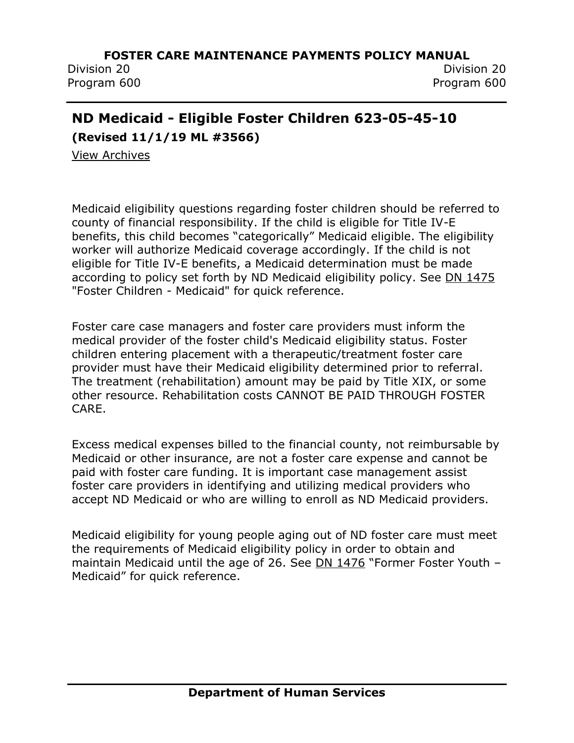Division 20 Division 20 Program 600 Program 600

# **ND Medicaid - Eligible Foster Children 623-05-45-10**

**(Revised 11/1/19 ML #3566)**

[View Archives](../../../Content/Archived%20Documents/archives.htm#623_05_45_10)

Medicaid eligibility questions regarding foster children should be referred to county of financial responsibility. If the child is eligible for Title IV-E benefits, this child becomes "categorically" Medicaid eligible. The eligibility worker will authorize Medicaid coverage accordingly. If the child is not eligible for Title IV-E benefits, a Medicaid determination must be made according to policy set forth by ND Medicaid eligibility policy. See [DN 1475](http://www.nd.gov/dhs/info/pubs/docs/cfs/handout-medicaid-coverage-foster-youth.pdf) "Foster Children - Medicaid" for quick reference.

Foster care case managers and foster care providers must inform the medical provider of the foster child's Medicaid eligibility status. Foster children entering placement with a therapeutic/treatment foster care provider must have their Medicaid eligibility determined prior to referral. The treatment (rehabilitation) amount may be paid by Title XIX, or some other resource. Rehabilitation costs CANNOT BE PAID THROUGH FOSTER CARE.

Excess medical expenses billed to the financial county, not reimbursable by Medicaid or other insurance, are not a foster care expense and cannot be paid with foster care funding. It is important case management assist foster care providers in identifying and utilizing medical providers who accept ND Medicaid or who are willing to enroll as ND Medicaid providers.

Medicaid eligibility for young people aging out of ND foster care must meet the requirements of Medicaid eligibility policy in order to obtain and maintain Medicaid until the age of 26. See [DN 1476](http://www.nd.gov/dhs/info/pubs/docs/cfs/handout-medicaid-coverage-former-foster-youth.pdf) "Former Foster Youth – Medicaid" for quick reference.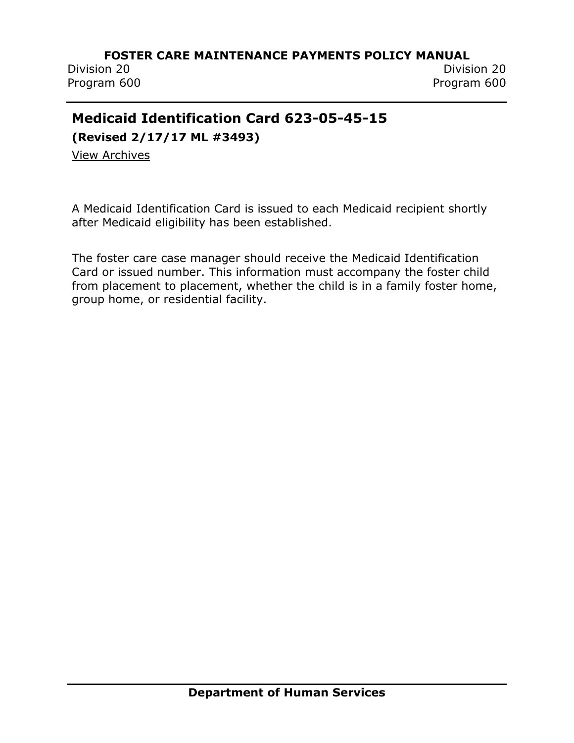Division 20 Division 20 Program 600 Program 600

# **Medicaid Identification Card 623-05-45-15**

**(Revised 2/17/17 ML #3493)**

[View Archives](../../../Content/Archived%20Documents/archives.htm#623_05_45_15)

A Medicaid Identification Card is issued to each Medicaid recipient shortly after Medicaid eligibility has been established.

The foster care case manager should receive the Medicaid Identification Card or issued number. This information must accompany the foster child from placement to placement, whether the child is in a family foster home, group home, or residential facility.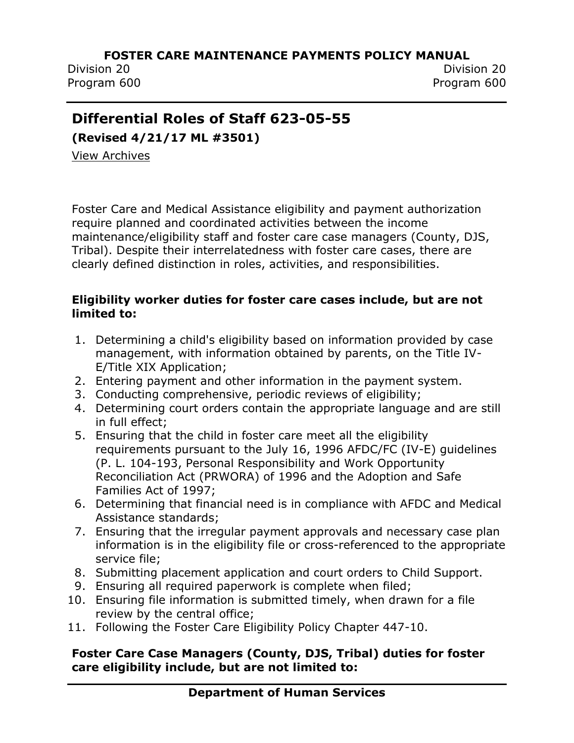Division 20 Division 20 Program 600 Program 600

# **Differential Roles of Staff 623-05-55**

**(Revised 4/21/17 ML #3501)**

[View Archives](../../../Content/Archived%20Documents/archives.htm#623_05_55)

Foster Care and Medical Assistance eligibility and payment authorization require planned and coordinated activities between the income maintenance/eligibility staff and foster care case managers (County, DJS, Tribal). Despite their interrelatedness with foster care cases, there are clearly defined distinction in roles, activities, and responsibilities.

#### **Eligibility worker duties for foster care cases include, but are not limited to:**

- 1. Determining a child's eligibility based on information provided by case management, with information obtained by parents, on the Title IV-E/Title XIX Application;
- 2. Entering payment and other information in the payment system.
- 3. Conducting comprehensive, periodic reviews of eligibility;
- 4. Determining court orders contain the appropriate language and are still in full effect;
- 5. Ensuring that the child in foster care meet all the eligibility requirements pursuant to the July 16, 1996 AFDC/FC (IV-E) guidelines (P. L. 104-193, Personal Responsibility and Work Opportunity Reconciliation Act (PRWORA) of 1996 and the Adoption and Safe Families Act of 1997;
- 6. Determining that financial need is in compliance with AFDC and Medical Assistance standards;
- 7. Ensuring that the irregular payment approvals and necessary case plan information is in the eligibility file or cross-referenced to the appropriate service file;
- 8. Submitting placement application and court orders to Child Support.
- 9. Ensuring all required paperwork is complete when filed;
- 10. Ensuring file information is submitted timely, when drawn for a file review by the central office;
- 11. Following the Foster Care Eligibility Policy Chapter 447-10.

#### **Foster Care Case Managers (County, DJS, Tribal) duties for foster care eligibility include, but are not limited to:**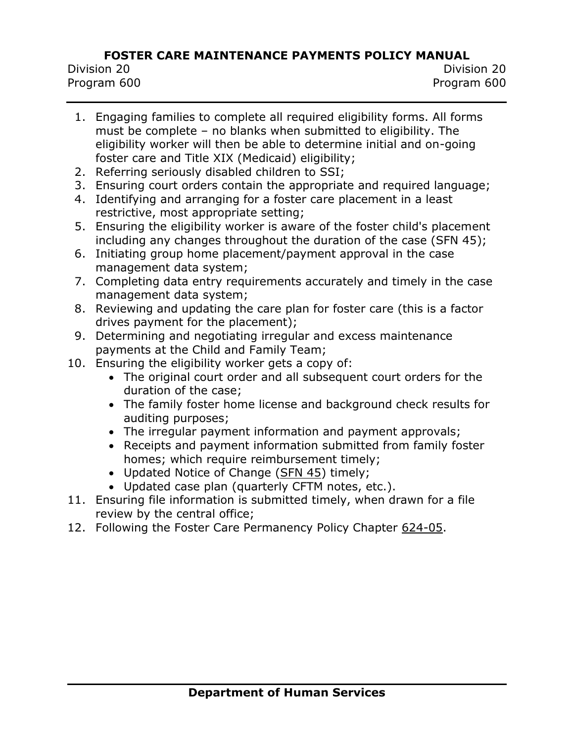Division 20 Division 20 Program 600 Program 600

- 1. Engaging families to complete all required eligibility forms. All forms must be complete – no blanks when submitted to eligibility. The eligibility worker will then be able to determine initial and on-going foster care and Title XIX (Medicaid) eligibility;
- 2. Referring seriously disabled children to SSI;
- 3. Ensuring court orders contain the appropriate and required language;
- 4. Identifying and arranging for a foster care placement in a least restrictive, most appropriate setting;
- 5. Ensuring the eligibility worker is aware of the foster child's placement including any changes throughout the duration of the case (SFN 45);
- 6. Initiating group home placement/payment approval in the case management data system;
- 7. Completing data entry requirements accurately and timely in the case management data system;
- 8. Reviewing and updating the care plan for foster care (this is a factor drives payment for the placement);
- 9. Determining and negotiating irregular and excess maintenance payments at the Child and Family Team;
- 10. Ensuring the eligibility worker gets a copy of:
	- The original court order and all subsequent court orders for the duration of the case;
	- The family foster home license and background check results for auditing purposes;
	- The irregular payment information and payment approvals;
	- Receipts and payment information submitted from family foster homes; which require reimbursement timely;
	- Updated Notice of Change [\(SFN 45\)](https://www.nd.gov/eforms/Doc/sfn00045.pdf) timely;
	- Updated case plan (quarterly CFTM notes, etc.).
- 11. Ensuring file information is submitted timely, when drawn for a file review by the central office;
- 12. Following the Foster Care Permanency Policy Chapter [624-05.](http://www.nd.gov/dhs/policymanuals/62405/62405.htm)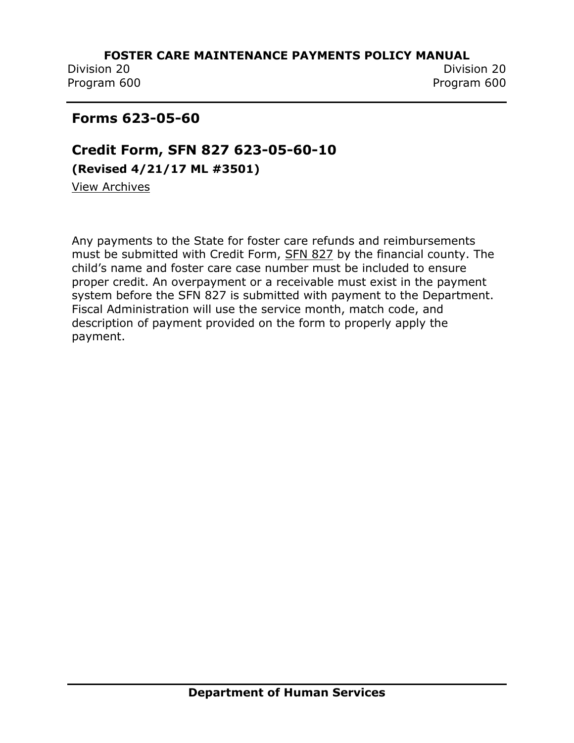Division 20 Division 20 Program 600 Program 600

# **Forms 623-05-60**

**Credit Form, SFN 827 623-05-60-10 (Revised 4/21/17 ML #3501)**

[View Archives](../../../Content/Archived%20Documents/archives.htm#623_05_60_10)

Any payments to the State for foster care refunds and reimbursements must be submitted with Credit Form, [SFN 827](https://www.nd.gov/eforms/Doc/sfn00827.pdf) by the financial county. The child's name and foster care case number must be included to ensure proper credit. An overpayment or a receivable must exist in the payment system before the SFN 827 is submitted with payment to the Department. Fiscal Administration will use the service month, match code, and description of payment provided on the form to properly apply the payment.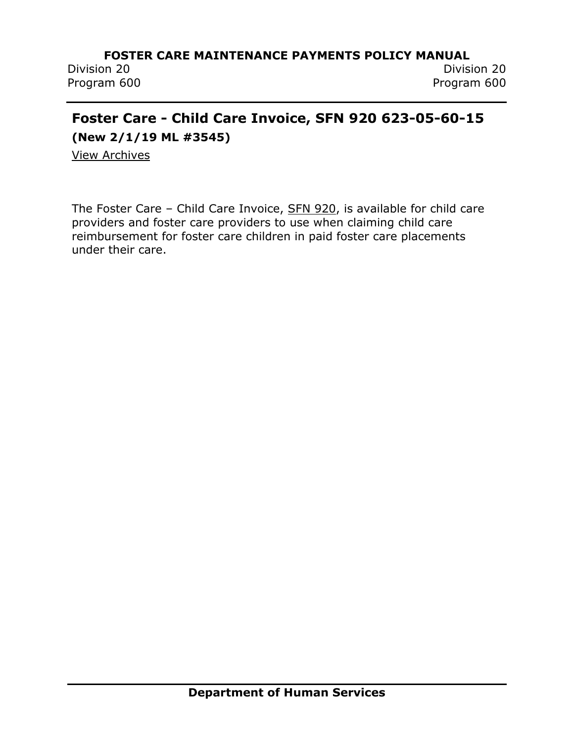# **Foster Care - Child Care Invoice, SFN 920 623-05-60-15**

**(New 2/1/19 ML #3545)**

[View Archives](../../../Content/Archived%20Documents/archives.htm#623_05_60_15)

The Foster Care – Child Care Invoice, [SFN 920,](https://www.nd.gov/eforms/Doc/sfn00920.pdf) is available for child care providers and foster care providers to use when claiming child care reimbursement for foster care children in paid foster care placements under their care.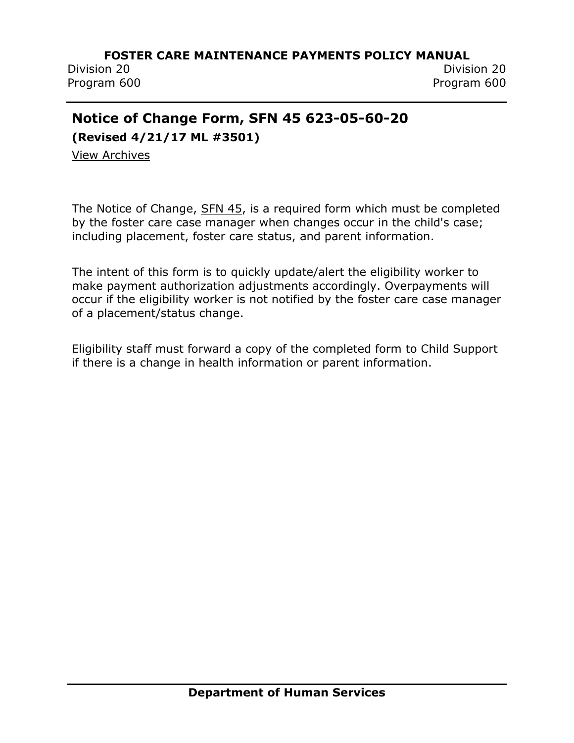Division 20 Division 20 Program 600 Program 600

# **Notice of Change Form, SFN 45 623-05-60-20**

**(Revised 4/21/17 ML #3501)**

[View Archives](../../../Content/Archived%20Documents/archives.htm#623_05_60_20)

The Notice of Change, [SFN 45,](https://www.nd.gov/eforms/Doc/sfn00045.pdf) is a required form which must be completed by the foster care case manager when changes occur in the child's case; including placement, foster care status, and parent information.

The intent of this form is to quickly update/alert the eligibility worker to make payment authorization adjustments accordingly. Overpayments will occur if the eligibility worker is not notified by the foster care case manager of a placement/status change.

Eligibility staff must forward a copy of the completed form to Child Support if there is a change in health information or parent information.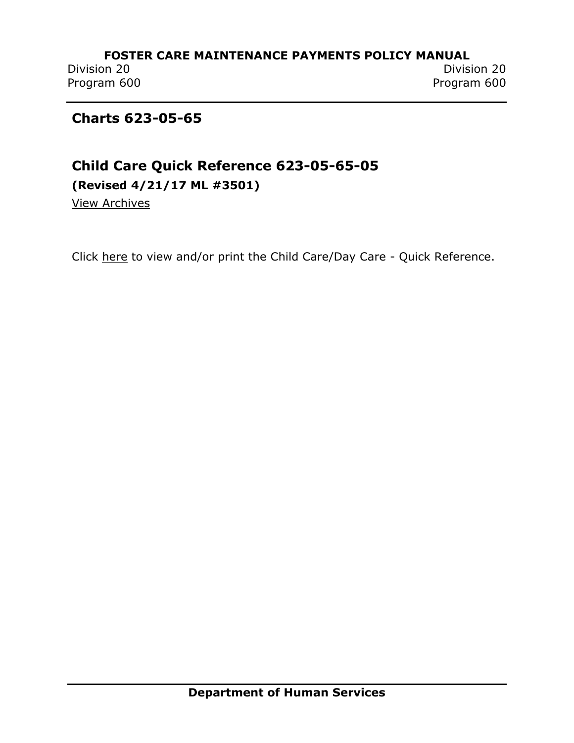Division 20 Division 20 Program 600 Program 600

## **Charts 623-05-65**

# **Child Care Quick Reference 623-05-65-05 (Revised 4/21/17 ML #3501)**

[View Archives](../../../Content/Archived%20Documents/archives.htm#623_05_65_05)

Click [here](../../../Content/Attachments/Chart%20-%20Irregular%20Payment%20Categories%20%20Codes%20(Family)%20Attachment%20B.pdf) to view and/or print the Child Care/Day Care - Quick Reference.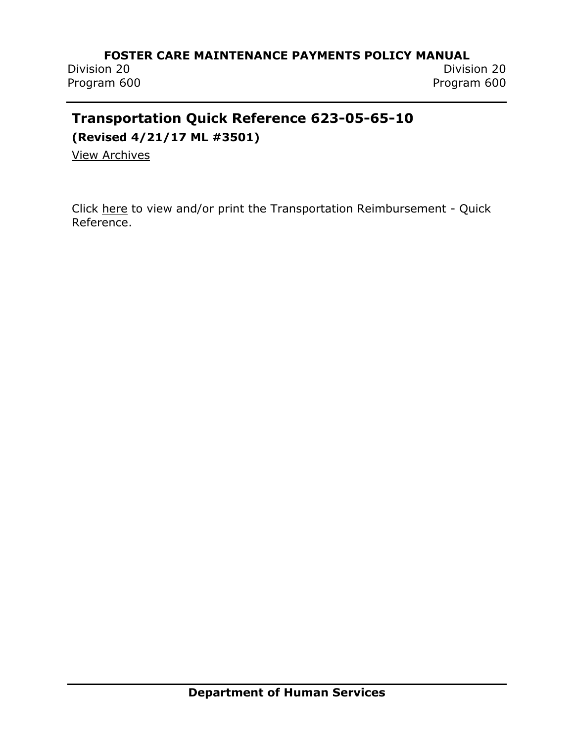Program 600 Program 600

# **Transportation Quick Reference 623-05-65-10**

**(Revised 4/21/17 ML #3501)**

[View Archives](../../../Content/Archived%20Documents/archives.htm#623_05_65_10)

Click [here](http://www.nd.gov/dhs/policymanuals/62305/Content/Attachments/PI%2019-21%20Chart%20-%20FC%20Transportation%20Quick%20Reference%20revised%2010012019.pdf) to view and/or print the Transportation Reimbursement - Quick Reference.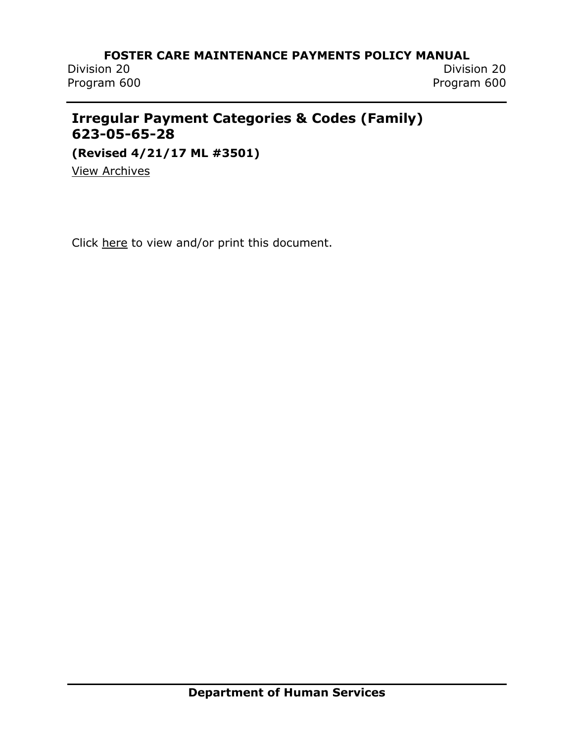Program 600 Program 600

Division 20 Division 20

# **Irregular Payment Categories & Codes (Family) 623-05-65-28**

**(Revised 4/21/17 ML #3501)**

[View Archives](../../../Content/Archived%20Documents/archives.htm#623_05_65_28)

Click [here](http://www.nd.gov/dhs/policymanuals/62305/Content/Attachments/PI%2019-21%20Chart%20-%20Irregular%20Payment%20Categories%20%20Codes%20(Family)%20revision%2010012019.pdf) to view and/or print this document.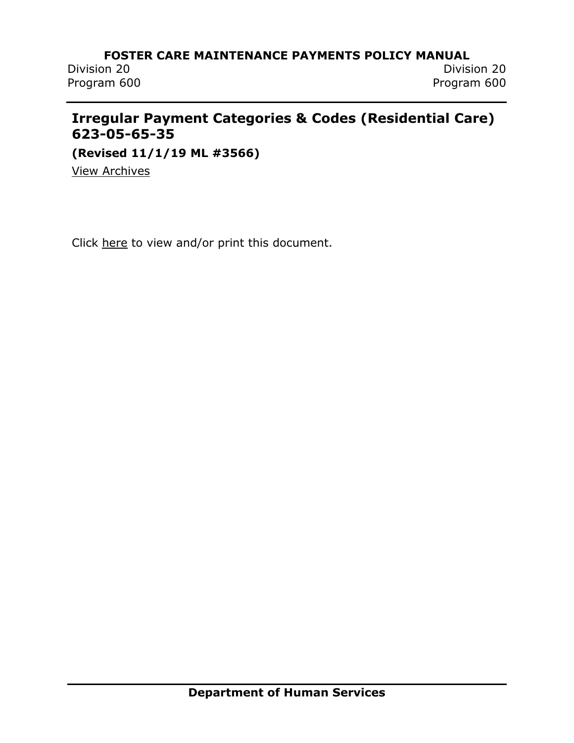Division 20 Division 20 Program 600 Program 600

# **Irregular Payment Categories & Codes (Residential Care) 623-05-65-35**

**(Revised 11/1/19 ML #3566)**

[View Archives](../../../Content/Archived%20Documents/archives.htm#623_05_65_35)

Click [here](http://www.nd.gov/dhs/policymanuals/62305/Content/Attachments/PI%2019-21%20Chart%20-%20Irregular%20Payment%20Categories%20%20Codes%20(Residential%20Care)%20revision%2010012019.pdf) to view and/or print this document.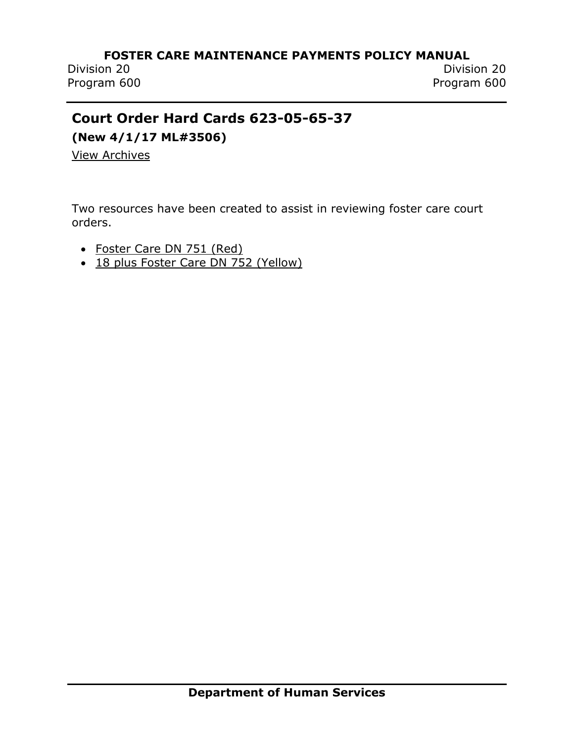Program 600 Program 600

# **Court Order Hard Cards 623-05-65-37**

**(New 4/1/17 ML#3506)**

[View Archives](../../../Content/Archived%20Documents/archives.htm#623_05_65_37)

Two resources have been created to assist in reviewing foster care court orders.

- [Foster Care DN 751 \(Red\)](../../../Content/Attachments/ML%203506%20Hard%20Card%20Red%20-%20FC%20Requirements%20DN%20751.pdf)
- [18 plus Foster Care DN 752 \(Yellow\)](../../../Content/Attachments/ML%203506%20Hard%20Card%20Yellow%2018%20plus%20Continued%20FC%20Requirements%20DN%20752.pdf)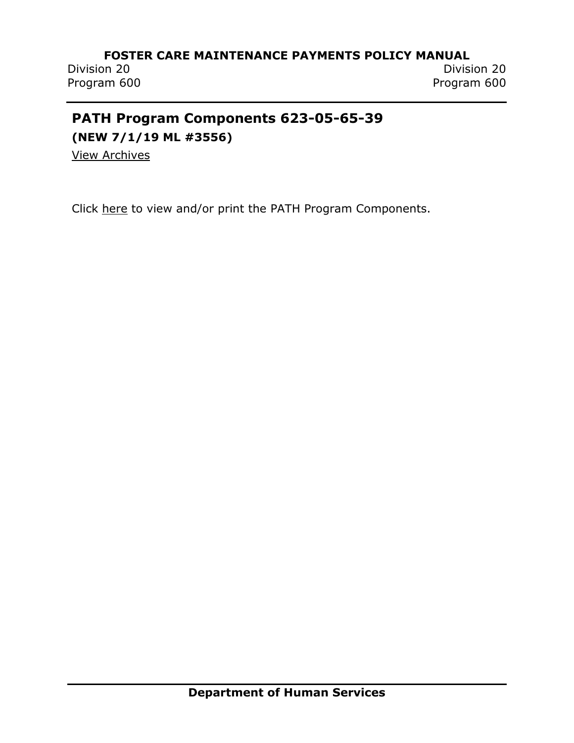Program 600 Program 600

Division 20 Division 20

# **PATH Program Components 623-05-65-39**

**(NEW 7/1/19 ML #3556)**

[View Archives](../../../Content/Archived%20Documents/archives.htm#623_05_65_39)

Click [here](../../../Content/Attachments/PI%2019-13%20PATH%20Program%20Components%20Attachment%20A.pdf) to view and/or print the PATH Program Components.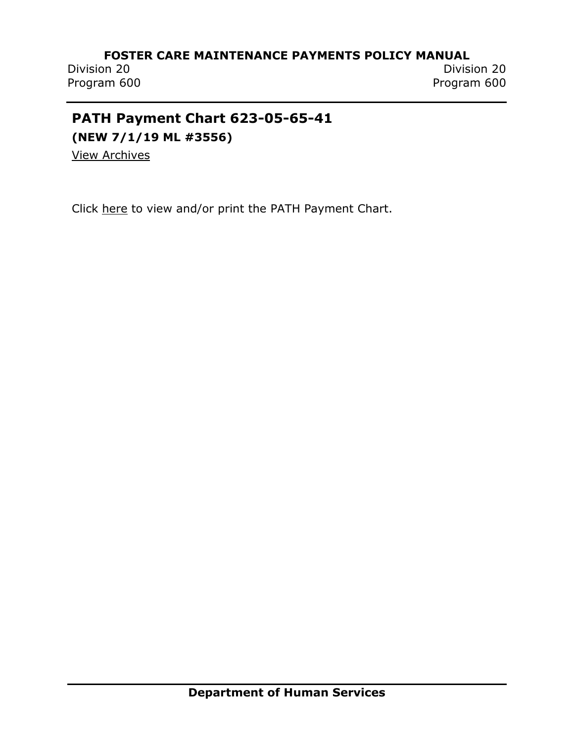Program 600 Program 600

# **PATH Payment Chart 623-05-65-41**

**(NEW 7/1/19 ML #3556)**

[View Archives](../../../Content/Archived%20Documents/archives.htm#623_05_65_41)

Click [here](../../../Content/Attachments/PI%2019-13%20PATH%20Payment%20Chart%20Attachment%20B.pdf) to view and/or print the PATH Payment Chart.